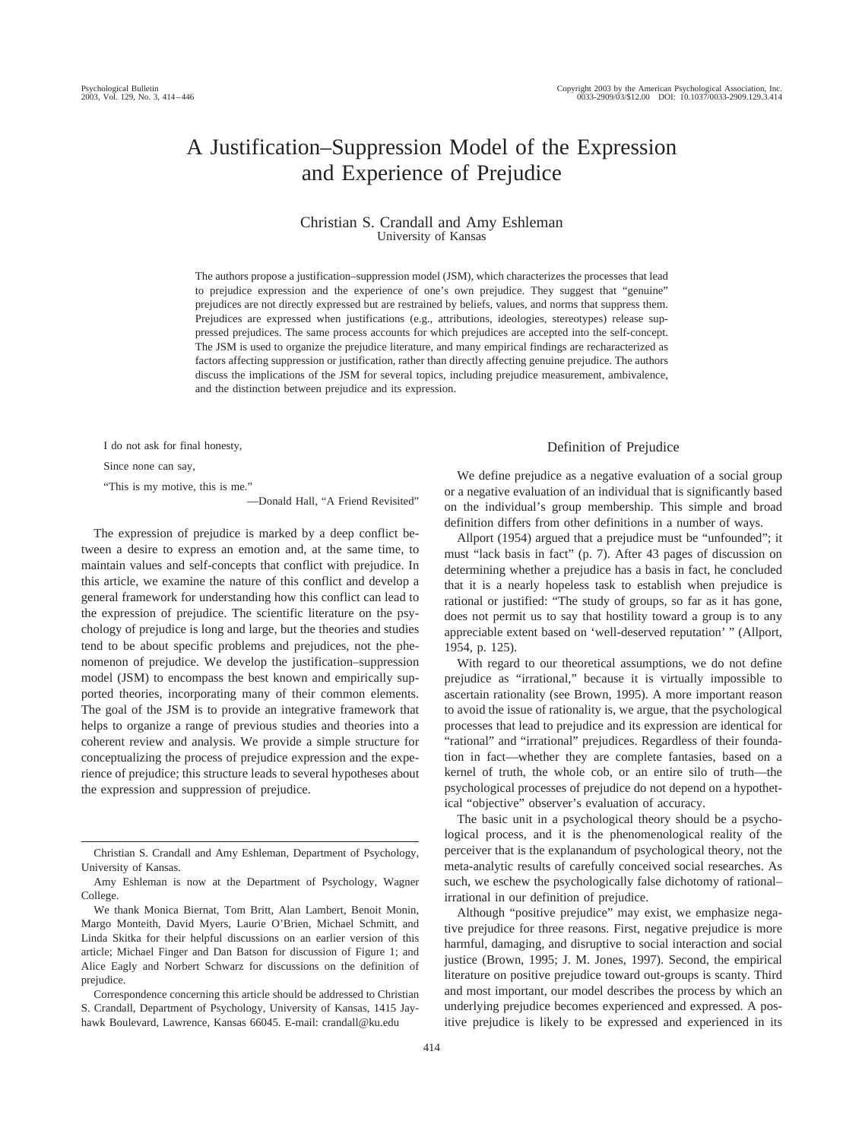# A Justification–Suppression Model of the Expression and Experience of Prejudice

#### Christian S. Crandall and Amy Eshleman University of Kansas

The authors propose a justification–suppression model (JSM), which characterizes the processes that lead to prejudice expression and the experience of one's own prejudice. They suggest that "genuine" prejudices are not directly expressed but are restrained by beliefs, values, and norms that suppress them. Prejudices are expressed when justifications (e.g., attributions, ideologies, stereotypes) release suppressed prejudices. The same process accounts for which prejudices are accepted into the self-concept. The JSM is used to organize the prejudice literature, and many empirical findings are recharacterized as factors affecting suppression or justification, rather than directly affecting genuine prejudice. The authors discuss the implications of the JSM for several topics, including prejudice measurement, ambivalence, and the distinction between prejudice and its expression.

I do not ask for final honesty,

Since none can say,

"This is my motive, this is me."

—Donald Hall, "A Friend Revisited"

The expression of prejudice is marked by a deep conflict between a desire to express an emotion and, at the same time, to maintain values and self-concepts that conflict with prejudice. In this article, we examine the nature of this conflict and develop a general framework for understanding how this conflict can lead to the expression of prejudice. The scientific literature on the psychology of prejudice is long and large, but the theories and studies tend to be about specific problems and prejudices, not the phenomenon of prejudice. We develop the justification–suppression model (JSM) to encompass the best known and empirically supported theories, incorporating many of their common elements. The goal of the JSM is to provide an integrative framework that helps to organize a range of previous studies and theories into a coherent review and analysis. We provide a simple structure for conceptualizing the process of prejudice expression and the experience of prejudice; this structure leads to several hypotheses about the expression and suppression of prejudice.

# Definition of Prejudice

We define prejudice as a negative evaluation of a social group or a negative evaluation of an individual that is significantly based on the individual's group membership. This simple and broad definition differs from other definitions in a number of ways.

Allport (1954) argued that a prejudice must be "unfounded"; it must "lack basis in fact" (p. 7). After 43 pages of discussion on determining whether a prejudice has a basis in fact, he concluded that it is a nearly hopeless task to establish when prejudice is rational or justified: "The study of groups, so far as it has gone, does not permit us to say that hostility toward a group is to any appreciable extent based on 'well-deserved reputation' " (Allport, 1954, p. 125).

With regard to our theoretical assumptions, we do not define prejudice as "irrational," because it is virtually impossible to ascertain rationality (see Brown, 1995). A more important reason to avoid the issue of rationality is, we argue, that the psychological processes that lead to prejudice and its expression are identical for "rational" and "irrational" prejudices. Regardless of their foundation in fact—whether they are complete fantasies, based on a kernel of truth, the whole cob, or an entire silo of truth—the psychological processes of prejudice do not depend on a hypothetical "objective" observer's evaluation of accuracy.

The basic unit in a psychological theory should be a psychological process, and it is the phenomenological reality of the perceiver that is the explanandum of psychological theory, not the meta-analytic results of carefully conceived social researches. As such, we eschew the psychologically false dichotomy of rational– irrational in our definition of prejudice.

Although "positive prejudice" may exist, we emphasize negative prejudice for three reasons. First, negative prejudice is more harmful, damaging, and disruptive to social interaction and social justice (Brown, 1995; J. M. Jones, 1997). Second, the empirical literature on positive prejudice toward out-groups is scanty. Third and most important, our model describes the process by which an underlying prejudice becomes experienced and expressed. A positive prejudice is likely to be expressed and experienced in its

Christian S. Crandall and Amy Eshleman, Department of Psychology, University of Kansas.

Amy Eshleman is now at the Department of Psychology, Wagner College.

We thank Monica Biernat, Tom Britt, Alan Lambert, Benoit Monin, Margo Monteith, David Myers, Laurie O'Brien, Michael Schmitt, and Linda Skitka for their helpful discussions on an earlier version of this article; Michael Finger and Dan Batson for discussion of Figure 1; and Alice Eagly and Norbert Schwarz for discussions on the definition of prejudice.

Correspondence concerning this article should be addressed to Christian S. Crandall, Department of Psychology, University of Kansas, 1415 Jayhawk Boulevard, Lawrence, Kansas 66045. E-mail: crandall@ku.edu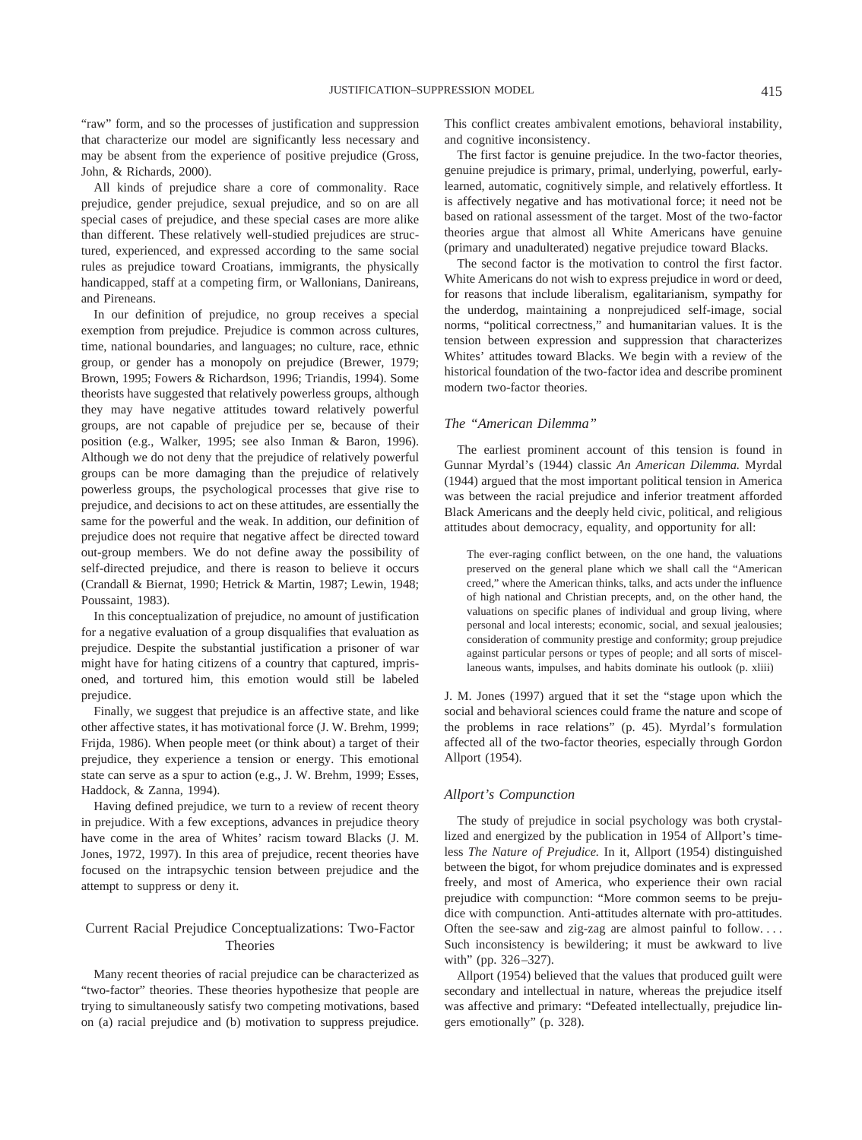"raw" form, and so the processes of justification and suppression that characterize our model are significantly less necessary and may be absent from the experience of positive prejudice (Gross, John, & Richards, 2000).

All kinds of prejudice share a core of commonality. Race prejudice, gender prejudice, sexual prejudice, and so on are all special cases of prejudice, and these special cases are more alike than different. These relatively well-studied prejudices are structured, experienced, and expressed according to the same social rules as prejudice toward Croatians, immigrants, the physically handicapped, staff at a competing firm, or Wallonians, Danireans, and Pireneans.

In our definition of prejudice, no group receives a special exemption from prejudice. Prejudice is common across cultures, time, national boundaries, and languages; no culture, race, ethnic group, or gender has a monopoly on prejudice (Brewer, 1979; Brown, 1995; Fowers & Richardson, 1996; Triandis, 1994). Some theorists have suggested that relatively powerless groups, although they may have negative attitudes toward relatively powerful groups, are not capable of prejudice per se, because of their position (e.g., Walker, 1995; see also Inman & Baron, 1996). Although we do not deny that the prejudice of relatively powerful groups can be more damaging than the prejudice of relatively powerless groups, the psychological processes that give rise to prejudice, and decisions to act on these attitudes, are essentially the same for the powerful and the weak. In addition, our definition of prejudice does not require that negative affect be directed toward out-group members. We do not define away the possibility of self-directed prejudice, and there is reason to believe it occurs (Crandall & Biernat, 1990; Hetrick & Martin, 1987; Lewin, 1948; Poussaint, 1983).

In this conceptualization of prejudice, no amount of justification for a negative evaluation of a group disqualifies that evaluation as prejudice. Despite the substantial justification a prisoner of war might have for hating citizens of a country that captured, imprisoned, and tortured him, this emotion would still be labeled prejudice.

Finally, we suggest that prejudice is an affective state, and like other affective states, it has motivational force (J. W. Brehm, 1999; Frijda, 1986). When people meet (or think about) a target of their prejudice, they experience a tension or energy. This emotional state can serve as a spur to action (e.g., J. W. Brehm, 1999; Esses, Haddock, & Zanna, 1994).

Having defined prejudice, we turn to a review of recent theory in prejudice. With a few exceptions, advances in prejudice theory have come in the area of Whites' racism toward Blacks (J. M. Jones, 1972, 1997). In this area of prejudice, recent theories have focused on the intrapsychic tension between prejudice and the attempt to suppress or deny it.

### Current Racial Prejudice Conceptualizations: Two-Factor Theories

Many recent theories of racial prejudice can be characterized as "two-factor" theories. These theories hypothesize that people are trying to simultaneously satisfy two competing motivations, based on (a) racial prejudice and (b) motivation to suppress prejudice. This conflict creates ambivalent emotions, behavioral instability, and cognitive inconsistency.

The first factor is genuine prejudice. In the two-factor theories, genuine prejudice is primary, primal, underlying, powerful, earlylearned, automatic, cognitively simple, and relatively effortless. It is affectively negative and has motivational force; it need not be based on rational assessment of the target. Most of the two-factor theories argue that almost all White Americans have genuine (primary and unadulterated) negative prejudice toward Blacks.

The second factor is the motivation to control the first factor. White Americans do not wish to express prejudice in word or deed, for reasons that include liberalism, egalitarianism, sympathy for the underdog, maintaining a nonprejudiced self-image, social norms, "political correctness," and humanitarian values. It is the tension between expression and suppression that characterizes Whites' attitudes toward Blacks. We begin with a review of the historical foundation of the two-factor idea and describe prominent modern two-factor theories.

#### *The "American Dilemma"*

The earliest prominent account of this tension is found in Gunnar Myrdal's (1944) classic *An American Dilemma.* Myrdal (1944) argued that the most important political tension in America was between the racial prejudice and inferior treatment afforded Black Americans and the deeply held civic, political, and religious attitudes about democracy, equality, and opportunity for all:

The ever-raging conflict between, on the one hand, the valuations preserved on the general plane which we shall call the "American creed," where the American thinks, talks, and acts under the influence of high national and Christian precepts, and, on the other hand, the valuations on specific planes of individual and group living, where personal and local interests; economic, social, and sexual jealousies; consideration of community prestige and conformity; group prejudice against particular persons or types of people; and all sorts of miscellaneous wants, impulses, and habits dominate his outlook (p. xliii)

J. M. Jones (1997) argued that it set the "stage upon which the social and behavioral sciences could frame the nature and scope of the problems in race relations" (p. 45). Myrdal's formulation affected all of the two-factor theories, especially through Gordon Allport (1954).

#### *Allport's Compunction*

The study of prejudice in social psychology was both crystallized and energized by the publication in 1954 of Allport's timeless *The Nature of Prejudice.* In it, Allport (1954) distinguished between the bigot, for whom prejudice dominates and is expressed freely, and most of America, who experience their own racial prejudice with compunction: "More common seems to be prejudice with compunction. Anti-attitudes alternate with pro-attitudes. Often the see-saw and zig-zag are almost painful to follow.... Such inconsistency is bewildering; it must be awkward to live with" (pp. 326–327).

Allport (1954) believed that the values that produced guilt were secondary and intellectual in nature, whereas the prejudice itself was affective and primary: "Defeated intellectually, prejudice lingers emotionally" (p. 328).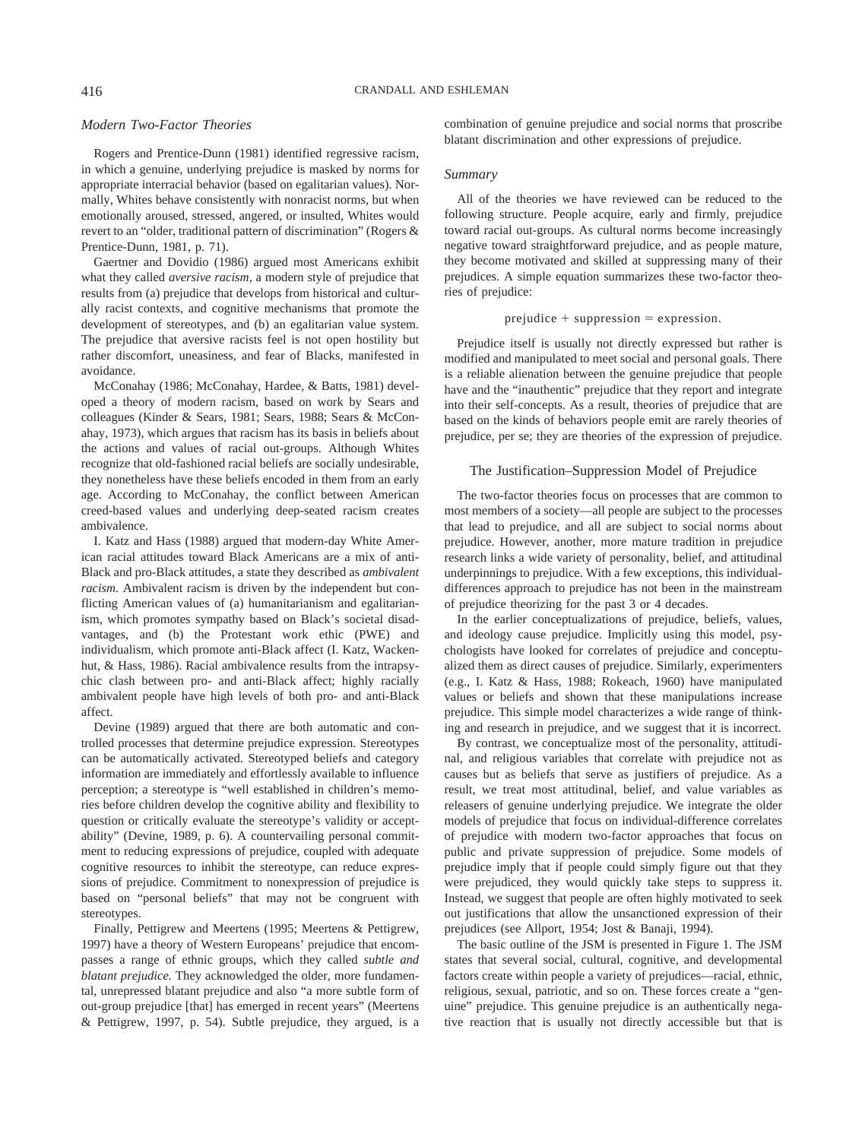#### *Modern Two-Factor Theories*

Rogers and Prentice-Dunn (1981) identified regressive racism, in which a genuine, underlying prejudice is masked by norms for appropriate interracial behavior (based on egalitarian values). Normally, Whites behave consistently with nonracist norms, but when emotionally aroused, stressed, angered, or insulted, Whites would revert to an "older, traditional pattern of discrimination" (Rogers & Prentice-Dunn, 1981, p. 71).

Gaertner and Dovidio (1986) argued most Americans exhibit what they called *aversive racism,* a modern style of prejudice that results from (a) prejudice that develops from historical and culturally racist contexts, and cognitive mechanisms that promote the development of stereotypes, and (b) an egalitarian value system. The prejudice that aversive racists feel is not open hostility but rather discomfort, uneasiness, and fear of Blacks, manifested in avoidance.

McConahay (1986; McConahay, Hardee, & Batts, 1981) developed a theory of modern racism, based on work by Sears and colleagues (Kinder & Sears, 1981; Sears, 1988; Sears & McConahay, 1973), which argues that racism has its basis in beliefs about the actions and values of racial out-groups. Although Whites recognize that old-fashioned racial beliefs are socially undesirable, they nonetheless have these beliefs encoded in them from an early age. According to McConahay, the conflict between American creed-based values and underlying deep-seated racism creates ambivalence.

I. Katz and Hass (1988) argued that modern-day White American racial attitudes toward Black Americans are a mix of anti-Black and pro-Black attitudes, a state they described as *ambivalent racism.* Ambivalent racism is driven by the independent but conflicting American values of (a) humanitarianism and egalitarianism, which promotes sympathy based on Black's societal disadvantages, and (b) the Protestant work ethic (PWE) and individualism, which promote anti-Black affect (I. Katz, Wackenhut, & Hass, 1986). Racial ambivalence results from the intrapsychic clash between pro- and anti-Black affect; highly racially ambivalent people have high levels of both pro- and anti-Black affect.

Devine (1989) argued that there are both automatic and controlled processes that determine prejudice expression. Stereotypes can be automatically activated. Stereotyped beliefs and category information are immediately and effortlessly available to influence perception; a stereotype is "well established in children's memories before children develop the cognitive ability and flexibility to question or critically evaluate the stereotype's validity or acceptability" (Devine, 1989, p. 6). A countervailing personal commitment to reducing expressions of prejudice, coupled with adequate cognitive resources to inhibit the stereotype, can reduce expressions of prejudice. Commitment to nonexpression of prejudice is based on "personal beliefs" that may not be congruent with stereotypes.

Finally, Pettigrew and Meertens (1995; Meertens & Pettigrew, 1997) have a theory of Western Europeans' prejudice that encompasses a range of ethnic groups, which they called *subtle and blatant prejudice.* They acknowledged the older, more fundamental, unrepressed blatant prejudice and also "a more subtle form of out-group prejudice [that] has emerged in recent years" (Meertens & Pettigrew, 1997, p. 54). Subtle prejudice, they argued, is a combination of genuine prejudice and social norms that proscribe blatant discrimination and other expressions of prejudice.

#### *Summary*

All of the theories we have reviewed can be reduced to the following structure. People acquire, early and firmly, prejudice toward racial out-groups. As cultural norms become increasingly negative toward straightforward prejudice, and as people mature, they become motivated and skilled at suppressing many of their prejudices. A simple equation summarizes these two-factor theories of prejudice:

#### $prejudice + suppression = expression$ .

Prejudice itself is usually not directly expressed but rather is modified and manipulated to meet social and personal goals. There is a reliable alienation between the genuine prejudice that people have and the "inauthentic" prejudice that they report and integrate into their self-concepts. As a result, theories of prejudice that are based on the kinds of behaviors people emit are rarely theories of prejudice, per se; they are theories of the expression of prejudice.

#### The Justification–Suppression Model of Prejudice

The two-factor theories focus on processes that are common to most members of a society—all people are subject to the processes that lead to prejudice, and all are subject to social norms about prejudice. However, another, more mature tradition in prejudice research links a wide variety of personality, belief, and attitudinal underpinnings to prejudice. With a few exceptions, this individualdifferences approach to prejudice has not been in the mainstream of prejudice theorizing for the past 3 or 4 decades.

In the earlier conceptualizations of prejudice, beliefs, values, and ideology cause prejudice. Implicitly using this model, psychologists have looked for correlates of prejudice and conceptualized them as direct causes of prejudice. Similarly, experimenters (e.g., I. Katz & Hass, 1988; Rokeach, 1960) have manipulated values or beliefs and shown that these manipulations increase prejudice. This simple model characterizes a wide range of thinking and research in prejudice, and we suggest that it is incorrect.

By contrast, we conceptualize most of the personality, attitudinal, and religious variables that correlate with prejudice not as causes but as beliefs that serve as justifiers of prejudice. As a result, we treat most attitudinal, belief, and value variables as releasers of genuine underlying prejudice. We integrate the older models of prejudice that focus on individual-difference correlates of prejudice with modern two-factor approaches that focus on public and private suppression of prejudice. Some models of prejudice imply that if people could simply figure out that they were prejudiced, they would quickly take steps to suppress it. Instead, we suggest that people are often highly motivated to seek out justifications that allow the unsanctioned expression of their prejudices (see Allport, 1954; Jost & Banaji, 1994).

The basic outline of the JSM is presented in Figure 1. The JSM states that several social, cultural, cognitive, and developmental factors create within people a variety of prejudices—racial, ethnic, religious, sexual, patriotic, and so on. These forces create a "genuine" prejudice. This genuine prejudice is an authentically negative reaction that is usually not directly accessible but that is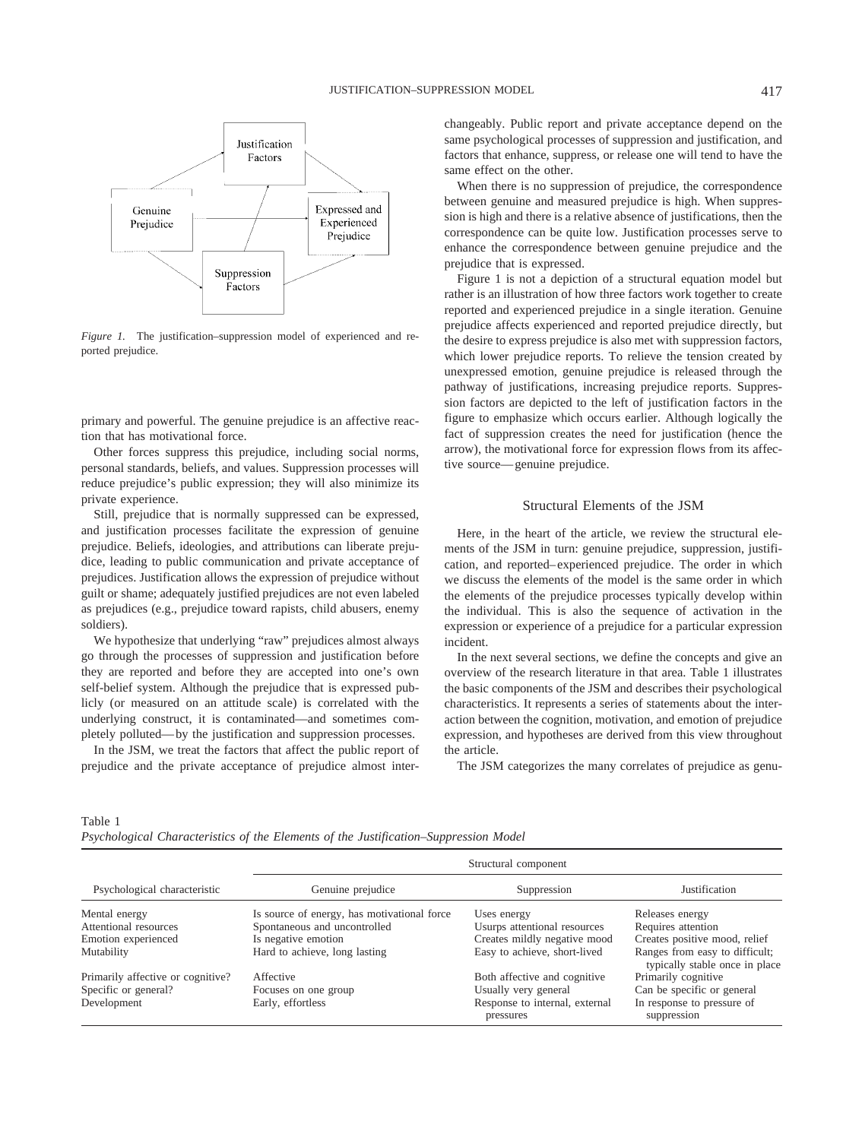

*Figure 1.* The justification–suppression model of experienced and reported prejudice.

primary and powerful. The genuine prejudice is an affective reaction that has motivational force.

Other forces suppress this prejudice, including social norms, personal standards, beliefs, and values. Suppression processes will reduce prejudice's public expression; they will also minimize its private experience.

Still, prejudice that is normally suppressed can be expressed, and justification processes facilitate the expression of genuine prejudice. Beliefs, ideologies, and attributions can liberate prejudice, leading to public communication and private acceptance of prejudices. Justification allows the expression of prejudice without guilt or shame; adequately justified prejudices are not even labeled as prejudices (e.g., prejudice toward rapists, child abusers, enemy soldiers).

We hypothesize that underlying "raw" prejudices almost always go through the processes of suppression and justification before they are reported and before they are accepted into one's own self-belief system. Although the prejudice that is expressed publicly (or measured on an attitude scale) is correlated with the underlying construct, it is contaminated—and sometimes completely polluted—by the justification and suppression processes.

In the JSM, we treat the factors that affect the public report of prejudice and the private acceptance of prejudice almost interchangeably. Public report and private acceptance depend on the same psychological processes of suppression and justification, and factors that enhance, suppress, or release one will tend to have the same effect on the other.

When there is no suppression of prejudice, the correspondence between genuine and measured prejudice is high. When suppression is high and there is a relative absence of justifications, then the correspondence can be quite low. Justification processes serve to enhance the correspondence between genuine prejudice and the prejudice that is expressed.

Figure 1 is not a depiction of a structural equation model but rather is an illustration of how three factors work together to create reported and experienced prejudice in a single iteration. Genuine prejudice affects experienced and reported prejudice directly, but the desire to express prejudice is also met with suppression factors, which lower prejudice reports. To relieve the tension created by unexpressed emotion, genuine prejudice is released through the pathway of justifications, increasing prejudice reports. Suppression factors are depicted to the left of justification factors in the figure to emphasize which occurs earlier. Although logically the fact of suppression creates the need for justification (hence the arrow), the motivational force for expression flows from its affective source—genuine prejudice.

#### Structural Elements of the JSM

Here, in the heart of the article, we review the structural elements of the JSM in turn: genuine prejudice, suppression, justification, and reported–experienced prejudice. The order in which we discuss the elements of the model is the same order in which the elements of the prejudice processes typically develop within the individual. This is also the sequence of activation in the expression or experience of a prejudice for a particular expression incident.

In the next several sections, we define the concepts and give an overview of the research literature in that area. Table 1 illustrates the basic components of the JSM and describes their psychological characteristics. It represents a series of statements about the interaction between the cognition, motivation, and emotion of prejudice expression, and hypotheses are derived from this view throughout the article.

The JSM categorizes the many correlates of prejudice as genu-

Table 1

*Psychological Characteristics of the Elements of the Justification–Suppression Model*

| Psychological characteristic      | Structural component                        |                                             |                                                                  |
|-----------------------------------|---------------------------------------------|---------------------------------------------|------------------------------------------------------------------|
|                                   | Genuine prejudice                           | Suppression                                 | Justification                                                    |
| Mental energy                     | Is source of energy, has motivational force | Uses energy                                 | Releases energy                                                  |
| Attentional resources             | Spontaneous and uncontrolled                | Usurps attentional resources                | Requires attention                                               |
| Emotion experienced               | Is negative emotion                         | Creates mildly negative mood                | Creates positive mood, relief                                    |
| Mutability                        | Hard to achieve, long lasting               | Easy to achieve, short-lived                | Ranges from easy to difficult;<br>typically stable once in place |
| Primarily affective or cognitive? | Affective                                   | Both affective and cognitive                | Primarily cognitive                                              |
| Specific or general?              | Focuses on one group                        | Usually very general                        | Can be specific or general                                       |
| Development                       | Early, effortless                           | Response to internal, external<br>pressures | In response to pressure of<br>suppression                        |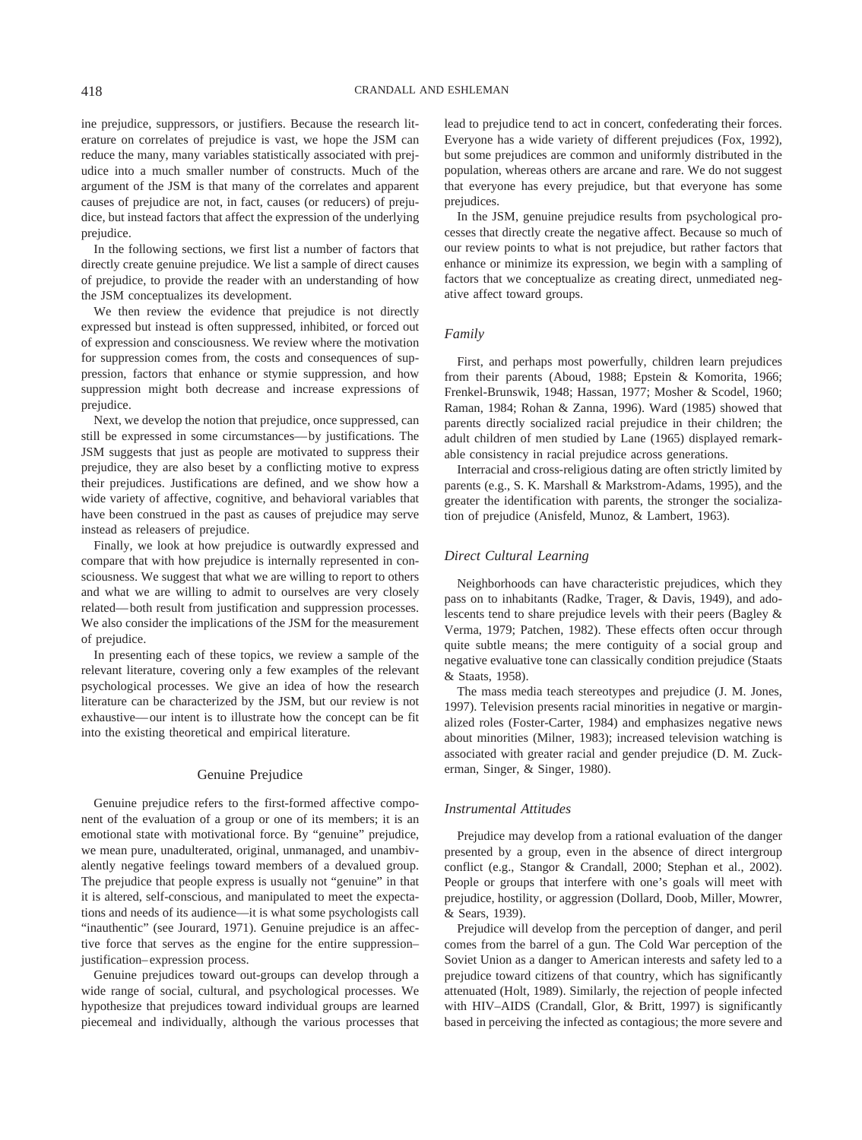ine prejudice, suppressors, or justifiers. Because the research literature on correlates of prejudice is vast, we hope the JSM can reduce the many, many variables statistically associated with prejudice into a much smaller number of constructs. Much of the argument of the JSM is that many of the correlates and apparent causes of prejudice are not, in fact, causes (or reducers) of prejudice, but instead factors that affect the expression of the underlying prejudice.

In the following sections, we first list a number of factors that directly create genuine prejudice. We list a sample of direct causes of prejudice, to provide the reader with an understanding of how the JSM conceptualizes its development.

We then review the evidence that prejudice is not directly expressed but instead is often suppressed, inhibited, or forced out of expression and consciousness. We review where the motivation for suppression comes from, the costs and consequences of suppression, factors that enhance or stymie suppression, and how suppression might both decrease and increase expressions of prejudice.

Next, we develop the notion that prejudice, once suppressed, can still be expressed in some circumstances—by justifications. The JSM suggests that just as people are motivated to suppress their prejudice, they are also beset by a conflicting motive to express their prejudices. Justifications are defined, and we show how a wide variety of affective, cognitive, and behavioral variables that have been construed in the past as causes of prejudice may serve instead as releasers of prejudice.

Finally, we look at how prejudice is outwardly expressed and compare that with how prejudice is internally represented in consciousness. We suggest that what we are willing to report to others and what we are willing to admit to ourselves are very closely related—both result from justification and suppression processes. We also consider the implications of the JSM for the measurement of prejudice.

In presenting each of these topics, we review a sample of the relevant literature, covering only a few examples of the relevant psychological processes. We give an idea of how the research literature can be characterized by the JSM, but our review is not exhaustive—our intent is to illustrate how the concept can be fit into the existing theoretical and empirical literature.

#### Genuine Prejudice

Genuine prejudice refers to the first-formed affective component of the evaluation of a group or one of its members; it is an emotional state with motivational force. By "genuine" prejudice, we mean pure, unadulterated, original, unmanaged, and unambivalently negative feelings toward members of a devalued group. The prejudice that people express is usually not "genuine" in that it is altered, self-conscious, and manipulated to meet the expectations and needs of its audience—it is what some psychologists call "inauthentic" (see Jourard, 1971). Genuine prejudice is an affective force that serves as the engine for the entire suppression– justification–expression process.

Genuine prejudices toward out-groups can develop through a wide range of social, cultural, and psychological processes. We hypothesize that prejudices toward individual groups are learned piecemeal and individually, although the various processes that lead to prejudice tend to act in concert, confederating their forces. Everyone has a wide variety of different prejudices (Fox, 1992), but some prejudices are common and uniformly distributed in the population, whereas others are arcane and rare. We do not suggest that everyone has every prejudice, but that everyone has some prejudices.

In the JSM, genuine prejudice results from psychological processes that directly create the negative affect. Because so much of our review points to what is not prejudice, but rather factors that enhance or minimize its expression, we begin with a sampling of factors that we conceptualize as creating direct, unmediated negative affect toward groups.

#### *Family*

First, and perhaps most powerfully, children learn prejudices from their parents (Aboud, 1988; Epstein & Komorita, 1966; Frenkel-Brunswik, 1948; Hassan, 1977; Mosher & Scodel, 1960; Raman, 1984; Rohan & Zanna, 1996). Ward (1985) showed that parents directly socialized racial prejudice in their children; the adult children of men studied by Lane (1965) displayed remarkable consistency in racial prejudice across generations.

Interracial and cross-religious dating are often strictly limited by parents (e.g., S. K. Marshall & Markstrom-Adams, 1995), and the greater the identification with parents, the stronger the socialization of prejudice (Anisfeld, Munoz, & Lambert, 1963).

#### *Direct Cultural Learning*

Neighborhoods can have characteristic prejudices, which they pass on to inhabitants (Radke, Trager, & Davis, 1949), and adolescents tend to share prejudice levels with their peers (Bagley & Verma, 1979; Patchen, 1982). These effects often occur through quite subtle means; the mere contiguity of a social group and negative evaluative tone can classically condition prejudice (Staats & Staats, 1958).

The mass media teach stereotypes and prejudice (J. M. Jones, 1997). Television presents racial minorities in negative or marginalized roles (Foster-Carter, 1984) and emphasizes negative news about minorities (Milner, 1983); increased television watching is associated with greater racial and gender prejudice (D. M. Zuckerman, Singer, & Singer, 1980).

#### *Instrumental Attitudes*

Prejudice may develop from a rational evaluation of the danger presented by a group, even in the absence of direct intergroup conflict (e.g., Stangor & Crandall, 2000; Stephan et al., 2002). People or groups that interfere with one's goals will meet with prejudice, hostility, or aggression (Dollard, Doob, Miller, Mowrer, & Sears, 1939).

Prejudice will develop from the perception of danger, and peril comes from the barrel of a gun. The Cold War perception of the Soviet Union as a danger to American interests and safety led to a prejudice toward citizens of that country, which has significantly attenuated (Holt, 1989). Similarly, the rejection of people infected with HIV–AIDS (Crandall, Glor, & Britt, 1997) is significantly based in perceiving the infected as contagious; the more severe and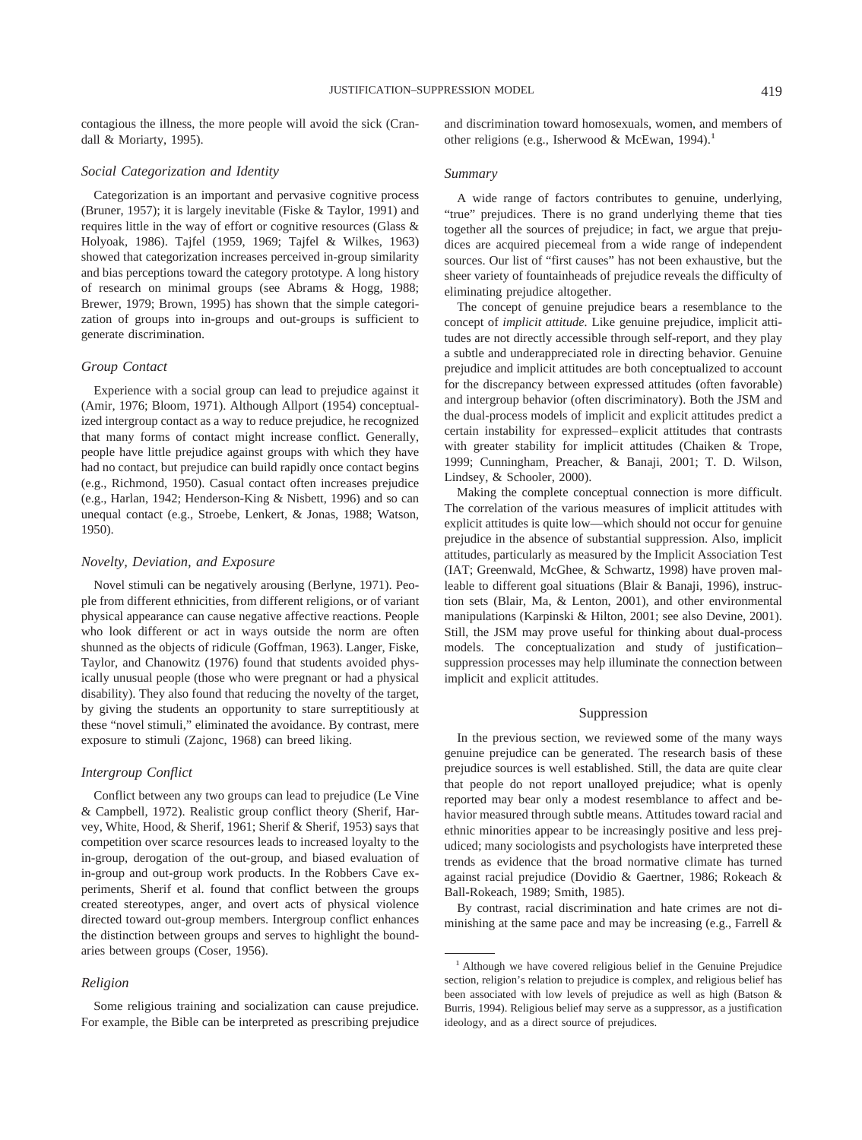contagious the illness, the more people will avoid the sick (Crandall & Moriarty, 1995).

#### *Social Categorization and Identity*

Categorization is an important and pervasive cognitive process (Bruner, 1957); it is largely inevitable (Fiske & Taylor, 1991) and requires little in the way of effort or cognitive resources (Glass & Holyoak, 1986). Tajfel (1959, 1969; Tajfel & Wilkes, 1963) showed that categorization increases perceived in-group similarity and bias perceptions toward the category prototype. A long history of research on minimal groups (see Abrams & Hogg, 1988; Brewer, 1979; Brown, 1995) has shown that the simple categorization of groups into in-groups and out-groups is sufficient to generate discrimination.

#### *Group Contact*

Experience with a social group can lead to prejudice against it (Amir, 1976; Bloom, 1971). Although Allport (1954) conceptualized intergroup contact as a way to reduce prejudice, he recognized that many forms of contact might increase conflict. Generally, people have little prejudice against groups with which they have had no contact, but prejudice can build rapidly once contact begins (e.g., Richmond, 1950). Casual contact often increases prejudice (e.g., Harlan, 1942; Henderson-King & Nisbett, 1996) and so can unequal contact (e.g., Stroebe, Lenkert, & Jonas, 1988; Watson, 1950).

#### *Novelty, Deviation, and Exposure*

Novel stimuli can be negatively arousing (Berlyne, 1971). People from different ethnicities, from different religions, or of variant physical appearance can cause negative affective reactions. People who look different or act in ways outside the norm are often shunned as the objects of ridicule (Goffman, 1963). Langer, Fiske, Taylor, and Chanowitz (1976) found that students avoided physically unusual people (those who were pregnant or had a physical disability). They also found that reducing the novelty of the target, by giving the students an opportunity to stare surreptitiously at these "novel stimuli," eliminated the avoidance. By contrast, mere exposure to stimuli (Zajonc, 1968) can breed liking.

#### *Intergroup Conflict*

Conflict between any two groups can lead to prejudice (Le Vine & Campbell, 1972). Realistic group conflict theory (Sherif, Harvey, White, Hood, & Sherif, 1961; Sherif & Sherif, 1953) says that competition over scarce resources leads to increased loyalty to the in-group, derogation of the out-group, and biased evaluation of in-group and out-group work products. In the Robbers Cave experiments, Sherif et al. found that conflict between the groups created stereotypes, anger, and overt acts of physical violence directed toward out-group members. Intergroup conflict enhances the distinction between groups and serves to highlight the boundaries between groups (Coser, 1956).

#### *Religion*

Some religious training and socialization can cause prejudice. For example, the Bible can be interpreted as prescribing prejudice and discrimination toward homosexuals, women, and members of other religions (e.g., Isherwood & McEwan, 1994).<sup>1</sup>

#### *Summary*

A wide range of factors contributes to genuine, underlying, "true" prejudices. There is no grand underlying theme that ties together all the sources of prejudice; in fact, we argue that prejudices are acquired piecemeal from a wide range of independent sources. Our list of "first causes" has not been exhaustive, but the sheer variety of fountainheads of prejudice reveals the difficulty of eliminating prejudice altogether.

The concept of genuine prejudice bears a resemblance to the concept of *implicit attitude.* Like genuine prejudice, implicit attitudes are not directly accessible through self-report, and they play a subtle and underappreciated role in directing behavior. Genuine prejudice and implicit attitudes are both conceptualized to account for the discrepancy between expressed attitudes (often favorable) and intergroup behavior (often discriminatory). Both the JSM and the dual-process models of implicit and explicit attitudes predict a certain instability for expressed–explicit attitudes that contrasts with greater stability for implicit attitudes (Chaiken & Trope, 1999; Cunningham, Preacher, & Banaji, 2001; T. D. Wilson, Lindsey, & Schooler, 2000).

Making the complete conceptual connection is more difficult. The correlation of the various measures of implicit attitudes with explicit attitudes is quite low—which should not occur for genuine prejudice in the absence of substantial suppression. Also, implicit attitudes, particularly as measured by the Implicit Association Test (IAT; Greenwald, McGhee, & Schwartz, 1998) have proven malleable to different goal situations (Blair & Banaji, 1996), instruction sets (Blair, Ma, & Lenton, 2001), and other environmental manipulations (Karpinski & Hilton, 2001; see also Devine, 2001). Still, the JSM may prove useful for thinking about dual-process models. The conceptualization and study of justification– suppression processes may help illuminate the connection between implicit and explicit attitudes.

#### Suppression

In the previous section, we reviewed some of the many ways genuine prejudice can be generated. The research basis of these prejudice sources is well established. Still, the data are quite clear that people do not report unalloyed prejudice; what is openly reported may bear only a modest resemblance to affect and behavior measured through subtle means. Attitudes toward racial and ethnic minorities appear to be increasingly positive and less prejudiced; many sociologists and psychologists have interpreted these trends as evidence that the broad normative climate has turned against racial prejudice (Dovidio & Gaertner, 1986; Rokeach & Ball-Rokeach, 1989; Smith, 1985).

By contrast, racial discrimination and hate crimes are not diminishing at the same pace and may be increasing (e.g., Farrell &

<sup>&</sup>lt;sup>1</sup> Although we have covered religious belief in the Genuine Prejudice section, religion's relation to prejudice is complex, and religious belief has been associated with low levels of prejudice as well as high (Batson & Burris, 1994). Religious belief may serve as a suppressor, as a justification ideology, and as a direct source of prejudices.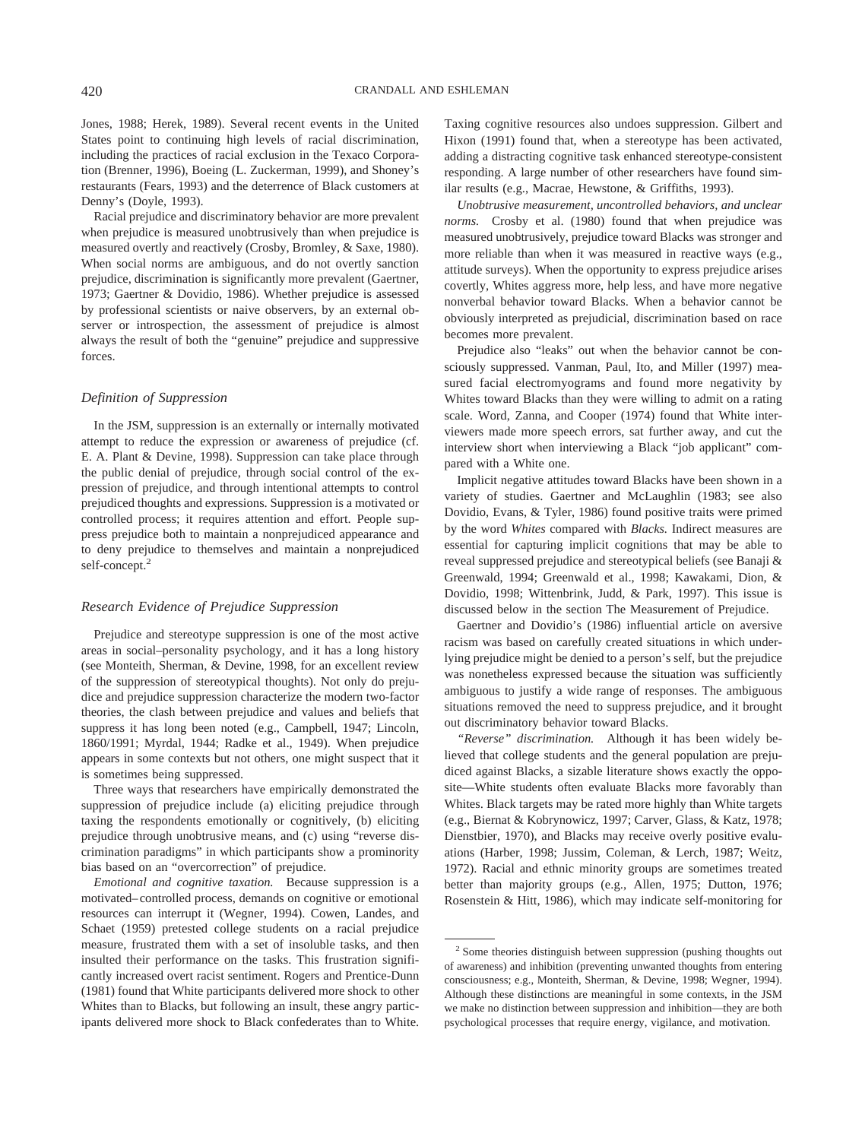Jones, 1988; Herek, 1989). Several recent events in the United States point to continuing high levels of racial discrimination, including the practices of racial exclusion in the Texaco Corporation (Brenner, 1996), Boeing (L. Zuckerman, 1999), and Shoney's restaurants (Fears, 1993) and the deterrence of Black customers at Denny's (Doyle, 1993).

Racial prejudice and discriminatory behavior are more prevalent when prejudice is measured unobtrusively than when prejudice is measured overtly and reactively (Crosby, Bromley, & Saxe, 1980). When social norms are ambiguous, and do not overtly sanction prejudice, discrimination is significantly more prevalent (Gaertner, 1973; Gaertner & Dovidio, 1986). Whether prejudice is assessed by professional scientists or naive observers, by an external observer or introspection, the assessment of prejudice is almost always the result of both the "genuine" prejudice and suppressive forces.

#### *Definition of Suppression*

In the JSM, suppression is an externally or internally motivated attempt to reduce the expression or awareness of prejudice (cf. E. A. Plant & Devine, 1998). Suppression can take place through the public denial of prejudice, through social control of the expression of prejudice, and through intentional attempts to control prejudiced thoughts and expressions. Suppression is a motivated or controlled process; it requires attention and effort. People suppress prejudice both to maintain a nonprejudiced appearance and to deny prejudice to themselves and maintain a nonprejudiced self-concept.<sup>2</sup>

#### *Research Evidence of Prejudice Suppression*

Prejudice and stereotype suppression is one of the most active areas in social–personality psychology, and it has a long history (see Monteith, Sherman, & Devine, 1998, for an excellent review of the suppression of stereotypical thoughts). Not only do prejudice and prejudice suppression characterize the modern two-factor theories, the clash between prejudice and values and beliefs that suppress it has long been noted (e.g., Campbell, 1947; Lincoln, 1860/1991; Myrdal, 1944; Radke et al., 1949). When prejudice appears in some contexts but not others, one might suspect that it is sometimes being suppressed.

Three ways that researchers have empirically demonstrated the suppression of prejudice include (a) eliciting prejudice through taxing the respondents emotionally or cognitively, (b) eliciting prejudice through unobtrusive means, and (c) using "reverse discrimination paradigms" in which participants show a prominority bias based on an "overcorrection" of prejudice.

*Emotional and cognitive taxation.* Because suppression is a motivated–controlled process, demands on cognitive or emotional resources can interrupt it (Wegner, 1994). Cowen, Landes, and Schaet (1959) pretested college students on a racial prejudice measure, frustrated them with a set of insoluble tasks, and then insulted their performance on the tasks. This frustration significantly increased overt racist sentiment. Rogers and Prentice-Dunn (1981) found that White participants delivered more shock to other Whites than to Blacks, but following an insult, these angry participants delivered more shock to Black confederates than to White. Taxing cognitive resources also undoes suppression. Gilbert and Hixon (1991) found that, when a stereotype has been activated, adding a distracting cognitive task enhanced stereotype-consistent responding. A large number of other researchers have found similar results (e.g., Macrae, Hewstone, & Griffiths, 1993).

*Unobtrusive measurement, uncontrolled behaviors, and unclear norms.* Crosby et al. (1980) found that when prejudice was measured unobtrusively, prejudice toward Blacks was stronger and more reliable than when it was measured in reactive ways (e.g., attitude surveys). When the opportunity to express prejudice arises covertly, Whites aggress more, help less, and have more negative nonverbal behavior toward Blacks. When a behavior cannot be obviously interpreted as prejudicial, discrimination based on race becomes more prevalent.

Prejudice also "leaks" out when the behavior cannot be consciously suppressed. Vanman, Paul, Ito, and Miller (1997) measured facial electromyograms and found more negativity by Whites toward Blacks than they were willing to admit on a rating scale. Word, Zanna, and Cooper (1974) found that White interviewers made more speech errors, sat further away, and cut the interview short when interviewing a Black "job applicant" compared with a White one.

Implicit negative attitudes toward Blacks have been shown in a variety of studies. Gaertner and McLaughlin (1983; see also Dovidio, Evans, & Tyler, 1986) found positive traits were primed by the word *Whites* compared with *Blacks.* Indirect measures are essential for capturing implicit cognitions that may be able to reveal suppressed prejudice and stereotypical beliefs (see Banaji & Greenwald, 1994; Greenwald et al., 1998; Kawakami, Dion, & Dovidio, 1998; Wittenbrink, Judd, & Park, 1997). This issue is discussed below in the section The Measurement of Prejudice.

Gaertner and Dovidio's (1986) influential article on aversive racism was based on carefully created situations in which underlying prejudice might be denied to a person's self, but the prejudice was nonetheless expressed because the situation was sufficiently ambiguous to justify a wide range of responses. The ambiguous situations removed the need to suppress prejudice, and it brought out discriminatory behavior toward Blacks.

*"Reverse" discrimination.* Although it has been widely believed that college students and the general population are prejudiced against Blacks, a sizable literature shows exactly the opposite—White students often evaluate Blacks more favorably than Whites. Black targets may be rated more highly than White targets (e.g., Biernat & Kobrynowicz, 1997; Carver, Glass, & Katz, 1978; Dienstbier, 1970), and Blacks may receive overly positive evaluations (Harber, 1998; Jussim, Coleman, & Lerch, 1987; Weitz, 1972). Racial and ethnic minority groups are sometimes treated better than majority groups (e.g., Allen, 1975; Dutton, 1976; Rosenstein & Hitt, 1986), which may indicate self-monitoring for

<sup>&</sup>lt;sup>2</sup> Some theories distinguish between suppression (pushing thoughts out of awareness) and inhibition (preventing unwanted thoughts from entering consciousness; e.g., Monteith, Sherman, & Devine, 1998; Wegner, 1994). Although these distinctions are meaningful in some contexts, in the JSM we make no distinction between suppression and inhibition—they are both psychological processes that require energy, vigilance, and motivation.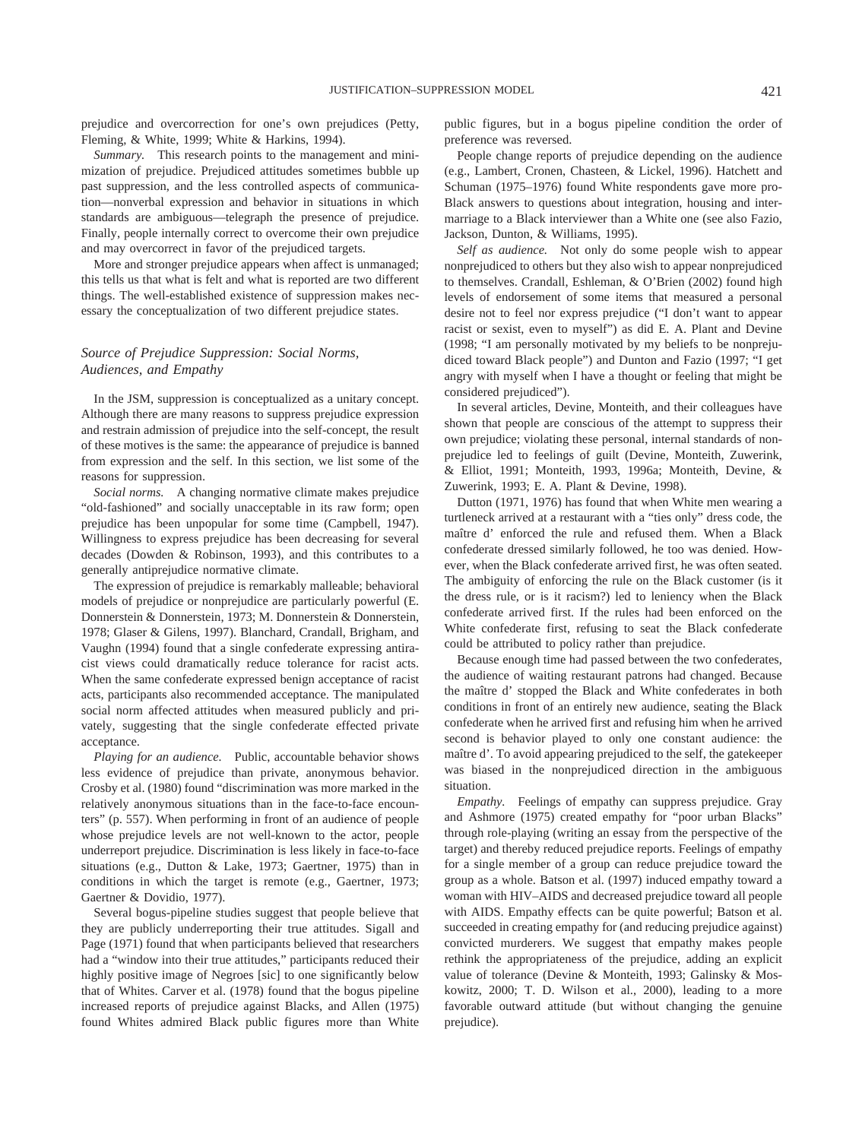prejudice and overcorrection for one's own prejudices (Petty, Fleming, & White, 1999; White & Harkins, 1994).

*Summary.* This research points to the management and minimization of prejudice. Prejudiced attitudes sometimes bubble up past suppression, and the less controlled aspects of communication—nonverbal expression and behavior in situations in which standards are ambiguous—telegraph the presence of prejudice. Finally, people internally correct to overcome their own prejudice and may overcorrect in favor of the prejudiced targets.

More and stronger prejudice appears when affect is unmanaged; this tells us that what is felt and what is reported are two different things. The well-established existence of suppression makes necessary the conceptualization of two different prejudice states.

#### *Source of Prejudice Suppression: Social Norms, Audiences, and Empathy*

In the JSM, suppression is conceptualized as a unitary concept. Although there are many reasons to suppress prejudice expression and restrain admission of prejudice into the self-concept, the result of these motives is the same: the appearance of prejudice is banned from expression and the self. In this section, we list some of the reasons for suppression.

*Social norms.* A changing normative climate makes prejudice "old-fashioned" and socially unacceptable in its raw form; open prejudice has been unpopular for some time (Campbell, 1947). Willingness to express prejudice has been decreasing for several decades (Dowden & Robinson, 1993), and this contributes to a generally antiprejudice normative climate.

The expression of prejudice is remarkably malleable; behavioral models of prejudice or nonprejudice are particularly powerful (E. Donnerstein & Donnerstein, 1973; M. Donnerstein & Donnerstein, 1978; Glaser & Gilens, 1997). Blanchard, Crandall, Brigham, and Vaughn (1994) found that a single confederate expressing antiracist views could dramatically reduce tolerance for racist acts. When the same confederate expressed benign acceptance of racist acts, participants also recommended acceptance. The manipulated social norm affected attitudes when measured publicly and privately, suggesting that the single confederate effected private acceptance.

*Playing for an audience.* Public, accountable behavior shows less evidence of prejudice than private, anonymous behavior. Crosby et al. (1980) found "discrimination was more marked in the relatively anonymous situations than in the face-to-face encounters" (p. 557). When performing in front of an audience of people whose prejudice levels are not well-known to the actor, people underreport prejudice. Discrimination is less likely in face-to-face situations (e.g., Dutton & Lake, 1973; Gaertner, 1975) than in conditions in which the target is remote (e.g., Gaertner, 1973; Gaertner & Dovidio, 1977).

Several bogus-pipeline studies suggest that people believe that they are publicly underreporting their true attitudes. Sigall and Page (1971) found that when participants believed that researchers had a "window into their true attitudes," participants reduced their highly positive image of Negroes [sic] to one significantly below that of Whites. Carver et al. (1978) found that the bogus pipeline increased reports of prejudice against Blacks, and Allen (1975) found Whites admired Black public figures more than White public figures, but in a bogus pipeline condition the order of preference was reversed.

People change reports of prejudice depending on the audience (e.g., Lambert, Cronen, Chasteen, & Lickel, 1996). Hatchett and Schuman (1975–1976) found White respondents gave more pro-Black answers to questions about integration, housing and intermarriage to a Black interviewer than a White one (see also Fazio, Jackson, Dunton, & Williams, 1995).

*Self as audience.* Not only do some people wish to appear nonprejudiced to others but they also wish to appear nonprejudiced to themselves. Crandall, Eshleman, & O'Brien (2002) found high levels of endorsement of some items that measured a personal desire not to feel nor express prejudice ("I don't want to appear racist or sexist, even to myself") as did E. A. Plant and Devine (1998; "I am personally motivated by my beliefs to be nonprejudiced toward Black people") and Dunton and Fazio (1997; "I get angry with myself when I have a thought or feeling that might be considered prejudiced").

In several articles, Devine, Monteith, and their colleagues have shown that people are conscious of the attempt to suppress their own prejudice; violating these personal, internal standards of nonprejudice led to feelings of guilt (Devine, Monteith, Zuwerink, & Elliot, 1991; Monteith, 1993, 1996a; Monteith, Devine, & Zuwerink, 1993; E. A. Plant & Devine, 1998).

Dutton (1971, 1976) has found that when White men wearing a turtleneck arrived at a restaurant with a "ties only" dress code, the maître d'enforced the rule and refused them. When a Black confederate dressed similarly followed, he too was denied. However, when the Black confederate arrived first, he was often seated. The ambiguity of enforcing the rule on the Black customer (is it the dress rule, or is it racism?) led to leniency when the Black confederate arrived first. If the rules had been enforced on the White confederate first, refusing to seat the Black confederate could be attributed to policy rather than prejudice.

Because enough time had passed between the two confederates, the audience of waiting restaurant patrons had changed. Because the maître d' stopped the Black and White confederates in both conditions in front of an entirely new audience, seating the Black confederate when he arrived first and refusing him when he arrived second is behavior played to only one constant audience: the maître d'. To avoid appearing prejudiced to the self, the gatekeeper was biased in the nonprejudiced direction in the ambiguous situation.

*Empathy.* Feelings of empathy can suppress prejudice. Gray and Ashmore (1975) created empathy for "poor urban Blacks" through role-playing (writing an essay from the perspective of the target) and thereby reduced prejudice reports. Feelings of empathy for a single member of a group can reduce prejudice toward the group as a whole. Batson et al. (1997) induced empathy toward a woman with HIV–AIDS and decreased prejudice toward all people with AIDS. Empathy effects can be quite powerful; Batson et al. succeeded in creating empathy for (and reducing prejudice against) convicted murderers. We suggest that empathy makes people rethink the appropriateness of the prejudice, adding an explicit value of tolerance (Devine & Monteith, 1993; Galinsky & Moskowitz, 2000; T. D. Wilson et al., 2000), leading to a more favorable outward attitude (but without changing the genuine prejudice).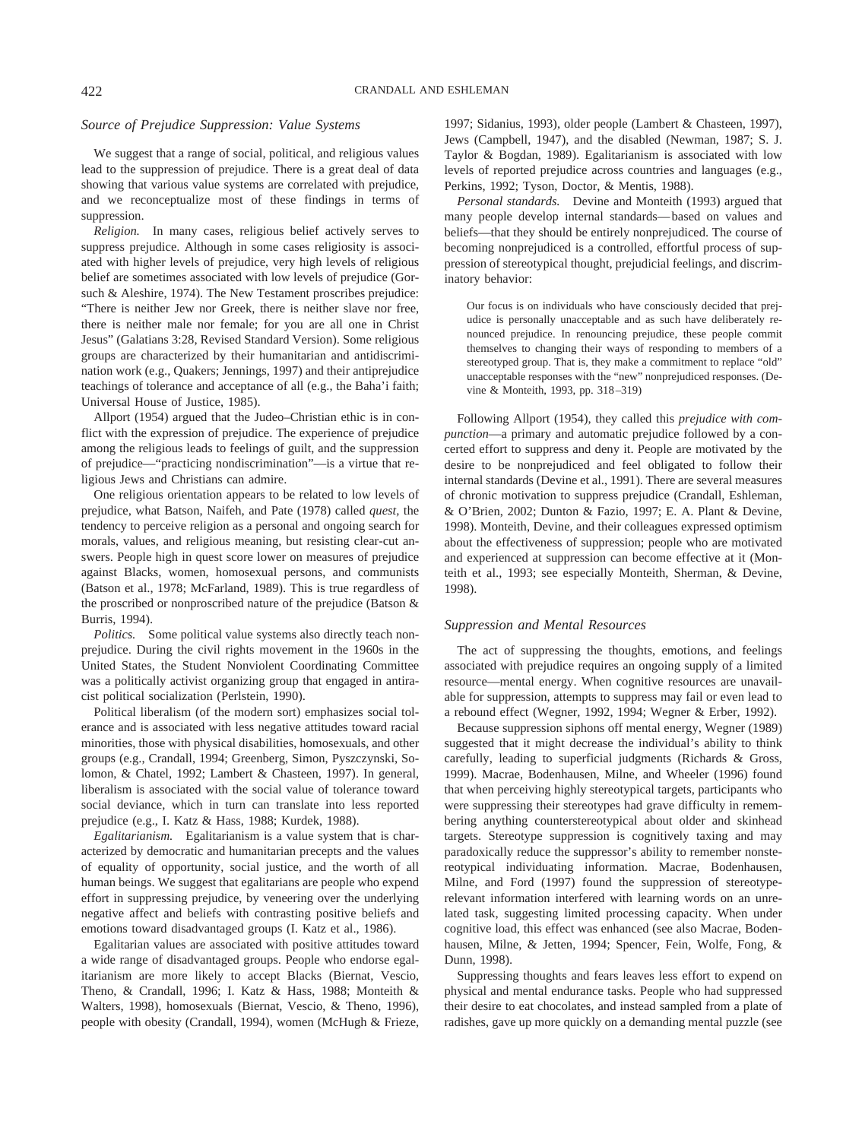#### *Source of Prejudice Suppression: Value Systems*

We suggest that a range of social, political, and religious values lead to the suppression of prejudice. There is a great deal of data showing that various value systems are correlated with prejudice, and we reconceptualize most of these findings in terms of suppression.

*Religion.* In many cases, religious belief actively serves to suppress prejudice. Although in some cases religiosity is associated with higher levels of prejudice, very high levels of religious belief are sometimes associated with low levels of prejudice (Gorsuch & Aleshire, 1974). The New Testament proscribes prejudice: "There is neither Jew nor Greek, there is neither slave nor free, there is neither male nor female; for you are all one in Christ Jesus" (Galatians 3:28, Revised Standard Version). Some religious groups are characterized by their humanitarian and antidiscrimination work (e.g., Quakers; Jennings, 1997) and their antiprejudice teachings of tolerance and acceptance of all (e.g., the Baha'i faith; Universal House of Justice, 1985).

Allport (1954) argued that the Judeo–Christian ethic is in conflict with the expression of prejudice. The experience of prejudice among the religious leads to feelings of guilt, and the suppression of prejudice—"practicing nondiscrimination"—is a virtue that religious Jews and Christians can admire.

One religious orientation appears to be related to low levels of prejudice, what Batson, Naifeh, and Pate (1978) called *quest,* the tendency to perceive religion as a personal and ongoing search for morals, values, and religious meaning, but resisting clear-cut answers. People high in quest score lower on measures of prejudice against Blacks, women, homosexual persons, and communists (Batson et al., 1978; McFarland, 1989). This is true regardless of the proscribed or nonproscribed nature of the prejudice (Batson & Burris, 1994).

*Politics.* Some political value systems also directly teach nonprejudice. During the civil rights movement in the 1960s in the United States, the Student Nonviolent Coordinating Committee was a politically activist organizing group that engaged in antiracist political socialization (Perlstein, 1990).

Political liberalism (of the modern sort) emphasizes social tolerance and is associated with less negative attitudes toward racial minorities, those with physical disabilities, homosexuals, and other groups (e.g., Crandall, 1994; Greenberg, Simon, Pyszczynski, Solomon, & Chatel, 1992; Lambert & Chasteen, 1997). In general, liberalism is associated with the social value of tolerance toward social deviance, which in turn can translate into less reported prejudice (e.g., I. Katz & Hass, 1988; Kurdek, 1988).

*Egalitarianism.* Egalitarianism is a value system that is characterized by democratic and humanitarian precepts and the values of equality of opportunity, social justice, and the worth of all human beings. We suggest that egalitarians are people who expend effort in suppressing prejudice, by veneering over the underlying negative affect and beliefs with contrasting positive beliefs and emotions toward disadvantaged groups (I. Katz et al., 1986).

Egalitarian values are associated with positive attitudes toward a wide range of disadvantaged groups. People who endorse egalitarianism are more likely to accept Blacks (Biernat, Vescio, Theno, & Crandall, 1996; I. Katz & Hass, 1988; Monteith & Walters, 1998), homosexuals (Biernat, Vescio, & Theno, 1996), people with obesity (Crandall, 1994), women (McHugh & Frieze, 1997; Sidanius, 1993), older people (Lambert & Chasteen, 1997), Jews (Campbell, 1947), and the disabled (Newman, 1987; S. J. Taylor & Bogdan, 1989). Egalitarianism is associated with low levels of reported prejudice across countries and languages (e.g., Perkins, 1992; Tyson, Doctor, & Mentis, 1988).

*Personal standards.* Devine and Monteith (1993) argued that many people develop internal standards—based on values and beliefs—that they should be entirely nonprejudiced. The course of becoming nonprejudiced is a controlled, effortful process of suppression of stereotypical thought, prejudicial feelings, and discriminatory behavior:

Our focus is on individuals who have consciously decided that prejudice is personally unacceptable and as such have deliberately renounced prejudice. In renouncing prejudice, these people commit themselves to changing their ways of responding to members of a stereotyped group. That is, they make a commitment to replace "old" unacceptable responses with the "new" nonprejudiced responses. (Devine & Monteith, 1993, pp. 318–319)

Following Allport (1954), they called this *prejudice with compunction*—a primary and automatic prejudice followed by a concerted effort to suppress and deny it. People are motivated by the desire to be nonprejudiced and feel obligated to follow their internal standards (Devine et al., 1991). There are several measures of chronic motivation to suppress prejudice (Crandall, Eshleman, & O'Brien, 2002; Dunton & Fazio, 1997; E. A. Plant & Devine, 1998). Monteith, Devine, and their colleagues expressed optimism about the effectiveness of suppression; people who are motivated and experienced at suppression can become effective at it (Monteith et al., 1993; see especially Monteith, Sherman, & Devine, 1998).

#### *Suppression and Mental Resources*

The act of suppressing the thoughts, emotions, and feelings associated with prejudice requires an ongoing supply of a limited resource—mental energy. When cognitive resources are unavailable for suppression, attempts to suppress may fail or even lead to a rebound effect (Wegner, 1992, 1994; Wegner & Erber, 1992).

Because suppression siphons off mental energy, Wegner (1989) suggested that it might decrease the individual's ability to think carefully, leading to superficial judgments (Richards & Gross, 1999). Macrae, Bodenhausen, Milne, and Wheeler (1996) found that when perceiving highly stereotypical targets, participants who were suppressing their stereotypes had grave difficulty in remembering anything counterstereotypical about older and skinhead targets. Stereotype suppression is cognitively taxing and may paradoxically reduce the suppressor's ability to remember nonstereotypical individuating information. Macrae, Bodenhausen, Milne, and Ford (1997) found the suppression of stereotyperelevant information interfered with learning words on an unrelated task, suggesting limited processing capacity. When under cognitive load, this effect was enhanced (see also Macrae, Bodenhausen, Milne, & Jetten, 1994; Spencer, Fein, Wolfe, Fong, & Dunn, 1998).

Suppressing thoughts and fears leaves less effort to expend on physical and mental endurance tasks. People who had suppressed their desire to eat chocolates, and instead sampled from a plate of radishes, gave up more quickly on a demanding mental puzzle (see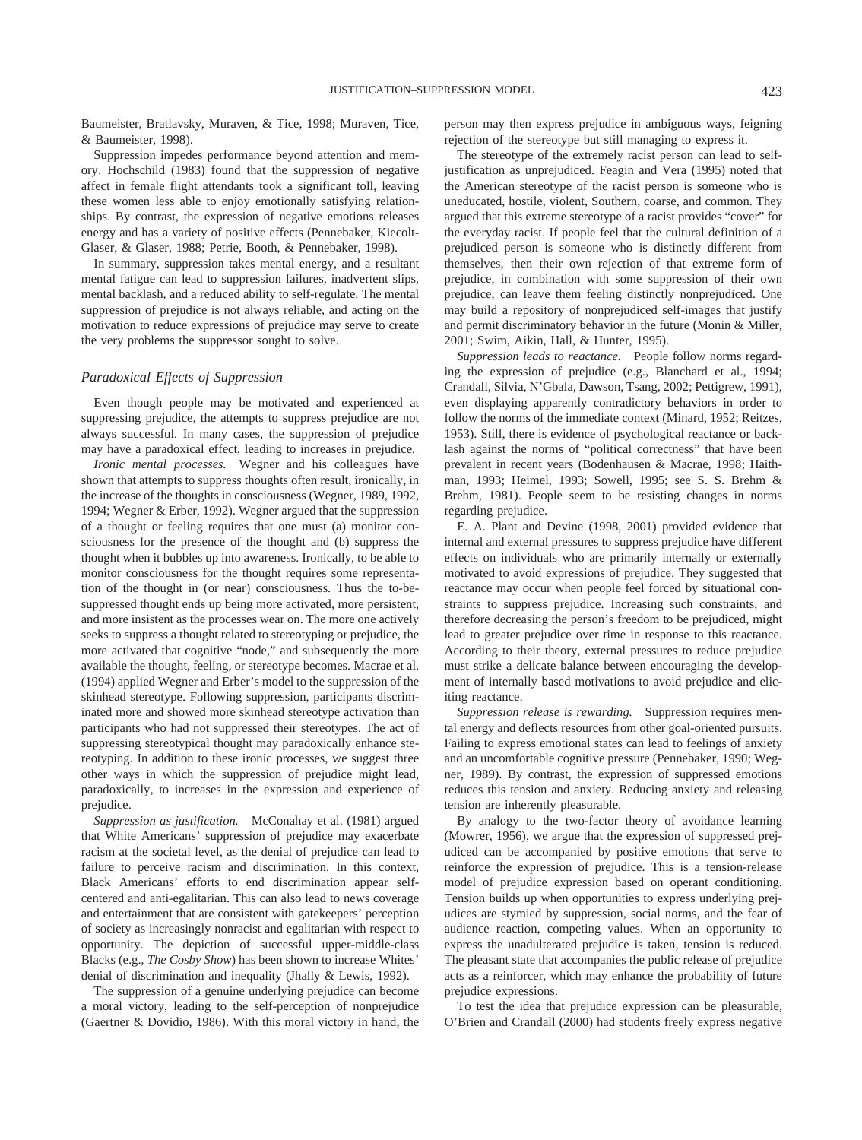Baumeister, Bratlavsky, Muraven, & Tice, 1998; Muraven, Tice, & Baumeister, 1998).

Suppression impedes performance beyond attention and memory. Hochschild (1983) found that the suppression of negative affect in female flight attendants took a significant toll, leaving these women less able to enjoy emotionally satisfying relationships. By contrast, the expression of negative emotions releases energy and has a variety of positive effects (Pennebaker, Kiecolt-Glaser, & Glaser, 1988; Petrie, Booth, & Pennebaker, 1998).

In summary, suppression takes mental energy, and a resultant mental fatigue can lead to suppression failures, inadvertent slips, mental backlash, and a reduced ability to self-regulate. The mental suppression of prejudice is not always reliable, and acting on the motivation to reduce expressions of prejudice may serve to create the very problems the suppressor sought to solve.

#### *Paradoxical Effects of Suppression*

Even though people may be motivated and experienced at suppressing prejudice, the attempts to suppress prejudice are not always successful. In many cases, the suppression of prejudice may have a paradoxical effect, leading to increases in prejudice.

*Ironic mental processes.* Wegner and his colleagues have shown that attempts to suppress thoughts often result, ironically, in the increase of the thoughts in consciousness (Wegner, 1989, 1992, 1994; Wegner & Erber, 1992). Wegner argued that the suppression of a thought or feeling requires that one must (a) monitor consciousness for the presence of the thought and (b) suppress the thought when it bubbles up into awareness. Ironically, to be able to monitor consciousness for the thought requires some representation of the thought in (or near) consciousness. Thus the to-besuppressed thought ends up being more activated, more persistent, and more insistent as the processes wear on. The more one actively seeks to suppress a thought related to stereotyping or prejudice, the more activated that cognitive "node," and subsequently the more available the thought, feeling, or stereotype becomes. Macrae et al. (1994) applied Wegner and Erber's model to the suppression of the skinhead stereotype. Following suppression, participants discriminated more and showed more skinhead stereotype activation than participants who had not suppressed their stereotypes. The act of suppressing stereotypical thought may paradoxically enhance stereotyping. In addition to these ironic processes, we suggest three other ways in which the suppression of prejudice might lead, paradoxically, to increases in the expression and experience of prejudice.

*Suppression as justification.* McConahay et al. (1981) argued that White Americans' suppression of prejudice may exacerbate racism at the societal level, as the denial of prejudice can lead to failure to perceive racism and discrimination. In this context, Black Americans' efforts to end discrimination appear selfcentered and anti-egalitarian. This can also lead to news coverage and entertainment that are consistent with gatekeepers' perception of society as increasingly nonracist and egalitarian with respect to opportunity. The depiction of successful upper-middle-class Blacks (e.g., *The Cosby Show*) has been shown to increase Whites' denial of discrimination and inequality (Jhally & Lewis, 1992).

The suppression of a genuine underlying prejudice can become a moral victory, leading to the self-perception of nonprejudice (Gaertner & Dovidio, 1986). With this moral victory in hand, the person may then express prejudice in ambiguous ways, feigning rejection of the stereotype but still managing to express it.

The stereotype of the extremely racist person can lead to selfjustification as unprejudiced. Feagin and Vera (1995) noted that the American stereotype of the racist person is someone who is uneducated, hostile, violent, Southern, coarse, and common. They argued that this extreme stereotype of a racist provides "cover" for the everyday racist. If people feel that the cultural definition of a prejudiced person is someone who is distinctly different from themselves, then their own rejection of that extreme form of prejudice, in combination with some suppression of their own prejudice, can leave them feeling distinctly nonprejudiced. One may build a repository of nonprejudiced self-images that justify and permit discriminatory behavior in the future (Monin & Miller, 2001; Swim, Aikin, Hall, & Hunter, 1995).

*Suppression leads to reactance.* People follow norms regarding the expression of prejudice (e.g., Blanchard et al., 1994; Crandall, Silvia, N'Gbala, Dawson, Tsang, 2002; Pettigrew, 1991), even displaying apparently contradictory behaviors in order to follow the norms of the immediate context (Minard, 1952; Reitzes, 1953). Still, there is evidence of psychological reactance or backlash against the norms of "political correctness" that have been prevalent in recent years (Bodenhausen & Macrae, 1998; Haithman, 1993; Heimel, 1993; Sowell, 1995; see S. S. Brehm & Brehm, 1981). People seem to be resisting changes in norms regarding prejudice.

E. A. Plant and Devine (1998, 2001) provided evidence that internal and external pressures to suppress prejudice have different effects on individuals who are primarily internally or externally motivated to avoid expressions of prejudice. They suggested that reactance may occur when people feel forced by situational constraints to suppress prejudice. Increasing such constraints, and therefore decreasing the person's freedom to be prejudiced, might lead to greater prejudice over time in response to this reactance. According to their theory, external pressures to reduce prejudice must strike a delicate balance between encouraging the development of internally based motivations to avoid prejudice and eliciting reactance.

*Suppression release is rewarding.* Suppression requires mental energy and deflects resources from other goal-oriented pursuits. Failing to express emotional states can lead to feelings of anxiety and an uncomfortable cognitive pressure (Pennebaker, 1990; Wegner, 1989). By contrast, the expression of suppressed emotions reduces this tension and anxiety. Reducing anxiety and releasing tension are inherently pleasurable.

By analogy to the two-factor theory of avoidance learning (Mowrer, 1956), we argue that the expression of suppressed prejudiced can be accompanied by positive emotions that serve to reinforce the expression of prejudice. This is a tension-release model of prejudice expression based on operant conditioning. Tension builds up when opportunities to express underlying prejudices are stymied by suppression, social norms, and the fear of audience reaction, competing values. When an opportunity to express the unadulterated prejudice is taken, tension is reduced. The pleasant state that accompanies the public release of prejudice acts as a reinforcer, which may enhance the probability of future prejudice expressions.

To test the idea that prejudice expression can be pleasurable, O'Brien and Crandall (2000) had students freely express negative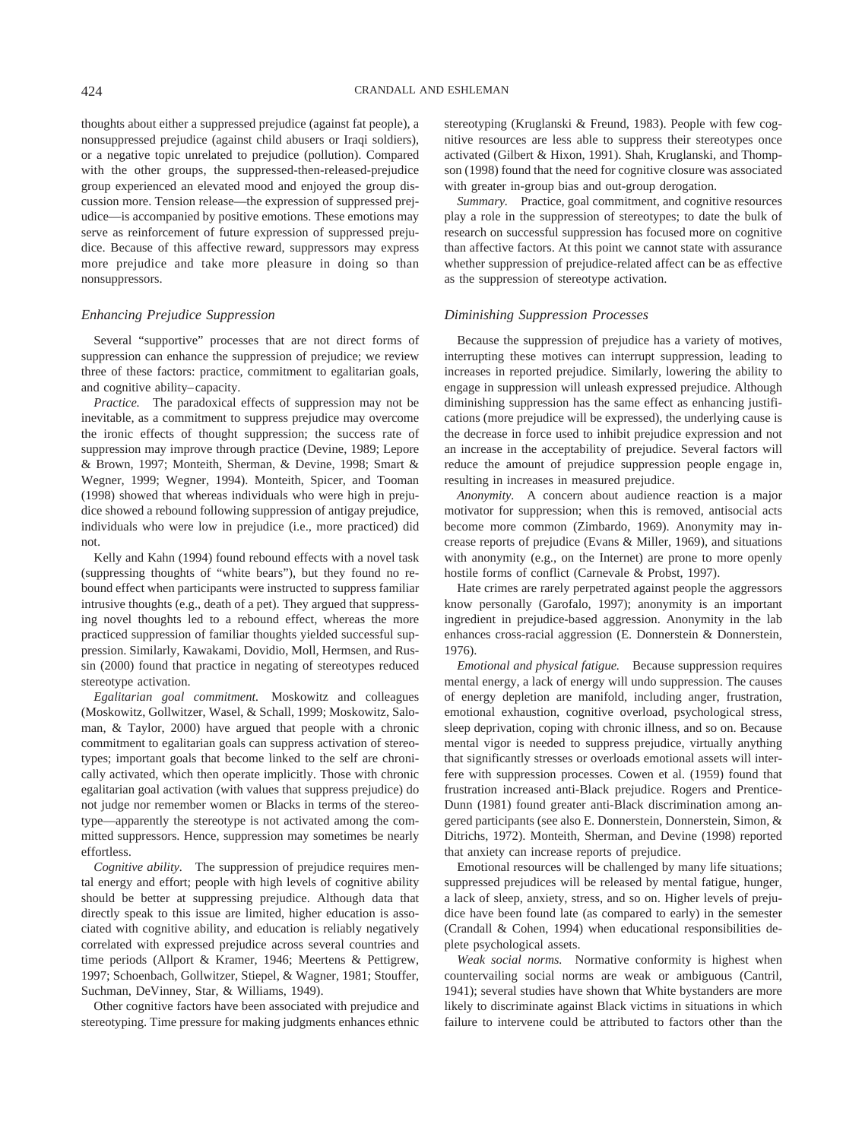thoughts about either a suppressed prejudice (against fat people), a nonsuppressed prejudice (against child abusers or Iraqi soldiers), or a negative topic unrelated to prejudice (pollution). Compared with the other groups, the suppressed-then-released-prejudice group experienced an elevated mood and enjoyed the group discussion more. Tension release—the expression of suppressed prejudice—is accompanied by positive emotions. These emotions may serve as reinforcement of future expression of suppressed prejudice. Because of this affective reward, suppressors may express more prejudice and take more pleasure in doing so than nonsuppressors.

#### *Enhancing Prejudice Suppression*

Several "supportive" processes that are not direct forms of suppression can enhance the suppression of prejudice; we review three of these factors: practice, commitment to egalitarian goals, and cognitive ability–capacity.

*Practice.* The paradoxical effects of suppression may not be inevitable, as a commitment to suppress prejudice may overcome the ironic effects of thought suppression; the success rate of suppression may improve through practice (Devine, 1989; Lepore & Brown, 1997; Monteith, Sherman, & Devine, 1998; Smart & Wegner, 1999; Wegner, 1994). Monteith, Spicer, and Tooman (1998) showed that whereas individuals who were high in prejudice showed a rebound following suppression of antigay prejudice, individuals who were low in prejudice (i.e., more practiced) did not.

Kelly and Kahn (1994) found rebound effects with a novel task (suppressing thoughts of "white bears"), but they found no rebound effect when participants were instructed to suppress familiar intrusive thoughts (e.g., death of a pet). They argued that suppressing novel thoughts led to a rebound effect, whereas the more practiced suppression of familiar thoughts yielded successful suppression. Similarly, Kawakami, Dovidio, Moll, Hermsen, and Russin (2000) found that practice in negating of stereotypes reduced stereotype activation.

*Egalitarian goal commitment.* Moskowitz and colleagues (Moskowitz, Gollwitzer, Wasel, & Schall, 1999; Moskowitz, Saloman, & Taylor, 2000) have argued that people with a chronic commitment to egalitarian goals can suppress activation of stereotypes; important goals that become linked to the self are chronically activated, which then operate implicitly. Those with chronic egalitarian goal activation (with values that suppress prejudice) do not judge nor remember women or Blacks in terms of the stereotype—apparently the stereotype is not activated among the committed suppressors. Hence, suppression may sometimes be nearly effortless.

*Cognitive ability.* The suppression of prejudice requires mental energy and effort; people with high levels of cognitive ability should be better at suppressing prejudice. Although data that directly speak to this issue are limited, higher education is associated with cognitive ability, and education is reliably negatively correlated with expressed prejudice across several countries and time periods (Allport & Kramer, 1946; Meertens & Pettigrew, 1997; Schoenbach, Gollwitzer, Stiepel, & Wagner, 1981; Stouffer, Suchman, DeVinney, Star, & Williams, 1949).

Other cognitive factors have been associated with prejudice and stereotyping. Time pressure for making judgments enhances ethnic stereotyping (Kruglanski & Freund, 1983). People with few cognitive resources are less able to suppress their stereotypes once activated (Gilbert & Hixon, 1991). Shah, Kruglanski, and Thompson (1998) found that the need for cognitive closure was associated with greater in-group bias and out-group derogation.

*Summary.* Practice, goal commitment, and cognitive resources play a role in the suppression of stereotypes; to date the bulk of research on successful suppression has focused more on cognitive than affective factors. At this point we cannot state with assurance whether suppression of prejudice-related affect can be as effective as the suppression of stereotype activation.

#### *Diminishing Suppression Processes*

Because the suppression of prejudice has a variety of motives, interrupting these motives can interrupt suppression, leading to increases in reported prejudice. Similarly, lowering the ability to engage in suppression will unleash expressed prejudice. Although diminishing suppression has the same effect as enhancing justifications (more prejudice will be expressed), the underlying cause is the decrease in force used to inhibit prejudice expression and not an increase in the acceptability of prejudice. Several factors will reduce the amount of prejudice suppression people engage in, resulting in increases in measured prejudice.

*Anonymity.* A concern about audience reaction is a major motivator for suppression; when this is removed, antisocial acts become more common (Zimbardo, 1969). Anonymity may increase reports of prejudice (Evans & Miller, 1969), and situations with anonymity (e.g., on the Internet) are prone to more openly hostile forms of conflict (Carnevale & Probst, 1997).

Hate crimes are rarely perpetrated against people the aggressors know personally (Garofalo, 1997); anonymity is an important ingredient in prejudice-based aggression. Anonymity in the lab enhances cross-racial aggression (E. Donnerstein & Donnerstein, 1976).

*Emotional and physical fatigue.* Because suppression requires mental energy, a lack of energy will undo suppression. The causes of energy depletion are manifold, including anger, frustration, emotional exhaustion, cognitive overload, psychological stress, sleep deprivation, coping with chronic illness, and so on. Because mental vigor is needed to suppress prejudice, virtually anything that significantly stresses or overloads emotional assets will interfere with suppression processes. Cowen et al. (1959) found that frustration increased anti-Black prejudice. Rogers and Prentice-Dunn (1981) found greater anti-Black discrimination among angered participants (see also E. Donnerstein, Donnerstein, Simon, & Ditrichs, 1972). Monteith, Sherman, and Devine (1998) reported that anxiety can increase reports of prejudice.

Emotional resources will be challenged by many life situations; suppressed prejudices will be released by mental fatigue, hunger, a lack of sleep, anxiety, stress, and so on. Higher levels of prejudice have been found late (as compared to early) in the semester (Crandall & Cohen, 1994) when educational responsibilities deplete psychological assets.

*Weak social norms.* Normative conformity is highest when countervailing social norms are weak or ambiguous (Cantril, 1941); several studies have shown that White bystanders are more likely to discriminate against Black victims in situations in which failure to intervene could be attributed to factors other than the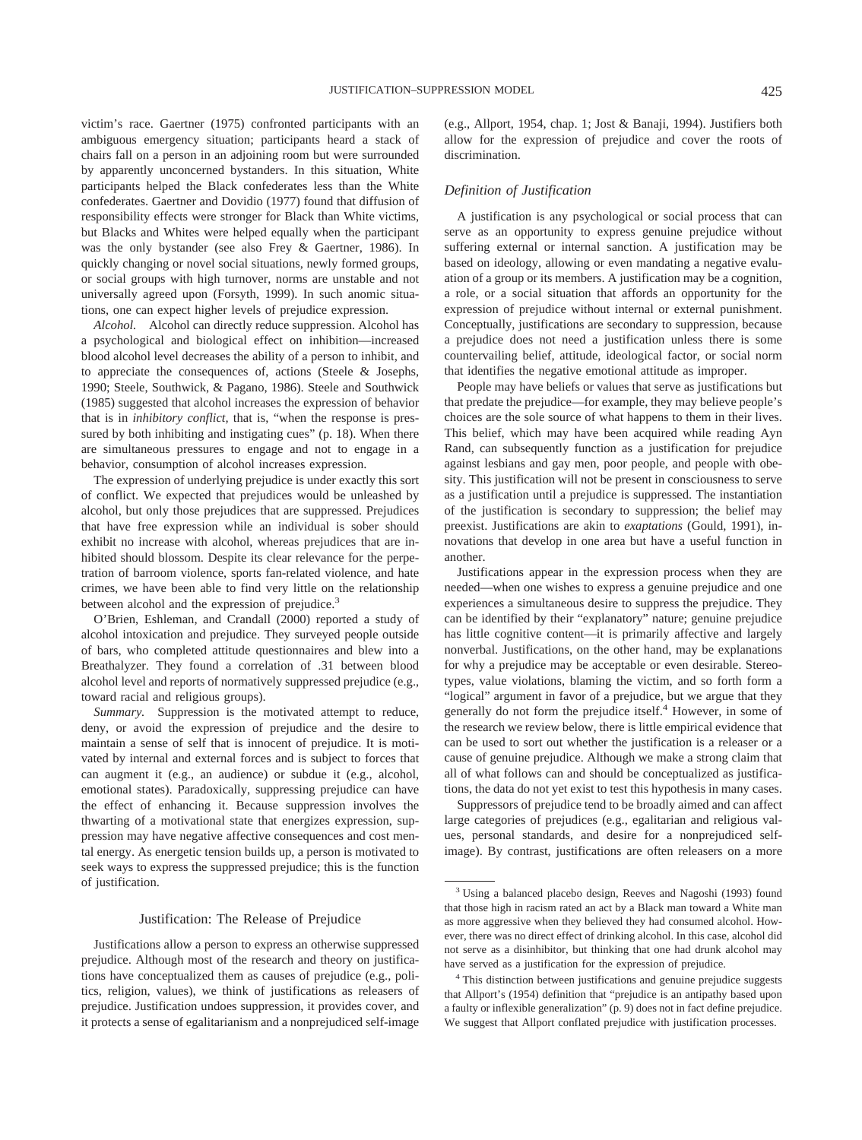victim's race. Gaertner (1975) confronted participants with an ambiguous emergency situation; participants heard a stack of chairs fall on a person in an adjoining room but were surrounded by apparently unconcerned bystanders. In this situation, White participants helped the Black confederates less than the White confederates. Gaertner and Dovidio (1977) found that diffusion of responsibility effects were stronger for Black than White victims, but Blacks and Whites were helped equally when the participant was the only bystander (see also Frey & Gaertner, 1986). In quickly changing or novel social situations, newly formed groups, or social groups with high turnover, norms are unstable and not universally agreed upon (Forsyth, 1999). In such anomic situations, one can expect higher levels of prejudice expression.

*Alcohol.* Alcohol can directly reduce suppression. Alcohol has a psychological and biological effect on inhibition—increased blood alcohol level decreases the ability of a person to inhibit, and to appreciate the consequences of, actions (Steele & Josephs, 1990; Steele, Southwick, & Pagano, 1986). Steele and Southwick (1985) suggested that alcohol increases the expression of behavior that is in *inhibitory conflict,* that is, "when the response is pressured by both inhibiting and instigating cues" (p. 18). When there are simultaneous pressures to engage and not to engage in a behavior, consumption of alcohol increases expression.

The expression of underlying prejudice is under exactly this sort of conflict. We expected that prejudices would be unleashed by alcohol, but only those prejudices that are suppressed. Prejudices that have free expression while an individual is sober should exhibit no increase with alcohol, whereas prejudices that are inhibited should blossom. Despite its clear relevance for the perpetration of barroom violence, sports fan-related violence, and hate crimes, we have been able to find very little on the relationship between alcohol and the expression of prejudice.<sup>3</sup>

O'Brien, Eshleman, and Crandall (2000) reported a study of alcohol intoxication and prejudice. They surveyed people outside of bars, who completed attitude questionnaires and blew into a Breathalyzer. They found a correlation of .31 between blood alcohol level and reports of normatively suppressed prejudice (e.g., toward racial and religious groups).

*Summary.* Suppression is the motivated attempt to reduce, deny, or avoid the expression of prejudice and the desire to maintain a sense of self that is innocent of prejudice. It is motivated by internal and external forces and is subject to forces that can augment it (e.g., an audience) or subdue it (e.g., alcohol, emotional states). Paradoxically, suppressing prejudice can have the effect of enhancing it. Because suppression involves the thwarting of a motivational state that energizes expression, suppression may have negative affective consequences and cost mental energy. As energetic tension builds up, a person is motivated to seek ways to express the suppressed prejudice; this is the function of justification.

#### Justification: The Release of Prejudice

Justifications allow a person to express an otherwise suppressed prejudice. Although most of the research and theory on justifications have conceptualized them as causes of prejudice (e.g., politics, religion, values), we think of justifications as releasers of prejudice. Justification undoes suppression, it provides cover, and it protects a sense of egalitarianism and a nonprejudiced self-image (e.g., Allport, 1954, chap. 1; Jost & Banaji, 1994). Justifiers both allow for the expression of prejudice and cover the roots of discrimination.

#### *Definition of Justification*

A justification is any psychological or social process that can serve as an opportunity to express genuine prejudice without suffering external or internal sanction. A justification may be based on ideology, allowing or even mandating a negative evaluation of a group or its members. A justification may be a cognition, a role, or a social situation that affords an opportunity for the expression of prejudice without internal or external punishment. Conceptually, justifications are secondary to suppression, because a prejudice does not need a justification unless there is some countervailing belief, attitude, ideological factor, or social norm that identifies the negative emotional attitude as improper.

People may have beliefs or values that serve as justifications but that predate the prejudice—for example, they may believe people's choices are the sole source of what happens to them in their lives. This belief, which may have been acquired while reading Ayn Rand, can subsequently function as a justification for prejudice against lesbians and gay men, poor people, and people with obesity. This justification will not be present in consciousness to serve as a justification until a prejudice is suppressed. The instantiation of the justification is secondary to suppression; the belief may preexist. Justifications are akin to *exaptations* (Gould, 1991), innovations that develop in one area but have a useful function in another.

Justifications appear in the expression process when they are needed—when one wishes to express a genuine prejudice and one experiences a simultaneous desire to suppress the prejudice. They can be identified by their "explanatory" nature; genuine prejudice has little cognitive content—it is primarily affective and largely nonverbal. Justifications, on the other hand, may be explanations for why a prejudice may be acceptable or even desirable. Stereotypes, value violations, blaming the victim, and so forth form a "logical" argument in favor of a prejudice, but we argue that they generally do not form the prejudice itself.<sup>4</sup> However, in some of the research we review below, there is little empirical evidence that can be used to sort out whether the justification is a releaser or a cause of genuine prejudice. Although we make a strong claim that all of what follows can and should be conceptualized as justifications, the data do not yet exist to test this hypothesis in many cases.

Suppressors of prejudice tend to be broadly aimed and can affect large categories of prejudices (e.g., egalitarian and religious values, personal standards, and desire for a nonprejudiced selfimage). By contrast, justifications are often releasers on a more

<sup>3</sup> Using a balanced placebo design, Reeves and Nagoshi (1993) found that those high in racism rated an act by a Black man toward a White man as more aggressive when they believed they had consumed alcohol. However, there was no direct effect of drinking alcohol. In this case, alcohol did not serve as a disinhibitor, but thinking that one had drunk alcohol may have served as a justification for the expression of prejudice.

<sup>&</sup>lt;sup>4</sup> This distinction between justifications and genuine prejudice suggests that Allport's (1954) definition that "prejudice is an antipathy based upon a faulty or inflexible generalization" (p. 9) does not in fact define prejudice. We suggest that Allport conflated prejudice with justification processes.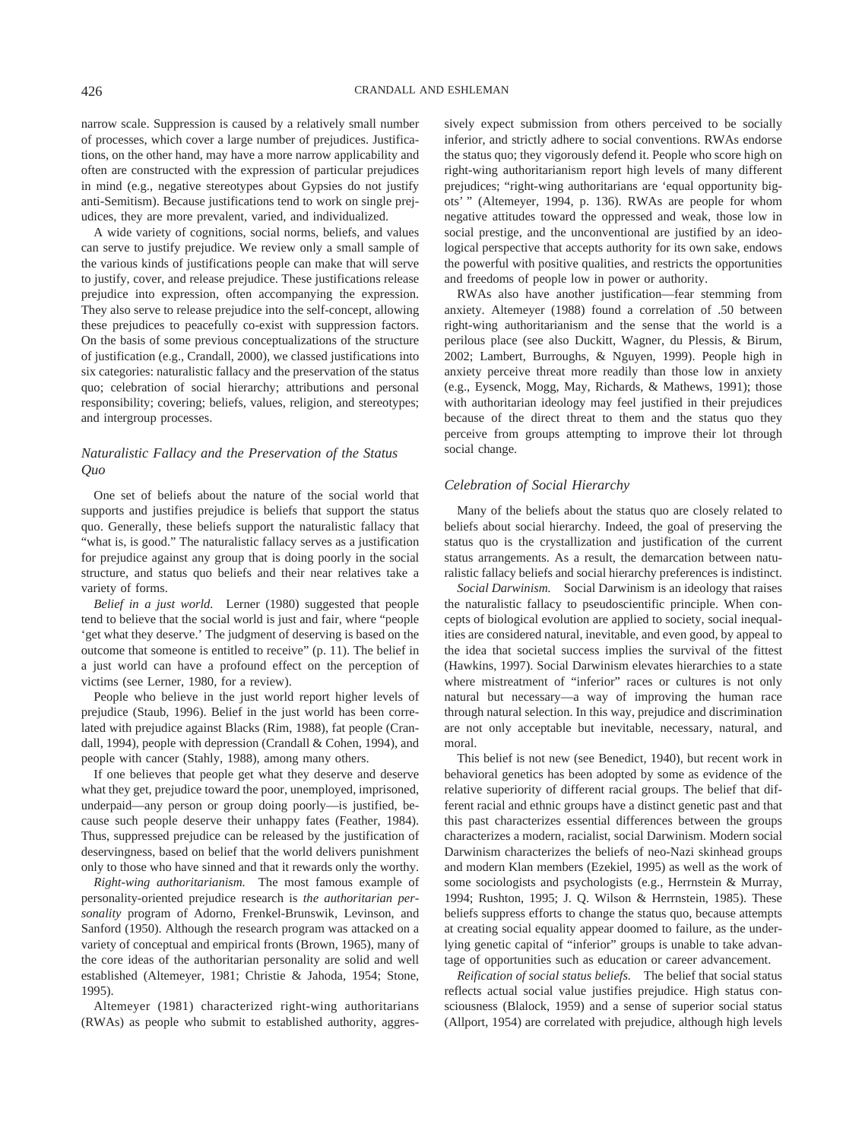narrow scale. Suppression is caused by a relatively small number of processes, which cover a large number of prejudices. Justifications, on the other hand, may have a more narrow applicability and often are constructed with the expression of particular prejudices in mind (e.g., negative stereotypes about Gypsies do not justify anti-Semitism). Because justifications tend to work on single prejudices, they are more prevalent, varied, and individualized.

A wide variety of cognitions, social norms, beliefs, and values can serve to justify prejudice. We review only a small sample of the various kinds of justifications people can make that will serve to justify, cover, and release prejudice. These justifications release prejudice into expression, often accompanying the expression. They also serve to release prejudice into the self-concept, allowing these prejudices to peacefully co-exist with suppression factors. On the basis of some previous conceptualizations of the structure of justification (e.g., Crandall, 2000), we classed justifications into six categories: naturalistic fallacy and the preservation of the status quo; celebration of social hierarchy; attributions and personal responsibility; covering; beliefs, values, religion, and stereotypes; and intergroup processes.

### *Naturalistic Fallacy and the Preservation of the Status Quo*

One set of beliefs about the nature of the social world that supports and justifies prejudice is beliefs that support the status quo. Generally, these beliefs support the naturalistic fallacy that "what is, is good." The naturalistic fallacy serves as a justification for prejudice against any group that is doing poorly in the social structure, and status quo beliefs and their near relatives take a variety of forms.

*Belief in a just world.* Lerner (1980) suggested that people tend to believe that the social world is just and fair, where "people 'get what they deserve.' The judgment of deserving is based on the outcome that someone is entitled to receive" (p. 11). The belief in a just world can have a profound effect on the perception of victims (see Lerner, 1980, for a review).

People who believe in the just world report higher levels of prejudice (Staub, 1996). Belief in the just world has been correlated with prejudice against Blacks (Rim, 1988), fat people (Crandall, 1994), people with depression (Crandall & Cohen, 1994), and people with cancer (Stahly, 1988), among many others.

If one believes that people get what they deserve and deserve what they get, prejudice toward the poor, unemployed, imprisoned, underpaid—any person or group doing poorly—is justified, because such people deserve their unhappy fates (Feather, 1984). Thus, suppressed prejudice can be released by the justification of deservingness, based on belief that the world delivers punishment only to those who have sinned and that it rewards only the worthy.

*Right-wing authoritarianism.* The most famous example of personality-oriented prejudice research is *the authoritarian personality* program of Adorno, Frenkel-Brunswik, Levinson, and Sanford (1950). Although the research program was attacked on a variety of conceptual and empirical fronts (Brown, 1965), many of the core ideas of the authoritarian personality are solid and well established (Altemeyer, 1981; Christie & Jahoda, 1954; Stone, 1995).

Altemeyer (1981) characterized right-wing authoritarians (RWAs) as people who submit to established authority, aggressively expect submission from others perceived to be socially inferior, and strictly adhere to social conventions. RWAs endorse the status quo; they vigorously defend it. People who score high on right-wing authoritarianism report high levels of many different prejudices; "right-wing authoritarians are 'equal opportunity bigots' " (Altemeyer, 1994, p. 136). RWAs are people for whom negative attitudes toward the oppressed and weak, those low in social prestige, and the unconventional are justified by an ideological perspective that accepts authority for its own sake, endows the powerful with positive qualities, and restricts the opportunities and freedoms of people low in power or authority.

RWAs also have another justification—fear stemming from anxiety. Altemeyer (1988) found a correlation of .50 between right-wing authoritarianism and the sense that the world is a perilous place (see also Duckitt, Wagner, du Plessis, & Birum, 2002; Lambert, Burroughs, & Nguyen, 1999). People high in anxiety perceive threat more readily than those low in anxiety (e.g., Eysenck, Mogg, May, Richards, & Mathews, 1991); those with authoritarian ideology may feel justified in their prejudices because of the direct threat to them and the status quo they perceive from groups attempting to improve their lot through social change.

#### *Celebration of Social Hierarchy*

Many of the beliefs about the status quo are closely related to beliefs about social hierarchy. Indeed, the goal of preserving the status quo is the crystallization and justification of the current status arrangements. As a result, the demarcation between naturalistic fallacy beliefs and social hierarchy preferences is indistinct.

*Social Darwinism.* Social Darwinism is an ideology that raises the naturalistic fallacy to pseudoscientific principle. When concepts of biological evolution are applied to society, social inequalities are considered natural, inevitable, and even good, by appeal to the idea that societal success implies the survival of the fittest (Hawkins, 1997). Social Darwinism elevates hierarchies to a state where mistreatment of "inferior" races or cultures is not only natural but necessary—a way of improving the human race through natural selection. In this way, prejudice and discrimination are not only acceptable but inevitable, necessary, natural, and moral.

This belief is not new (see Benedict, 1940), but recent work in behavioral genetics has been adopted by some as evidence of the relative superiority of different racial groups. The belief that different racial and ethnic groups have a distinct genetic past and that this past characterizes essential differences between the groups characterizes a modern, racialist, social Darwinism. Modern social Darwinism characterizes the beliefs of neo-Nazi skinhead groups and modern Klan members (Ezekiel, 1995) as well as the work of some sociologists and psychologists (e.g., Herrnstein & Murray, 1994; Rushton, 1995; J. Q. Wilson & Herrnstein, 1985). These beliefs suppress efforts to change the status quo, because attempts at creating social equality appear doomed to failure, as the underlying genetic capital of "inferior" groups is unable to take advantage of opportunities such as education or career advancement.

*Reification of social status beliefs.* The belief that social status reflects actual social value justifies prejudice. High status consciousness (Blalock, 1959) and a sense of superior social status (Allport, 1954) are correlated with prejudice, although high levels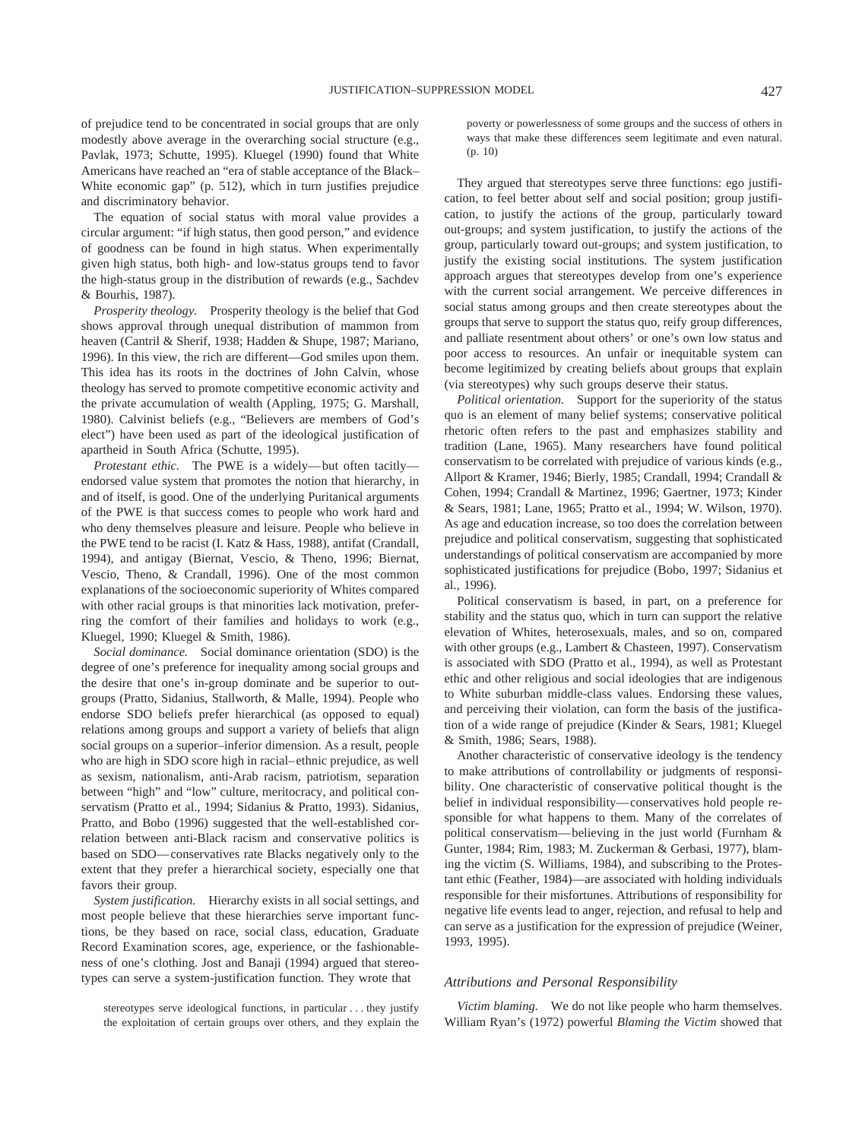of prejudice tend to be concentrated in social groups that are only modestly above average in the overarching social structure (e.g., Pavlak, 1973; Schutte, 1995). Kluegel (1990) found that White Americans have reached an "era of stable acceptance of the Black– White economic gap" (p. 512), which in turn justifies prejudice and discriminatory behavior.

The equation of social status with moral value provides a circular argument: "if high status, then good person," and evidence of goodness can be found in high status. When experimentally given high status, both high- and low-status groups tend to favor the high-status group in the distribution of rewards (e.g., Sachdev & Bourhis, 1987).

*Prosperity theology.* Prosperity theology is the belief that God shows approval through unequal distribution of mammon from heaven (Cantril & Sherif, 1938; Hadden & Shupe, 1987; Mariano, 1996). In this view, the rich are different—God smiles upon them. This idea has its roots in the doctrines of John Calvin, whose theology has served to promote competitive economic activity and the private accumulation of wealth (Appling, 1975; G. Marshall, 1980). Calvinist beliefs (e.g., "Believers are members of God's elect") have been used as part of the ideological justification of apartheid in South Africa (Schutte, 1995).

*Protestant ethic.* The PWE is a widely—but often tacitly endorsed value system that promotes the notion that hierarchy, in and of itself, is good. One of the underlying Puritanical arguments of the PWE is that success comes to people who work hard and who deny themselves pleasure and leisure. People who believe in the PWE tend to be racist (I. Katz & Hass, 1988), antifat (Crandall, 1994), and antigay (Biernat, Vescio, & Theno, 1996; Biernat, Vescio, Theno, & Crandall, 1996). One of the most common explanations of the socioeconomic superiority of Whites compared with other racial groups is that minorities lack motivation, preferring the comfort of their families and holidays to work (e.g., Kluegel, 1990; Kluegel & Smith, 1986).

*Social dominance.* Social dominance orientation (SDO) is the degree of one's preference for inequality among social groups and the desire that one's in-group dominate and be superior to outgroups (Pratto, Sidanius, Stallworth, & Malle, 1994). People who endorse SDO beliefs prefer hierarchical (as opposed to equal) relations among groups and support a variety of beliefs that align social groups on a superior–inferior dimension. As a result, people who are high in SDO score high in racial–ethnic prejudice, as well as sexism, nationalism, anti-Arab racism, patriotism, separation between "high" and "low" culture, meritocracy, and political conservatism (Pratto et al., 1994; Sidanius & Pratto, 1993). Sidanius, Pratto, and Bobo (1996) suggested that the well-established correlation between anti-Black racism and conservative politics is based on SDO—conservatives rate Blacks negatively only to the extent that they prefer a hierarchical society, especially one that favors their group.

*System justification.* Hierarchy exists in all social settings, and most people believe that these hierarchies serve important functions, be they based on race, social class, education, Graduate Record Examination scores, age, experience, or the fashionableness of one's clothing. Jost and Banaji (1994) argued that stereotypes can serve a system-justification function. They wrote that

stereotypes serve ideological functions, in particular... they justify the exploitation of certain groups over others, and they explain the

poverty or powerlessness of some groups and the success of others in ways that make these differences seem legitimate and even natural. (p. 10)

They argued that stereotypes serve three functions: ego justification, to feel better about self and social position; group justification, to justify the actions of the group, particularly toward out-groups; and system justification, to justify the actions of the group, particularly toward out-groups; and system justification, to justify the existing social institutions. The system justification approach argues that stereotypes develop from one's experience with the current social arrangement. We perceive differences in social status among groups and then create stereotypes about the groups that serve to support the status quo, reify group differences, and palliate resentment about others' or one's own low status and poor access to resources. An unfair or inequitable system can become legitimized by creating beliefs about groups that explain (via stereotypes) why such groups deserve their status.

*Political orientation.* Support for the superiority of the status quo is an element of many belief systems; conservative political rhetoric often refers to the past and emphasizes stability and tradition (Lane, 1965). Many researchers have found political conservatism to be correlated with prejudice of various kinds (e.g., Allport & Kramer, 1946; Bierly, 1985; Crandall, 1994; Crandall & Cohen, 1994; Crandall & Martinez, 1996; Gaertner, 1973; Kinder & Sears, 1981; Lane, 1965; Pratto et al., 1994; W. Wilson, 1970). As age and education increase, so too does the correlation between prejudice and political conservatism, suggesting that sophisticated understandings of political conservatism are accompanied by more sophisticated justifications for prejudice (Bobo, 1997; Sidanius et al., 1996).

Political conservatism is based, in part, on a preference for stability and the status quo, which in turn can support the relative elevation of Whites, heterosexuals, males, and so on, compared with other groups (e.g., Lambert & Chasteen, 1997). Conservatism is associated with SDO (Pratto et al., 1994), as well as Protestant ethic and other religious and social ideologies that are indigenous to White suburban middle-class values. Endorsing these values, and perceiving their violation, can form the basis of the justification of a wide range of prejudice (Kinder & Sears, 1981; Kluegel & Smith, 1986; Sears, 1988).

Another characteristic of conservative ideology is the tendency to make attributions of controllability or judgments of responsibility. One characteristic of conservative political thought is the belief in individual responsibility—conservatives hold people responsible for what happens to them. Many of the correlates of political conservatism—believing in the just world (Furnham & Gunter, 1984; Rim, 1983; M. Zuckerman & Gerbasi, 1977), blaming the victim (S. Williams, 1984), and subscribing to the Protestant ethic (Feather, 1984)—are associated with holding individuals responsible for their misfortunes. Attributions of responsibility for negative life events lead to anger, rejection, and refusal to help and can serve as a justification for the expression of prejudice (Weiner, 1993, 1995).

#### *Attributions and Personal Responsibility*

*Victim blaming.* We do not like people who harm themselves. William Ryan's (1972) powerful *Blaming the Victim* showed that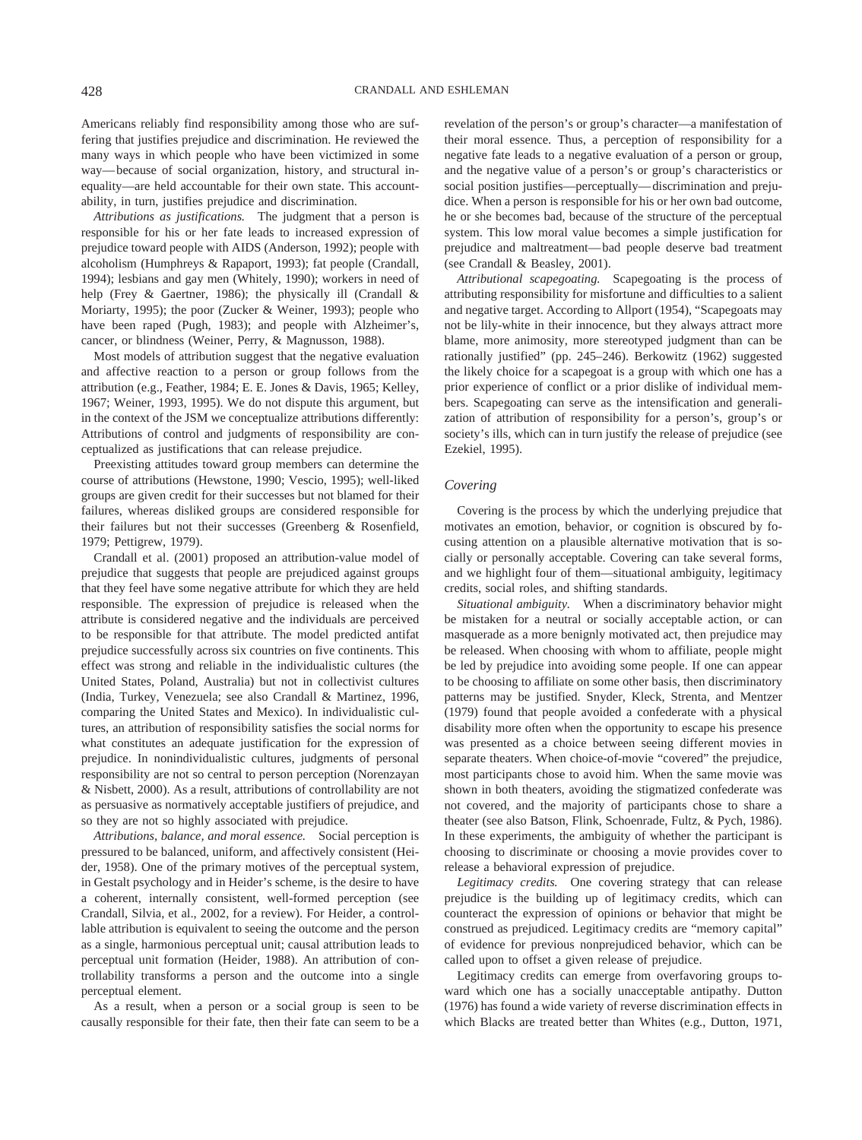Americans reliably find responsibility among those who are suffering that justifies prejudice and discrimination. He reviewed the many ways in which people who have been victimized in some way—because of social organization, history, and structural inequality—are held accountable for their own state. This accountability, in turn, justifies prejudice and discrimination.

*Attributions as justifications.* The judgment that a person is responsible for his or her fate leads to increased expression of prejudice toward people with AIDS (Anderson, 1992); people with alcoholism (Humphreys & Rapaport, 1993); fat people (Crandall, 1994); lesbians and gay men (Whitely, 1990); workers in need of help (Frey & Gaertner, 1986); the physically ill (Crandall & Moriarty, 1995); the poor (Zucker & Weiner, 1993); people who have been raped (Pugh, 1983); and people with Alzheimer's, cancer, or blindness (Weiner, Perry, & Magnusson, 1988).

Most models of attribution suggest that the negative evaluation and affective reaction to a person or group follows from the attribution (e.g., Feather, 1984; E. E. Jones & Davis, 1965; Kelley, 1967; Weiner, 1993, 1995). We do not dispute this argument, but in the context of the JSM we conceptualize attributions differently: Attributions of control and judgments of responsibility are conceptualized as justifications that can release prejudice.

Preexisting attitudes toward group members can determine the course of attributions (Hewstone, 1990; Vescio, 1995); well-liked groups are given credit for their successes but not blamed for their failures, whereas disliked groups are considered responsible for their failures but not their successes (Greenberg & Rosenfield, 1979; Pettigrew, 1979).

Crandall et al. (2001) proposed an attribution-value model of prejudice that suggests that people are prejudiced against groups that they feel have some negative attribute for which they are held responsible. The expression of prejudice is released when the attribute is considered negative and the individuals are perceived to be responsible for that attribute. The model predicted antifat prejudice successfully across six countries on five continents. This effect was strong and reliable in the individualistic cultures (the United States, Poland, Australia) but not in collectivist cultures (India, Turkey, Venezuela; see also Crandall & Martinez, 1996, comparing the United States and Mexico). In individualistic cultures, an attribution of responsibility satisfies the social norms for what constitutes an adequate justification for the expression of prejudice. In nonindividualistic cultures, judgments of personal responsibility are not so central to person perception (Norenzayan & Nisbett, 2000). As a result, attributions of controllability are not as persuasive as normatively acceptable justifiers of prejudice, and so they are not so highly associated with prejudice.

*Attributions, balance, and moral essence.* Social perception is pressured to be balanced, uniform, and affectively consistent (Heider, 1958). One of the primary motives of the perceptual system, in Gestalt psychology and in Heider's scheme, is the desire to have a coherent, internally consistent, well-formed perception (see Crandall, Silvia, et al., 2002, for a review). For Heider, a controllable attribution is equivalent to seeing the outcome and the person as a single, harmonious perceptual unit; causal attribution leads to perceptual unit formation (Heider, 1988). An attribution of controllability transforms a person and the outcome into a single perceptual element.

As a result, when a person or a social group is seen to be causally responsible for their fate, then their fate can seem to be a revelation of the person's or group's character—a manifestation of their moral essence. Thus, a perception of responsibility for a negative fate leads to a negative evaluation of a person or group, and the negative value of a person's or group's characteristics or social position justifies—perceptually—discrimination and prejudice. When a person is responsible for his or her own bad outcome, he or she becomes bad, because of the structure of the perceptual system. This low moral value becomes a simple justification for prejudice and maltreatment—bad people deserve bad treatment (see Crandall & Beasley, 2001).

*Attributional scapegoating.* Scapegoating is the process of attributing responsibility for misfortune and difficulties to a salient and negative target. According to Allport (1954), "Scapegoats may not be lily-white in their innocence, but they always attract more blame, more animosity, more stereotyped judgment than can be rationally justified" (pp. 245–246). Berkowitz (1962) suggested the likely choice for a scapegoat is a group with which one has a prior experience of conflict or a prior dislike of individual members. Scapegoating can serve as the intensification and generalization of attribution of responsibility for a person's, group's or society's ills, which can in turn justify the release of prejudice (see Ezekiel, 1995).

#### *Covering*

Covering is the process by which the underlying prejudice that motivates an emotion, behavior, or cognition is obscured by focusing attention on a plausible alternative motivation that is socially or personally acceptable. Covering can take several forms, and we highlight four of them—situational ambiguity, legitimacy credits, social roles, and shifting standards.

*Situational ambiguity.* When a discriminatory behavior might be mistaken for a neutral or socially acceptable action, or can masquerade as a more benignly motivated act, then prejudice may be released. When choosing with whom to affiliate, people might be led by prejudice into avoiding some people. If one can appear to be choosing to affiliate on some other basis, then discriminatory patterns may be justified. Snyder, Kleck, Strenta, and Mentzer (1979) found that people avoided a confederate with a physical disability more often when the opportunity to escape his presence was presented as a choice between seeing different movies in separate theaters. When choice-of-movie "covered" the prejudice, most participants chose to avoid him. When the same movie was shown in both theaters, avoiding the stigmatized confederate was not covered, and the majority of participants chose to share a theater (see also Batson, Flink, Schoenrade, Fultz, & Pych, 1986). In these experiments, the ambiguity of whether the participant is choosing to discriminate or choosing a movie provides cover to release a behavioral expression of prejudice.

*Legitimacy credits.* One covering strategy that can release prejudice is the building up of legitimacy credits, which can counteract the expression of opinions or behavior that might be construed as prejudiced. Legitimacy credits are "memory capital" of evidence for previous nonprejudiced behavior, which can be called upon to offset a given release of prejudice.

Legitimacy credits can emerge from overfavoring groups toward which one has a socially unacceptable antipathy. Dutton (1976) has found a wide variety of reverse discrimination effects in which Blacks are treated better than Whites (e.g., Dutton, 1971,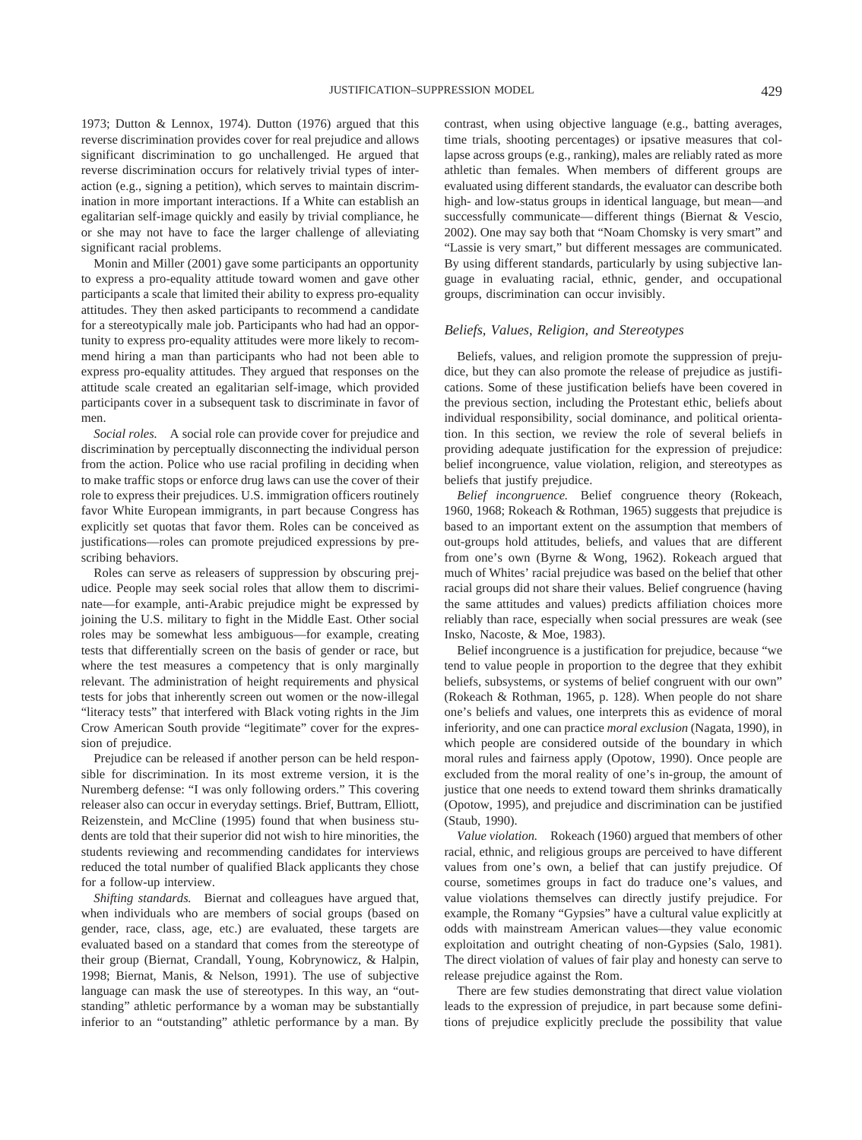1973; Dutton & Lennox, 1974). Dutton (1976) argued that this reverse discrimination provides cover for real prejudice and allows significant discrimination to go unchallenged. He argued that reverse discrimination occurs for relatively trivial types of interaction (e.g., signing a petition), which serves to maintain discrimination in more important interactions. If a White can establish an egalitarian self-image quickly and easily by trivial compliance, he or she may not have to face the larger challenge of alleviating significant racial problems.

Monin and Miller (2001) gave some participants an opportunity to express a pro-equality attitude toward women and gave other participants a scale that limited their ability to express pro-equality attitudes. They then asked participants to recommend a candidate for a stereotypically male job. Participants who had had an opportunity to express pro-equality attitudes were more likely to recommend hiring a man than participants who had not been able to express pro-equality attitudes. They argued that responses on the attitude scale created an egalitarian self-image, which provided participants cover in a subsequent task to discriminate in favor of men.

*Social roles.* A social role can provide cover for prejudice and discrimination by perceptually disconnecting the individual person from the action. Police who use racial profiling in deciding when to make traffic stops or enforce drug laws can use the cover of their role to express their prejudices. U.S. immigration officers routinely favor White European immigrants, in part because Congress has explicitly set quotas that favor them. Roles can be conceived as justifications—roles can promote prejudiced expressions by prescribing behaviors.

Roles can serve as releasers of suppression by obscuring prejudice. People may seek social roles that allow them to discriminate—for example, anti-Arabic prejudice might be expressed by joining the U.S. military to fight in the Middle East. Other social roles may be somewhat less ambiguous—for example, creating tests that differentially screen on the basis of gender or race, but where the test measures a competency that is only marginally relevant. The administration of height requirements and physical tests for jobs that inherently screen out women or the now-illegal "literacy tests" that interfered with Black voting rights in the Jim Crow American South provide "legitimate" cover for the expression of prejudice.

Prejudice can be released if another person can be held responsible for discrimination. In its most extreme version, it is the Nuremberg defense: "I was only following orders." This covering releaser also can occur in everyday settings. Brief, Buttram, Elliott, Reizenstein, and McCline (1995) found that when business students are told that their superior did not wish to hire minorities, the students reviewing and recommending candidates for interviews reduced the total number of qualified Black applicants they chose for a follow-up interview.

*Shifting standards.* Biernat and colleagues have argued that, when individuals who are members of social groups (based on gender, race, class, age, etc.) are evaluated, these targets are evaluated based on a standard that comes from the stereotype of their group (Biernat, Crandall, Young, Kobrynowicz, & Halpin, 1998; Biernat, Manis, & Nelson, 1991). The use of subjective language can mask the use of stereotypes. In this way, an "outstanding" athletic performance by a woman may be substantially inferior to an "outstanding" athletic performance by a man. By contrast, when using objective language (e.g., batting averages, time trials, shooting percentages) or ipsative measures that collapse across groups (e.g., ranking), males are reliably rated as more athletic than females. When members of different groups are evaluated using different standards, the evaluator can describe both high- and low-status groups in identical language, but mean—and successfully communicate—different things (Biernat & Vescio, 2002). One may say both that "Noam Chomsky is very smart" and "Lassie is very smart," but different messages are communicated. By using different standards, particularly by using subjective language in evaluating racial, ethnic, gender, and occupational groups, discrimination can occur invisibly.

#### *Beliefs, Values, Religion, and Stereotypes*

Beliefs, values, and religion promote the suppression of prejudice, but they can also promote the release of prejudice as justifications. Some of these justification beliefs have been covered in the previous section, including the Protestant ethic, beliefs about individual responsibility, social dominance, and political orientation. In this section, we review the role of several beliefs in providing adequate justification for the expression of prejudice: belief incongruence, value violation, religion, and stereotypes as beliefs that justify prejudice.

*Belief incongruence.* Belief congruence theory (Rokeach, 1960, 1968; Rokeach & Rothman, 1965) suggests that prejudice is based to an important extent on the assumption that members of out-groups hold attitudes, beliefs, and values that are different from one's own (Byrne & Wong, 1962). Rokeach argued that much of Whites' racial prejudice was based on the belief that other racial groups did not share their values. Belief congruence (having the same attitudes and values) predicts affiliation choices more reliably than race, especially when social pressures are weak (see Insko, Nacoste, & Moe, 1983).

Belief incongruence is a justification for prejudice, because "we tend to value people in proportion to the degree that they exhibit beliefs, subsystems, or systems of belief congruent with our own" (Rokeach & Rothman, 1965, p. 128). When people do not share one's beliefs and values, one interprets this as evidence of moral inferiority, and one can practice *moral exclusion* (Nagata, 1990), in which people are considered outside of the boundary in which moral rules and fairness apply (Opotow, 1990). Once people are excluded from the moral reality of one's in-group, the amount of justice that one needs to extend toward them shrinks dramatically (Opotow, 1995), and prejudice and discrimination can be justified (Staub, 1990).

*Value violation.* Rokeach (1960) argued that members of other racial, ethnic, and religious groups are perceived to have different values from one's own, a belief that can justify prejudice. Of course, sometimes groups in fact do traduce one's values, and value violations themselves can directly justify prejudice. For example, the Romany "Gypsies" have a cultural value explicitly at odds with mainstream American values—they value economic exploitation and outright cheating of non-Gypsies (Salo, 1981). The direct violation of values of fair play and honesty can serve to release prejudice against the Rom.

There are few studies demonstrating that direct value violation leads to the expression of prejudice, in part because some definitions of prejudice explicitly preclude the possibility that value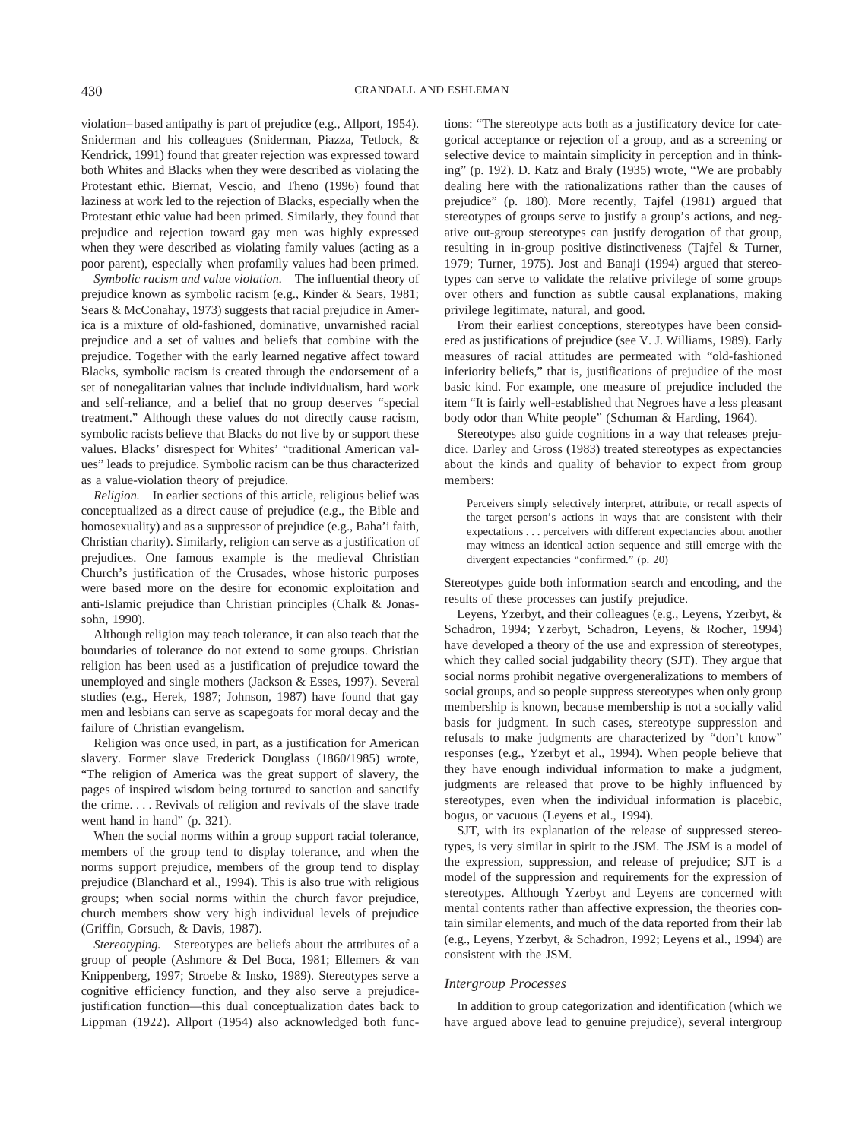violation–based antipathy is part of prejudice (e.g., Allport, 1954). Sniderman and his colleagues (Sniderman, Piazza, Tetlock, & Kendrick, 1991) found that greater rejection was expressed toward both Whites and Blacks when they were described as violating the Protestant ethic. Biernat, Vescio, and Theno (1996) found that laziness at work led to the rejection of Blacks, especially when the Protestant ethic value had been primed. Similarly, they found that prejudice and rejection toward gay men was highly expressed when they were described as violating family values (acting as a poor parent), especially when profamily values had been primed.

*Symbolic racism and value violation.* The influential theory of prejudice known as symbolic racism (e.g., Kinder & Sears, 1981; Sears & McConahay, 1973) suggests that racial prejudice in America is a mixture of old-fashioned, dominative, unvarnished racial prejudice and a set of values and beliefs that combine with the prejudice. Together with the early learned negative affect toward Blacks, symbolic racism is created through the endorsement of a set of nonegalitarian values that include individualism, hard work and self-reliance, and a belief that no group deserves "special treatment." Although these values do not directly cause racism, symbolic racists believe that Blacks do not live by or support these values. Blacks' disrespect for Whites' "traditional American values" leads to prejudice. Symbolic racism can be thus characterized as a value-violation theory of prejudice.

*Religion.* In earlier sections of this article, religious belief was conceptualized as a direct cause of prejudice (e.g., the Bible and homosexuality) and as a suppressor of prejudice (e.g., Baha'i faith, Christian charity). Similarly, religion can serve as a justification of prejudices. One famous example is the medieval Christian Church's justification of the Crusades, whose historic purposes were based more on the desire for economic exploitation and anti-Islamic prejudice than Christian principles (Chalk & Jonassohn, 1990).

Although religion may teach tolerance, it can also teach that the boundaries of tolerance do not extend to some groups. Christian religion has been used as a justification of prejudice toward the unemployed and single mothers (Jackson & Esses, 1997). Several studies (e.g., Herek, 1987; Johnson, 1987) have found that gay men and lesbians can serve as scapegoats for moral decay and the failure of Christian evangelism.

Religion was once used, in part, as a justification for American slavery. Former slave Frederick Douglass (1860/1985) wrote, "The religion of America was the great support of slavery, the pages of inspired wisdom being tortured to sanction and sanctify the crime.... Revivals of religion and revivals of the slave trade went hand in hand" (p. 321).

When the social norms within a group support racial tolerance, members of the group tend to display tolerance, and when the norms support prejudice, members of the group tend to display prejudice (Blanchard et al., 1994). This is also true with religious groups; when social norms within the church favor prejudice, church members show very high individual levels of prejudice (Griffin, Gorsuch, & Davis, 1987).

*Stereotyping.* Stereotypes are beliefs about the attributes of a group of people (Ashmore & Del Boca, 1981; Ellemers & van Knippenberg, 1997; Stroebe & Insko, 1989). Stereotypes serve a cognitive efficiency function, and they also serve a prejudicejustification function—this dual conceptualization dates back to Lippman (1922). Allport (1954) also acknowledged both functions: "The stereotype acts both as a justificatory device for categorical acceptance or rejection of a group, and as a screening or selective device to maintain simplicity in perception and in thinking" (p. 192). D. Katz and Braly (1935) wrote, "We are probably dealing here with the rationalizations rather than the causes of prejudice" (p. 180). More recently, Tajfel (1981) argued that stereotypes of groups serve to justify a group's actions, and negative out-group stereotypes can justify derogation of that group, resulting in in-group positive distinctiveness (Tajfel & Turner, 1979; Turner, 1975). Jost and Banaji (1994) argued that stereotypes can serve to validate the relative privilege of some groups over others and function as subtle causal explanations, making privilege legitimate, natural, and good.

From their earliest conceptions, stereotypes have been considered as justifications of prejudice (see V. J. Williams, 1989). Early measures of racial attitudes are permeated with "old-fashioned inferiority beliefs," that is, justifications of prejudice of the most basic kind. For example, one measure of prejudice included the item "It is fairly well-established that Negroes have a less pleasant body odor than White people" (Schuman & Harding, 1964).

Stereotypes also guide cognitions in a way that releases prejudice. Darley and Gross (1983) treated stereotypes as expectancies about the kinds and quality of behavior to expect from group members:

Perceivers simply selectively interpret, attribute, or recall aspects of the target person's actions in ways that are consistent with their expectations... perceivers with different expectancies about another may witness an identical action sequence and still emerge with the divergent expectancies "confirmed." (p. 20)

Stereotypes guide both information search and encoding, and the results of these processes can justify prejudice.

Leyens, Yzerbyt, and their colleagues (e.g., Leyens, Yzerbyt, & Schadron, 1994; Yzerbyt, Schadron, Leyens, & Rocher, 1994) have developed a theory of the use and expression of stereotypes, which they called social judgability theory (SJT). They argue that social norms prohibit negative overgeneralizations to members of social groups, and so people suppress stereotypes when only group membership is known, because membership is not a socially valid basis for judgment. In such cases, stereotype suppression and refusals to make judgments are characterized by "don't know" responses (e.g., Yzerbyt et al., 1994). When people believe that they have enough individual information to make a judgment, judgments are released that prove to be highly influenced by stereotypes, even when the individual information is placebic, bogus, or vacuous (Leyens et al., 1994).

SJT, with its explanation of the release of suppressed stereotypes, is very similar in spirit to the JSM. The JSM is a model of the expression, suppression, and release of prejudice; SJT is a model of the suppression and requirements for the expression of stereotypes. Although Yzerbyt and Leyens are concerned with mental contents rather than affective expression, the theories contain similar elements, and much of the data reported from their lab (e.g., Leyens, Yzerbyt, & Schadron, 1992; Leyens et al., 1994) are consistent with the JSM.

#### *Intergroup Processes*

In addition to group categorization and identification (which we have argued above lead to genuine prejudice), several intergroup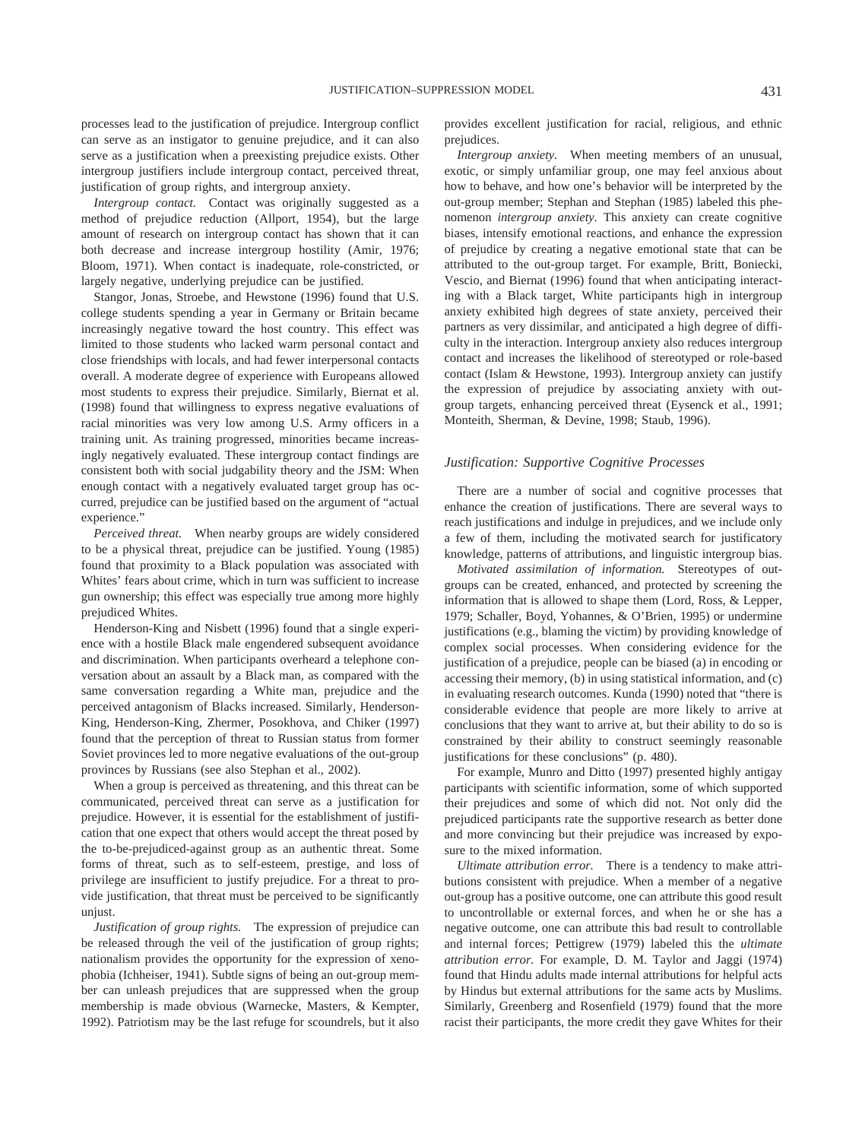processes lead to the justification of prejudice. Intergroup conflict can serve as an instigator to genuine prejudice, and it can also serve as a justification when a preexisting prejudice exists. Other intergroup justifiers include intergroup contact, perceived threat, justification of group rights, and intergroup anxiety.

*Intergroup contact.* Contact was originally suggested as a method of prejudice reduction (Allport, 1954), but the large amount of research on intergroup contact has shown that it can both decrease and increase intergroup hostility (Amir, 1976; Bloom, 1971). When contact is inadequate, role-constricted, or largely negative, underlying prejudice can be justified.

Stangor, Jonas, Stroebe, and Hewstone (1996) found that U.S. college students spending a year in Germany or Britain became increasingly negative toward the host country. This effect was limited to those students who lacked warm personal contact and close friendships with locals, and had fewer interpersonal contacts overall. A moderate degree of experience with Europeans allowed most students to express their prejudice. Similarly, Biernat et al. (1998) found that willingness to express negative evaluations of racial minorities was very low among U.S. Army officers in a training unit. As training progressed, minorities became increasingly negatively evaluated. These intergroup contact findings are consistent both with social judgability theory and the JSM: When enough contact with a negatively evaluated target group has occurred, prejudice can be justified based on the argument of "actual experience."

*Perceived threat.* When nearby groups are widely considered to be a physical threat, prejudice can be justified. Young (1985) found that proximity to a Black population was associated with Whites' fears about crime, which in turn was sufficient to increase gun ownership; this effect was especially true among more highly prejudiced Whites.

Henderson-King and Nisbett (1996) found that a single experience with a hostile Black male engendered subsequent avoidance and discrimination. When participants overheard a telephone conversation about an assault by a Black man, as compared with the same conversation regarding a White man, prejudice and the perceived antagonism of Blacks increased. Similarly, Henderson-King, Henderson-King, Zhermer, Posokhova, and Chiker (1997) found that the perception of threat to Russian status from former Soviet provinces led to more negative evaluations of the out-group provinces by Russians (see also Stephan et al., 2002).

When a group is perceived as threatening, and this threat can be communicated, perceived threat can serve as a justification for prejudice. However, it is essential for the establishment of justification that one expect that others would accept the threat posed by the to-be-prejudiced-against group as an authentic threat. Some forms of threat, such as to self-esteem, prestige, and loss of privilege are insufficient to justify prejudice. For a threat to provide justification, that threat must be perceived to be significantly unjust.

*Justification of group rights.* The expression of prejudice can be released through the veil of the justification of group rights; nationalism provides the opportunity for the expression of xenophobia (Ichheiser, 1941). Subtle signs of being an out-group member can unleash prejudices that are suppressed when the group membership is made obvious (Warnecke, Masters, & Kempter, 1992). Patriotism may be the last refuge for scoundrels, but it also provides excellent justification for racial, religious, and ethnic prejudices.

*Intergroup anxiety.* When meeting members of an unusual, exotic, or simply unfamiliar group, one may feel anxious about how to behave, and how one's behavior will be interpreted by the out-group member; Stephan and Stephan (1985) labeled this phenomenon *intergroup anxiety.* This anxiety can create cognitive biases, intensify emotional reactions, and enhance the expression of prejudice by creating a negative emotional state that can be attributed to the out-group target. For example, Britt, Boniecki, Vescio, and Biernat (1996) found that when anticipating interacting with a Black target, White participants high in intergroup anxiety exhibited high degrees of state anxiety, perceived their partners as very dissimilar, and anticipated a high degree of difficulty in the interaction. Intergroup anxiety also reduces intergroup contact and increases the likelihood of stereotyped or role-based contact (Islam & Hewstone, 1993). Intergroup anxiety can justify the expression of prejudice by associating anxiety with outgroup targets, enhancing perceived threat (Eysenck et al., 1991; Monteith, Sherman, & Devine, 1998; Staub, 1996).

#### *Justification: Supportive Cognitive Processes*

There are a number of social and cognitive processes that enhance the creation of justifications. There are several ways to reach justifications and indulge in prejudices, and we include only a few of them, including the motivated search for justificatory knowledge, patterns of attributions, and linguistic intergroup bias.

*Motivated assimilation of information.* Stereotypes of outgroups can be created, enhanced, and protected by screening the information that is allowed to shape them (Lord, Ross, & Lepper, 1979; Schaller, Boyd, Yohannes, & O'Brien, 1995) or undermine justifications (e.g., blaming the victim) by providing knowledge of complex social processes. When considering evidence for the justification of a prejudice, people can be biased (a) in encoding or accessing their memory, (b) in using statistical information, and (c) in evaluating research outcomes. Kunda (1990) noted that "there is considerable evidence that people are more likely to arrive at conclusions that they want to arrive at, but their ability to do so is constrained by their ability to construct seemingly reasonable justifications for these conclusions" (p. 480).

For example, Munro and Ditto (1997) presented highly antigay participants with scientific information, some of which supported their prejudices and some of which did not. Not only did the prejudiced participants rate the supportive research as better done and more convincing but their prejudice was increased by exposure to the mixed information.

*Ultimate attribution error.* There is a tendency to make attributions consistent with prejudice. When a member of a negative out-group has a positive outcome, one can attribute this good result to uncontrollable or external forces, and when he or she has a negative outcome, one can attribute this bad result to controllable and internal forces; Pettigrew (1979) labeled this the *ultimate attribution error.* For example, D. M. Taylor and Jaggi (1974) found that Hindu adults made internal attributions for helpful acts by Hindus but external attributions for the same acts by Muslims. Similarly, Greenberg and Rosenfield (1979) found that the more racist their participants, the more credit they gave Whites for their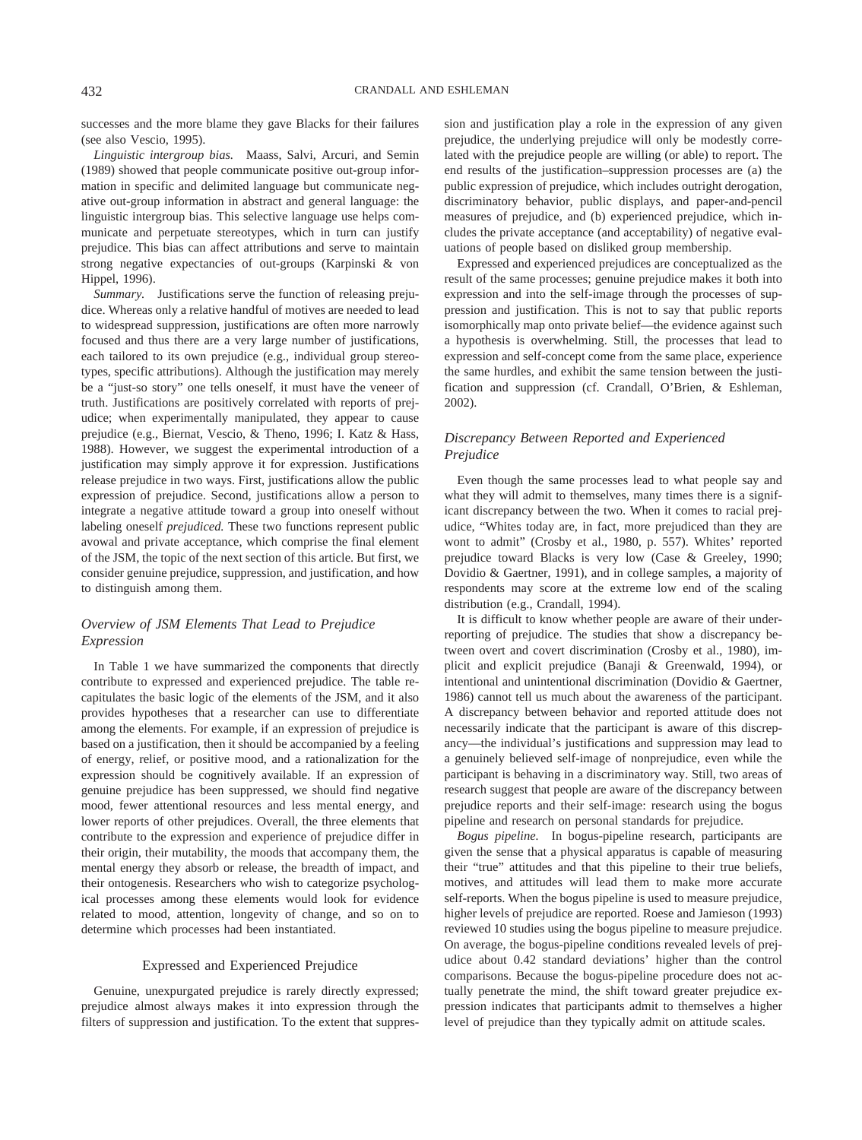successes and the more blame they gave Blacks for their failures (see also Vescio, 1995).

*Linguistic intergroup bias.* Maass, Salvi, Arcuri, and Semin (1989) showed that people communicate positive out-group information in specific and delimited language but communicate negative out-group information in abstract and general language: the linguistic intergroup bias. This selective language use helps communicate and perpetuate stereotypes, which in turn can justify prejudice. This bias can affect attributions and serve to maintain strong negative expectancies of out-groups (Karpinski & von Hippel, 1996).

*Summary.* Justifications serve the function of releasing prejudice. Whereas only a relative handful of motives are needed to lead to widespread suppression, justifications are often more narrowly focused and thus there are a very large number of justifications, each tailored to its own prejudice (e.g., individual group stereotypes, specific attributions). Although the justification may merely be a "just-so story" one tells oneself, it must have the veneer of truth. Justifications are positively correlated with reports of prejudice; when experimentally manipulated, they appear to cause prejudice (e.g., Biernat, Vescio, & Theno, 1996; I. Katz & Hass, 1988). However, we suggest the experimental introduction of a justification may simply approve it for expression. Justifications release prejudice in two ways. First, justifications allow the public expression of prejudice. Second, justifications allow a person to integrate a negative attitude toward a group into oneself without labeling oneself *prejudiced.* These two functions represent public avowal and private acceptance, which comprise the final element of the JSM, the topic of the next section of this article. But first, we consider genuine prejudice, suppression, and justification, and how to distinguish among them.

### *Overview of JSM Elements That Lead to Prejudice Expression*

In Table 1 we have summarized the components that directly contribute to expressed and experienced prejudice. The table recapitulates the basic logic of the elements of the JSM, and it also provides hypotheses that a researcher can use to differentiate among the elements. For example, if an expression of prejudice is based on a justification, then it should be accompanied by a feeling of energy, relief, or positive mood, and a rationalization for the expression should be cognitively available. If an expression of genuine prejudice has been suppressed, we should find negative mood, fewer attentional resources and less mental energy, and lower reports of other prejudices. Overall, the three elements that contribute to the expression and experience of prejudice differ in their origin, their mutability, the moods that accompany them, the mental energy they absorb or release, the breadth of impact, and their ontogenesis. Researchers who wish to categorize psychological processes among these elements would look for evidence related to mood, attention, longevity of change, and so on to determine which processes had been instantiated.

#### Expressed and Experienced Prejudice

Genuine, unexpurgated prejudice is rarely directly expressed; prejudice almost always makes it into expression through the filters of suppression and justification. To the extent that suppression and justification play a role in the expression of any given prejudice, the underlying prejudice will only be modestly correlated with the prejudice people are willing (or able) to report. The end results of the justification–suppression processes are (a) the public expression of prejudice, which includes outright derogation, discriminatory behavior, public displays, and paper-and-pencil measures of prejudice, and (b) experienced prejudice, which includes the private acceptance (and acceptability) of negative evaluations of people based on disliked group membership.

Expressed and experienced prejudices are conceptualized as the result of the same processes; genuine prejudice makes it both into expression and into the self-image through the processes of suppression and justification. This is not to say that public reports isomorphically map onto private belief—the evidence against such a hypothesis is overwhelming. Still, the processes that lead to expression and self-concept come from the same place, experience the same hurdles, and exhibit the same tension between the justification and suppression (cf. Crandall, O'Brien, & Eshleman, 2002).

### *Discrepancy Between Reported and Experienced Prejudice*

Even though the same processes lead to what people say and what they will admit to themselves, many times there is a significant discrepancy between the two. When it comes to racial prejudice, "Whites today are, in fact, more prejudiced than they are wont to admit" (Crosby et al., 1980, p. 557). Whites' reported prejudice toward Blacks is very low (Case & Greeley, 1990; Dovidio & Gaertner, 1991), and in college samples, a majority of respondents may score at the extreme low end of the scaling distribution (e.g., Crandall, 1994).

It is difficult to know whether people are aware of their underreporting of prejudice. The studies that show a discrepancy between overt and covert discrimination (Crosby et al., 1980), implicit and explicit prejudice (Banaji & Greenwald, 1994), or intentional and unintentional discrimination (Dovidio & Gaertner, 1986) cannot tell us much about the awareness of the participant. A discrepancy between behavior and reported attitude does not necessarily indicate that the participant is aware of this discrepancy—the individual's justifications and suppression may lead to a genuinely believed self-image of nonprejudice, even while the participant is behaving in a discriminatory way. Still, two areas of research suggest that people are aware of the discrepancy between prejudice reports and their self-image: research using the bogus pipeline and research on personal standards for prejudice.

*Bogus pipeline.* In bogus-pipeline research, participants are given the sense that a physical apparatus is capable of measuring their "true" attitudes and that this pipeline to their true beliefs, motives, and attitudes will lead them to make more accurate self-reports. When the bogus pipeline is used to measure prejudice, higher levels of prejudice are reported. Roese and Jamieson (1993) reviewed 10 studies using the bogus pipeline to measure prejudice. On average, the bogus-pipeline conditions revealed levels of prejudice about 0.42 standard deviations' higher than the control comparisons. Because the bogus-pipeline procedure does not actually penetrate the mind, the shift toward greater prejudice expression indicates that participants admit to themselves a higher level of prejudice than they typically admit on attitude scales.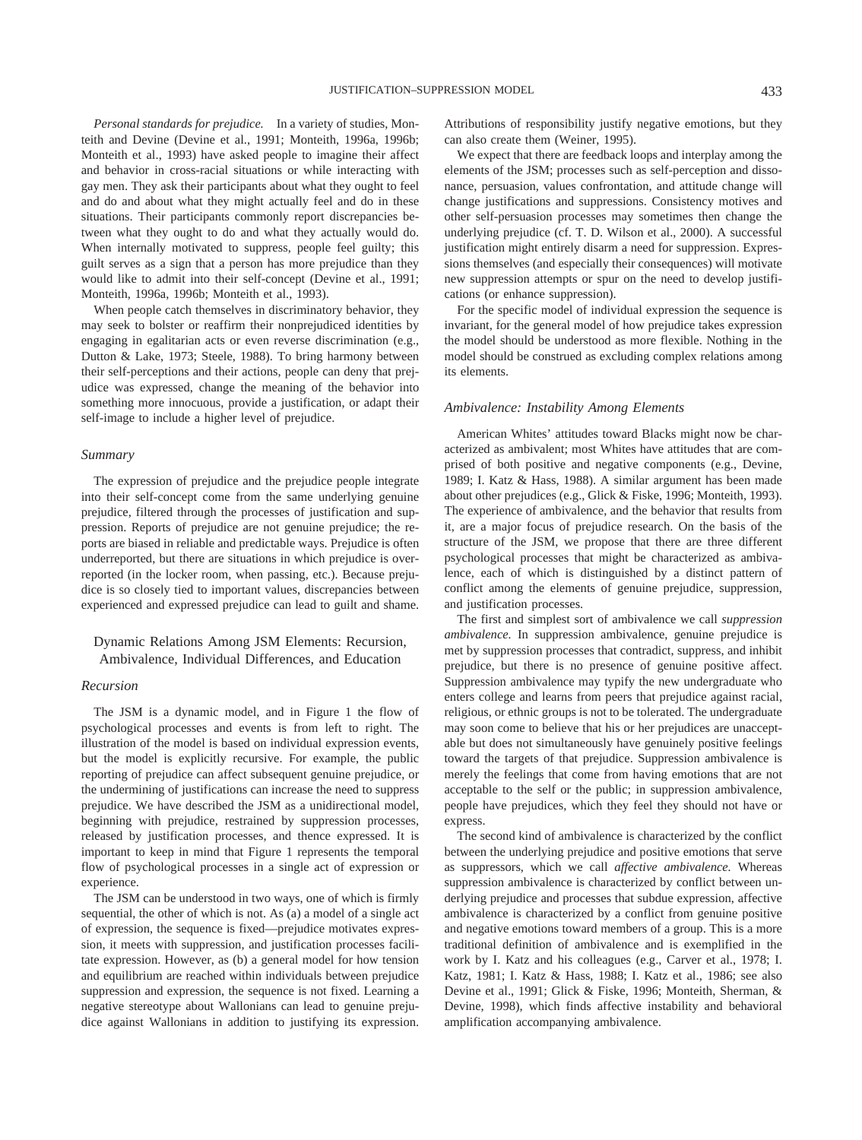*Personal standards for prejudice.* In a variety of studies, Monteith and Devine (Devine et al., 1991; Monteith, 1996a, 1996b; Monteith et al., 1993) have asked people to imagine their affect and behavior in cross-racial situations or while interacting with gay men. They ask their participants about what they ought to feel and do and about what they might actually feel and do in these situations. Their participants commonly report discrepancies between what they ought to do and what they actually would do. When internally motivated to suppress, people feel guilty; this guilt serves as a sign that a person has more prejudice than they would like to admit into their self-concept (Devine et al., 1991; Monteith, 1996a, 1996b; Monteith et al., 1993).

When people catch themselves in discriminatory behavior, they may seek to bolster or reaffirm their nonprejudiced identities by engaging in egalitarian acts or even reverse discrimination (e.g., Dutton & Lake, 1973; Steele, 1988). To bring harmony between their self-perceptions and their actions, people can deny that prejudice was expressed, change the meaning of the behavior into something more innocuous, provide a justification, or adapt their self-image to include a higher level of prejudice.

#### *Summary*

The expression of prejudice and the prejudice people integrate into their self-concept come from the same underlying genuine prejudice, filtered through the processes of justification and suppression. Reports of prejudice are not genuine prejudice; the reports are biased in reliable and predictable ways. Prejudice is often underreported, but there are situations in which prejudice is overreported (in the locker room, when passing, etc.). Because prejudice is so closely tied to important values, discrepancies between experienced and expressed prejudice can lead to guilt and shame.

#### Dynamic Relations Among JSM Elements: Recursion, Ambivalence, Individual Differences, and Education

#### *Recursion*

The JSM is a dynamic model, and in Figure 1 the flow of psychological processes and events is from left to right. The illustration of the model is based on individual expression events, but the model is explicitly recursive. For example, the public reporting of prejudice can affect subsequent genuine prejudice, or the undermining of justifications can increase the need to suppress prejudice. We have described the JSM as a unidirectional model, beginning with prejudice, restrained by suppression processes, released by justification processes, and thence expressed. It is important to keep in mind that Figure 1 represents the temporal flow of psychological processes in a single act of expression or experience.

The JSM can be understood in two ways, one of which is firmly sequential, the other of which is not. As (a) a model of a single act of expression, the sequence is fixed—prejudice motivates expression, it meets with suppression, and justification processes facilitate expression. However, as (b) a general model for how tension and equilibrium are reached within individuals between prejudice suppression and expression, the sequence is not fixed. Learning a negative stereotype about Wallonians can lead to genuine prejudice against Wallonians in addition to justifying its expression. Attributions of responsibility justify negative emotions, but they can also create them (Weiner, 1995).

We expect that there are feedback loops and interplay among the elements of the JSM; processes such as self-perception and dissonance, persuasion, values confrontation, and attitude change will change justifications and suppressions. Consistency motives and other self-persuasion processes may sometimes then change the underlying prejudice (cf. T. D. Wilson et al., 2000). A successful justification might entirely disarm a need for suppression. Expressions themselves (and especially their consequences) will motivate new suppression attempts or spur on the need to develop justifications (or enhance suppression).

For the specific model of individual expression the sequence is invariant, for the general model of how prejudice takes expression the model should be understood as more flexible. Nothing in the model should be construed as excluding complex relations among its elements.

#### *Ambivalence: Instability Among Elements*

American Whites' attitudes toward Blacks might now be characterized as ambivalent; most Whites have attitudes that are comprised of both positive and negative components (e.g., Devine, 1989; I. Katz & Hass, 1988). A similar argument has been made about other prejudices (e.g., Glick & Fiske, 1996; Monteith, 1993). The experience of ambivalence, and the behavior that results from it, are a major focus of prejudice research. On the basis of the structure of the JSM, we propose that there are three different psychological processes that might be characterized as ambivalence, each of which is distinguished by a distinct pattern of conflict among the elements of genuine prejudice, suppression, and justification processes.

The first and simplest sort of ambivalence we call *suppression ambivalence.* In suppression ambivalence, genuine prejudice is met by suppression processes that contradict, suppress, and inhibit prejudice, but there is no presence of genuine positive affect. Suppression ambivalence may typify the new undergraduate who enters college and learns from peers that prejudice against racial, religious, or ethnic groups is not to be tolerated. The undergraduate may soon come to believe that his or her prejudices are unacceptable but does not simultaneously have genuinely positive feelings toward the targets of that prejudice. Suppression ambivalence is merely the feelings that come from having emotions that are not acceptable to the self or the public; in suppression ambivalence, people have prejudices, which they feel they should not have or express.

The second kind of ambivalence is characterized by the conflict between the underlying prejudice and positive emotions that serve as suppressors, which we call *affective ambivalence.* Whereas suppression ambivalence is characterized by conflict between underlying prejudice and processes that subdue expression, affective ambivalence is characterized by a conflict from genuine positive and negative emotions toward members of a group. This is a more traditional definition of ambivalence and is exemplified in the work by I. Katz and his colleagues (e.g., Carver et al., 1978; I. Katz, 1981; I. Katz & Hass, 1988; I. Katz et al., 1986; see also Devine et al., 1991; Glick & Fiske, 1996; Monteith, Sherman, & Devine, 1998), which finds affective instability and behavioral amplification accompanying ambivalence.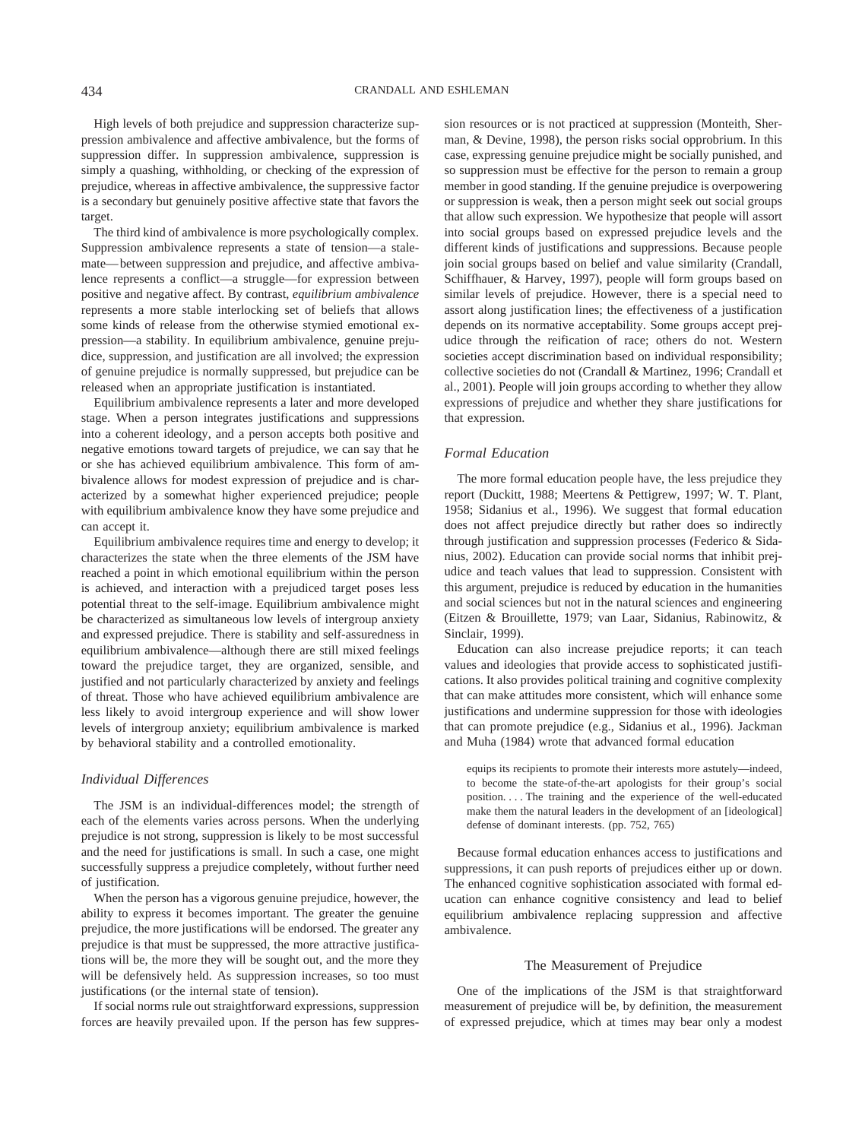High levels of both prejudice and suppression characterize suppression ambivalence and affective ambivalence, but the forms of suppression differ. In suppression ambivalence, suppression is simply a quashing, withholding, or checking of the expression of prejudice, whereas in affective ambivalence, the suppressive factor is a secondary but genuinely positive affective state that favors the target.

The third kind of ambivalence is more psychologically complex. Suppression ambivalence represents a state of tension—a stalemate—between suppression and prejudice, and affective ambivalence represents a conflict—a struggle—for expression between positive and negative affect. By contrast, *equilibrium ambivalence* represents a more stable interlocking set of beliefs that allows some kinds of release from the otherwise stymied emotional expression—a stability. In equilibrium ambivalence, genuine prejudice, suppression, and justification are all involved; the expression of genuine prejudice is normally suppressed, but prejudice can be released when an appropriate justification is instantiated.

Equilibrium ambivalence represents a later and more developed stage. When a person integrates justifications and suppressions into a coherent ideology, and a person accepts both positive and negative emotions toward targets of prejudice, we can say that he or she has achieved equilibrium ambivalence. This form of ambivalence allows for modest expression of prejudice and is characterized by a somewhat higher experienced prejudice; people with equilibrium ambivalence know they have some prejudice and can accept it.

Equilibrium ambivalence requires time and energy to develop; it characterizes the state when the three elements of the JSM have reached a point in which emotional equilibrium within the person is achieved, and interaction with a prejudiced target poses less potential threat to the self-image. Equilibrium ambivalence might be characterized as simultaneous low levels of intergroup anxiety and expressed prejudice. There is stability and self-assuredness in equilibrium ambivalence—although there are still mixed feelings toward the prejudice target, they are organized, sensible, and justified and not particularly characterized by anxiety and feelings of threat. Those who have achieved equilibrium ambivalence are less likely to avoid intergroup experience and will show lower levels of intergroup anxiety; equilibrium ambivalence is marked by behavioral stability and a controlled emotionality.

#### *Individual Differences*

The JSM is an individual-differences model; the strength of each of the elements varies across persons. When the underlying prejudice is not strong, suppression is likely to be most successful and the need for justifications is small. In such a case, one might successfully suppress a prejudice completely, without further need of justification.

When the person has a vigorous genuine prejudice, however, the ability to express it becomes important. The greater the genuine prejudice, the more justifications will be endorsed. The greater any prejudice is that must be suppressed, the more attractive justifications will be, the more they will be sought out, and the more they will be defensively held. As suppression increases, so too must justifications (or the internal state of tension).

If social norms rule out straightforward expressions, suppression forces are heavily prevailed upon. If the person has few suppression resources or is not practiced at suppression (Monteith, Sherman, & Devine, 1998), the person risks social opprobrium. In this case, expressing genuine prejudice might be socially punished, and so suppression must be effective for the person to remain a group member in good standing. If the genuine prejudice is overpowering or suppression is weak, then a person might seek out social groups that allow such expression. We hypothesize that people will assort into social groups based on expressed prejudice levels and the different kinds of justifications and suppressions. Because people join social groups based on belief and value similarity (Crandall, Schiffhauer, & Harvey, 1997), people will form groups based on similar levels of prejudice. However, there is a special need to assort along justification lines; the effectiveness of a justification depends on its normative acceptability. Some groups accept prejudice through the reification of race; others do not. Western societies accept discrimination based on individual responsibility; collective societies do not (Crandall & Martinez, 1996; Crandall et al., 2001). People will join groups according to whether they allow expressions of prejudice and whether they share justifications for that expression.

#### *Formal Education*

The more formal education people have, the less prejudice they report (Duckitt, 1988; Meertens & Pettigrew, 1997; W. T. Plant, 1958; Sidanius et al., 1996). We suggest that formal education does not affect prejudice directly but rather does so indirectly through justification and suppression processes (Federico & Sidanius, 2002). Education can provide social norms that inhibit prejudice and teach values that lead to suppression. Consistent with this argument, prejudice is reduced by education in the humanities and social sciences but not in the natural sciences and engineering (Eitzen & Brouillette, 1979; van Laar, Sidanius, Rabinowitz, & Sinclair, 1999).

Education can also increase prejudice reports; it can teach values and ideologies that provide access to sophisticated justifications. It also provides political training and cognitive complexity that can make attitudes more consistent, which will enhance some justifications and undermine suppression for those with ideologies that can promote prejudice (e.g., Sidanius et al., 1996). Jackman and Muha (1984) wrote that advanced formal education

equips its recipients to promote their interests more astutely—indeed, to become the state-of-the-art apologists for their group's social position. . . . The training and the experience of the well-educated make them the natural leaders in the development of an [ideological] defense of dominant interests. (pp. 752, 765)

Because formal education enhances access to justifications and suppressions, it can push reports of prejudices either up or down. The enhanced cognitive sophistication associated with formal education can enhance cognitive consistency and lead to belief equilibrium ambivalence replacing suppression and affective ambivalence.

#### The Measurement of Prejudice

One of the implications of the JSM is that straightforward measurement of prejudice will be, by definition, the measurement of expressed prejudice, which at times may bear only a modest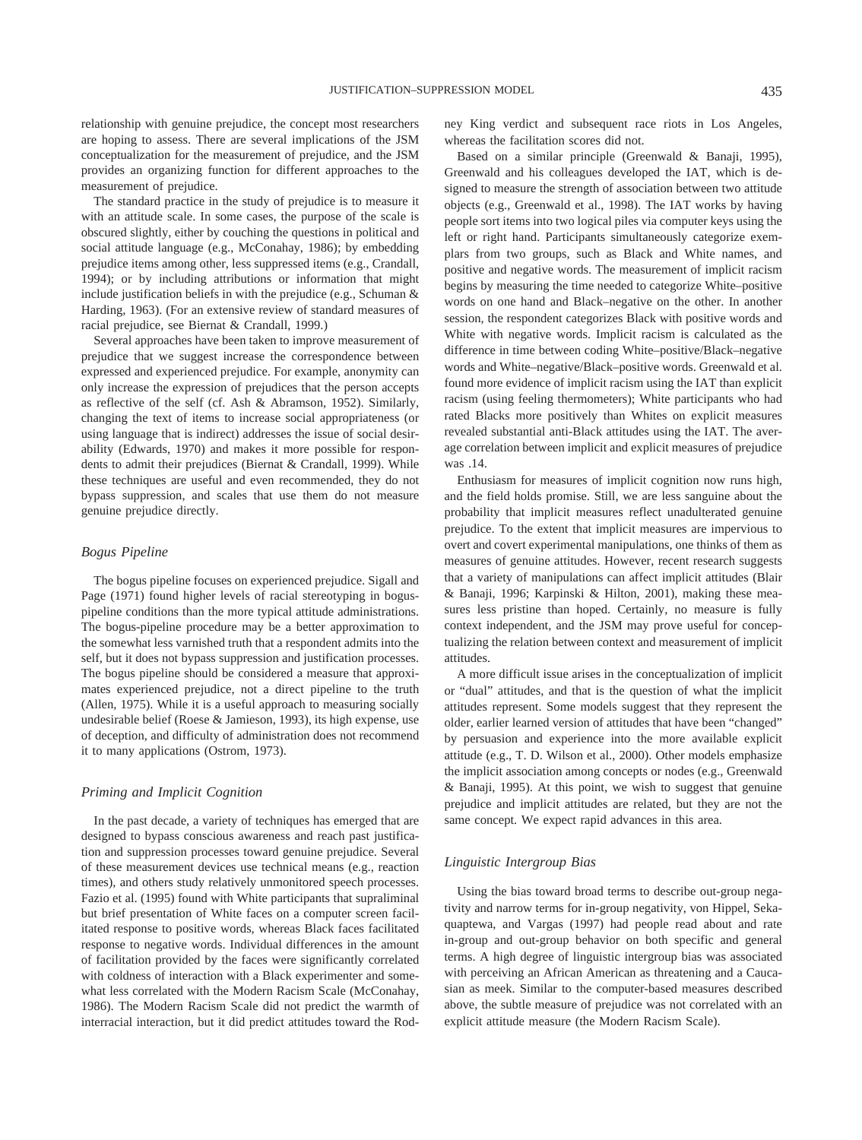relationship with genuine prejudice, the concept most researchers are hoping to assess. There are several implications of the JSM conceptualization for the measurement of prejudice, and the JSM provides an organizing function for different approaches to the measurement of prejudice.

The standard practice in the study of prejudice is to measure it with an attitude scale. In some cases, the purpose of the scale is obscured slightly, either by couching the questions in political and social attitude language (e.g., McConahay, 1986); by embedding prejudice items among other, less suppressed items (e.g., Crandall, 1994); or by including attributions or information that might include justification beliefs in with the prejudice (e.g., Schuman & Harding, 1963). (For an extensive review of standard measures of racial prejudice, see Biernat & Crandall, 1999.)

Several approaches have been taken to improve measurement of prejudice that we suggest increase the correspondence between expressed and experienced prejudice. For example, anonymity can only increase the expression of prejudices that the person accepts as reflective of the self (cf. Ash & Abramson, 1952). Similarly, changing the text of items to increase social appropriateness (or using language that is indirect) addresses the issue of social desirability (Edwards, 1970) and makes it more possible for respondents to admit their prejudices (Biernat & Crandall, 1999). While these techniques are useful and even recommended, they do not bypass suppression, and scales that use them do not measure genuine prejudice directly.

#### *Bogus Pipeline*

The bogus pipeline focuses on experienced prejudice. Sigall and Page (1971) found higher levels of racial stereotyping in boguspipeline conditions than the more typical attitude administrations. The bogus-pipeline procedure may be a better approximation to the somewhat less varnished truth that a respondent admits into the self, but it does not bypass suppression and justification processes. The bogus pipeline should be considered a measure that approximates experienced prejudice, not a direct pipeline to the truth (Allen, 1975). While it is a useful approach to measuring socially undesirable belief (Roese & Jamieson, 1993), its high expense, use of deception, and difficulty of administration does not recommend it to many applications (Ostrom, 1973).

#### *Priming and Implicit Cognition*

In the past decade, a variety of techniques has emerged that are designed to bypass conscious awareness and reach past justification and suppression processes toward genuine prejudice. Several of these measurement devices use technical means (e.g., reaction times), and others study relatively unmonitored speech processes. Fazio et al. (1995) found with White participants that supraliminal but brief presentation of White faces on a computer screen facilitated response to positive words, whereas Black faces facilitated response to negative words. Individual differences in the amount of facilitation provided by the faces were significantly correlated with coldness of interaction with a Black experimenter and somewhat less correlated with the Modern Racism Scale (McConahay, 1986). The Modern Racism Scale did not predict the warmth of interracial interaction, but it did predict attitudes toward the Rodney King verdict and subsequent race riots in Los Angeles, whereas the facilitation scores did not.

Based on a similar principle (Greenwald & Banaji, 1995), Greenwald and his colleagues developed the IAT, which is designed to measure the strength of association between two attitude objects (e.g., Greenwald et al., 1998). The IAT works by having people sort items into two logical piles via computer keys using the left or right hand. Participants simultaneously categorize exemplars from two groups, such as Black and White names, and positive and negative words. The measurement of implicit racism begins by measuring the time needed to categorize White–positive words on one hand and Black–negative on the other. In another session, the respondent categorizes Black with positive words and White with negative words. Implicit racism is calculated as the difference in time between coding White–positive/Black–negative words and White–negative/Black–positive words. Greenwald et al. found more evidence of implicit racism using the IAT than explicit racism (using feeling thermometers); White participants who had rated Blacks more positively than Whites on explicit measures revealed substantial anti-Black attitudes using the IAT. The average correlation between implicit and explicit measures of prejudice was .14.

Enthusiasm for measures of implicit cognition now runs high, and the field holds promise. Still, we are less sanguine about the probability that implicit measures reflect unadulterated genuine prejudice. To the extent that implicit measures are impervious to overt and covert experimental manipulations, one thinks of them as measures of genuine attitudes. However, recent research suggests that a variety of manipulations can affect implicit attitudes (Blair & Banaji, 1996; Karpinski & Hilton, 2001), making these measures less pristine than hoped. Certainly, no measure is fully context independent, and the JSM may prove useful for conceptualizing the relation between context and measurement of implicit attitudes.

A more difficult issue arises in the conceptualization of implicit or "dual" attitudes, and that is the question of what the implicit attitudes represent. Some models suggest that they represent the older, earlier learned version of attitudes that have been "changed" by persuasion and experience into the more available explicit attitude (e.g., T. D. Wilson et al., 2000). Other models emphasize the implicit association among concepts or nodes (e.g., Greenwald & Banaji, 1995). At this point, we wish to suggest that genuine prejudice and implicit attitudes are related, but they are not the same concept. We expect rapid advances in this area.

#### *Linguistic Intergroup Bias*

Using the bias toward broad terms to describe out-group negativity and narrow terms for in-group negativity, von Hippel, Sekaquaptewa, and Vargas (1997) had people read about and rate in-group and out-group behavior on both specific and general terms. A high degree of linguistic intergroup bias was associated with perceiving an African American as threatening and a Caucasian as meek. Similar to the computer-based measures described above, the subtle measure of prejudice was not correlated with an explicit attitude measure (the Modern Racism Scale).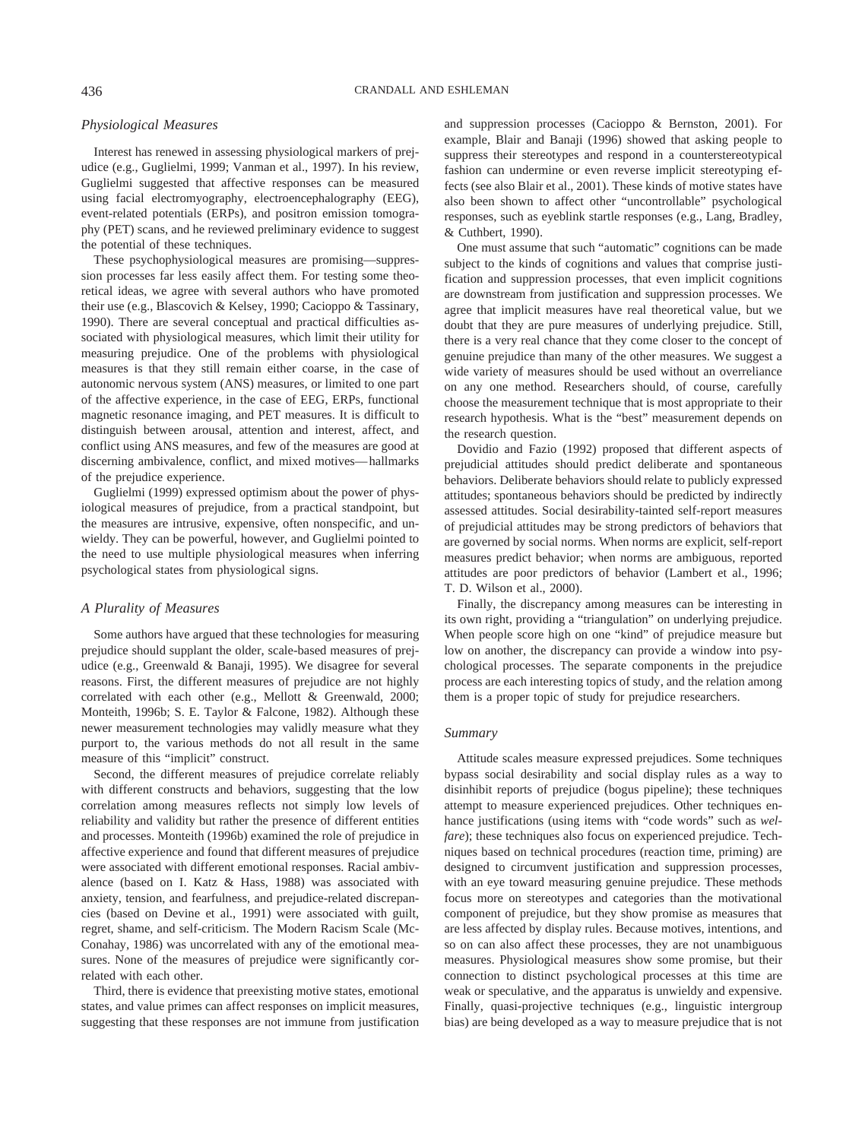#### *Physiological Measures*

Interest has renewed in assessing physiological markers of prejudice (e.g., Guglielmi, 1999; Vanman et al., 1997). In his review, Guglielmi suggested that affective responses can be measured using facial electromyography, electroencephalography (EEG), event-related potentials (ERPs), and positron emission tomography (PET) scans, and he reviewed preliminary evidence to suggest the potential of these techniques.

These psychophysiological measures are promising—suppression processes far less easily affect them. For testing some theoretical ideas, we agree with several authors who have promoted their use (e.g., Blascovich & Kelsey, 1990; Cacioppo & Tassinary, 1990). There are several conceptual and practical difficulties associated with physiological measures, which limit their utility for measuring prejudice. One of the problems with physiological measures is that they still remain either coarse, in the case of autonomic nervous system (ANS) measures, or limited to one part of the affective experience, in the case of EEG, ERPs, functional magnetic resonance imaging, and PET measures. It is difficult to distinguish between arousal, attention and interest, affect, and conflict using ANS measures, and few of the measures are good at discerning ambivalence, conflict, and mixed motives—hallmarks of the prejudice experience.

Guglielmi (1999) expressed optimism about the power of physiological measures of prejudice, from a practical standpoint, but the measures are intrusive, expensive, often nonspecific, and unwieldy. They can be powerful, however, and Guglielmi pointed to the need to use multiple physiological measures when inferring psychological states from physiological signs.

#### *A Plurality of Measures*

Some authors have argued that these technologies for measuring prejudice should supplant the older, scale-based measures of prejudice (e.g., Greenwald & Banaji, 1995). We disagree for several reasons. First, the different measures of prejudice are not highly correlated with each other (e.g., Mellott & Greenwald, 2000; Monteith, 1996b; S. E. Taylor & Falcone, 1982). Although these newer measurement technologies may validly measure what they purport to, the various methods do not all result in the same measure of this "implicit" construct.

Second, the different measures of prejudice correlate reliably with different constructs and behaviors, suggesting that the low correlation among measures reflects not simply low levels of reliability and validity but rather the presence of different entities and processes. Monteith (1996b) examined the role of prejudice in affective experience and found that different measures of prejudice were associated with different emotional responses. Racial ambivalence (based on I. Katz & Hass, 1988) was associated with anxiety, tension, and fearfulness, and prejudice-related discrepancies (based on Devine et al., 1991) were associated with guilt, regret, shame, and self-criticism. The Modern Racism Scale (Mc-Conahay, 1986) was uncorrelated with any of the emotional measures. None of the measures of prejudice were significantly correlated with each other.

Third, there is evidence that preexisting motive states, emotional states, and value primes can affect responses on implicit measures, suggesting that these responses are not immune from justification and suppression processes (Cacioppo & Bernston, 2001). For example, Blair and Banaji (1996) showed that asking people to suppress their stereotypes and respond in a counterstereotypical fashion can undermine or even reverse implicit stereotyping effects (see also Blair et al., 2001). These kinds of motive states have also been shown to affect other "uncontrollable" psychological responses, such as eyeblink startle responses (e.g., Lang, Bradley, & Cuthbert, 1990).

One must assume that such "automatic" cognitions can be made subject to the kinds of cognitions and values that comprise justification and suppression processes, that even implicit cognitions are downstream from justification and suppression processes. We agree that implicit measures have real theoretical value, but we doubt that they are pure measures of underlying prejudice. Still, there is a very real chance that they come closer to the concept of genuine prejudice than many of the other measures. We suggest a wide variety of measures should be used without an overreliance on any one method. Researchers should, of course, carefully choose the measurement technique that is most appropriate to their research hypothesis. What is the "best" measurement depends on the research question.

Dovidio and Fazio (1992) proposed that different aspects of prejudicial attitudes should predict deliberate and spontaneous behaviors. Deliberate behaviors should relate to publicly expressed attitudes; spontaneous behaviors should be predicted by indirectly assessed attitudes. Social desirability-tainted self-report measures of prejudicial attitudes may be strong predictors of behaviors that are governed by social norms. When norms are explicit, self-report measures predict behavior; when norms are ambiguous, reported attitudes are poor predictors of behavior (Lambert et al., 1996; T. D. Wilson et al., 2000).

Finally, the discrepancy among measures can be interesting in its own right, providing a "triangulation" on underlying prejudice. When people score high on one "kind" of prejudice measure but low on another, the discrepancy can provide a window into psychological processes. The separate components in the prejudice process are each interesting topics of study, and the relation among them is a proper topic of study for prejudice researchers.

#### *Summary*

Attitude scales measure expressed prejudices. Some techniques bypass social desirability and social display rules as a way to disinhibit reports of prejudice (bogus pipeline); these techniques attempt to measure experienced prejudices. Other techniques enhance justifications (using items with "code words" such as *welfare*); these techniques also focus on experienced prejudice. Techniques based on technical procedures (reaction time, priming) are designed to circumvent justification and suppression processes, with an eye toward measuring genuine prejudice. These methods focus more on stereotypes and categories than the motivational component of prejudice, but they show promise as measures that are less affected by display rules. Because motives, intentions, and so on can also affect these processes, they are not unambiguous measures. Physiological measures show some promise, but their connection to distinct psychological processes at this time are weak or speculative, and the apparatus is unwieldy and expensive. Finally, quasi-projective techniques (e.g., linguistic intergroup bias) are being developed as a way to measure prejudice that is not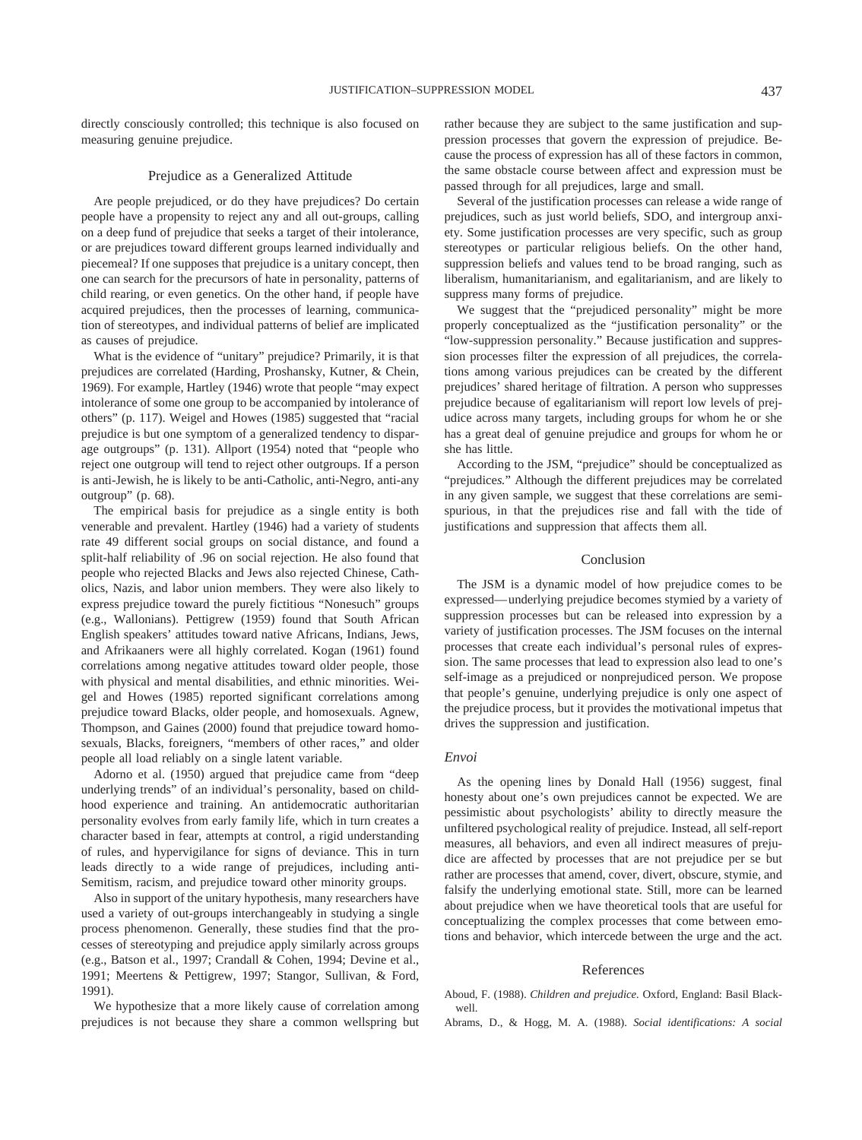directly consciously controlled; this technique is also focused on measuring genuine prejudice.

#### Prejudice as a Generalized Attitude

Are people prejudiced, or do they have prejudices? Do certain people have a propensity to reject any and all out-groups, calling on a deep fund of prejudice that seeks a target of their intolerance, or are prejudices toward different groups learned individually and piecemeal? If one supposes that prejudice is a unitary concept, then one can search for the precursors of hate in personality, patterns of child rearing, or even genetics. On the other hand, if people have acquired prejudices, then the processes of learning, communication of stereotypes, and individual patterns of belief are implicated as causes of prejudice.

What is the evidence of "unitary" prejudice? Primarily, it is that prejudices are correlated (Harding, Proshansky, Kutner, & Chein, 1969). For example, Hartley (1946) wrote that people "may expect intolerance of some one group to be accompanied by intolerance of others" (p. 117). Weigel and Howes (1985) suggested that "racial prejudice is but one symptom of a generalized tendency to disparage outgroups" (p. 131). Allport (1954) noted that "people who reject one outgroup will tend to reject other outgroups. If a person is anti-Jewish, he is likely to be anti-Catholic, anti-Negro, anti-any outgroup" (p. 68).

The empirical basis for prejudice as a single entity is both venerable and prevalent. Hartley (1946) had a variety of students rate 49 different social groups on social distance, and found a split-half reliability of .96 on social rejection. He also found that people who rejected Blacks and Jews also rejected Chinese, Catholics, Nazis, and labor union members. They were also likely to express prejudice toward the purely fictitious "Nonesuch" groups (e.g., Wallonians). Pettigrew (1959) found that South African English speakers' attitudes toward native Africans, Indians, Jews, and Afrikaaners were all highly correlated. Kogan (1961) found correlations among negative attitudes toward older people, those with physical and mental disabilities, and ethnic minorities. Weigel and Howes (1985) reported significant correlations among prejudice toward Blacks, older people, and homosexuals. Agnew, Thompson, and Gaines (2000) found that prejudice toward homosexuals, Blacks, foreigners, "members of other races," and older people all load reliably on a single latent variable.

Adorno et al. (1950) argued that prejudice came from "deep underlying trends" of an individual's personality, based on childhood experience and training. An antidemocratic authoritarian personality evolves from early family life, which in turn creates a character based in fear, attempts at control, a rigid understanding of rules, and hypervigilance for signs of deviance. This in turn leads directly to a wide range of prejudices, including anti-Semitism, racism, and prejudice toward other minority groups.

Also in support of the unitary hypothesis, many researchers have used a variety of out-groups interchangeably in studying a single process phenomenon. Generally, these studies find that the processes of stereotyping and prejudice apply similarly across groups (e.g., Batson et al., 1997; Crandall & Cohen, 1994; Devine et al., 1991; Meertens & Pettigrew, 1997; Stangor, Sullivan, & Ford, 1991).

We hypothesize that a more likely cause of correlation among prejudices is not because they share a common wellspring but rather because they are subject to the same justification and suppression processes that govern the expression of prejudice. Because the process of expression has all of these factors in common, the same obstacle course between affect and expression must be passed through for all prejudices, large and small.

Several of the justification processes can release a wide range of prejudices, such as just world beliefs, SDO, and intergroup anxiety. Some justification processes are very specific, such as group stereotypes or particular religious beliefs. On the other hand, suppression beliefs and values tend to be broad ranging, such as liberalism, humanitarianism, and egalitarianism, and are likely to suppress many forms of prejudice.

We suggest that the "prejudiced personality" might be more properly conceptualized as the "justification personality" or the "low-suppression personality." Because justification and suppression processes filter the expression of all prejudices, the correlations among various prejudices can be created by the different prejudices' shared heritage of filtration. A person who suppresses prejudice because of egalitarianism will report low levels of prejudice across many targets, including groups for whom he or she has a great deal of genuine prejudice and groups for whom he or she has little.

According to the JSM, "prejudice" should be conceptualized as "prejudice*s.*" Although the different prejudices may be correlated in any given sample, we suggest that these correlations are semispurious, in that the prejudices rise and fall with the tide of justifications and suppression that affects them all.

#### Conclusion

The JSM is a dynamic model of how prejudice comes to be expressed—underlying prejudice becomes stymied by a variety of suppression processes but can be released into expression by a variety of justification processes. The JSM focuses on the internal processes that create each individual's personal rules of expression. The same processes that lead to expression also lead to one's self-image as a prejudiced or nonprejudiced person. We propose that people's genuine, underlying prejudice is only one aspect of the prejudice process, but it provides the motivational impetus that drives the suppression and justification.

#### *Envoi*

As the opening lines by Donald Hall (1956) suggest, final honesty about one's own prejudices cannot be expected. We are pessimistic about psychologists' ability to directly measure the unfiltered psychological reality of prejudice. Instead, all self-report measures, all behaviors, and even all indirect measures of prejudice are affected by processes that are not prejudice per se but rather are processes that amend, cover, divert, obscure, stymie, and falsify the underlying emotional state. Still, more can be learned about prejudice when we have theoretical tools that are useful for conceptualizing the complex processes that come between emotions and behavior, which intercede between the urge and the act.

#### References

Aboud, F. (1988). *Children and prejudice.* Oxford, England: Basil Blackwell.

Abrams, D., & Hogg, M. A. (1988). *Social identifications: A social*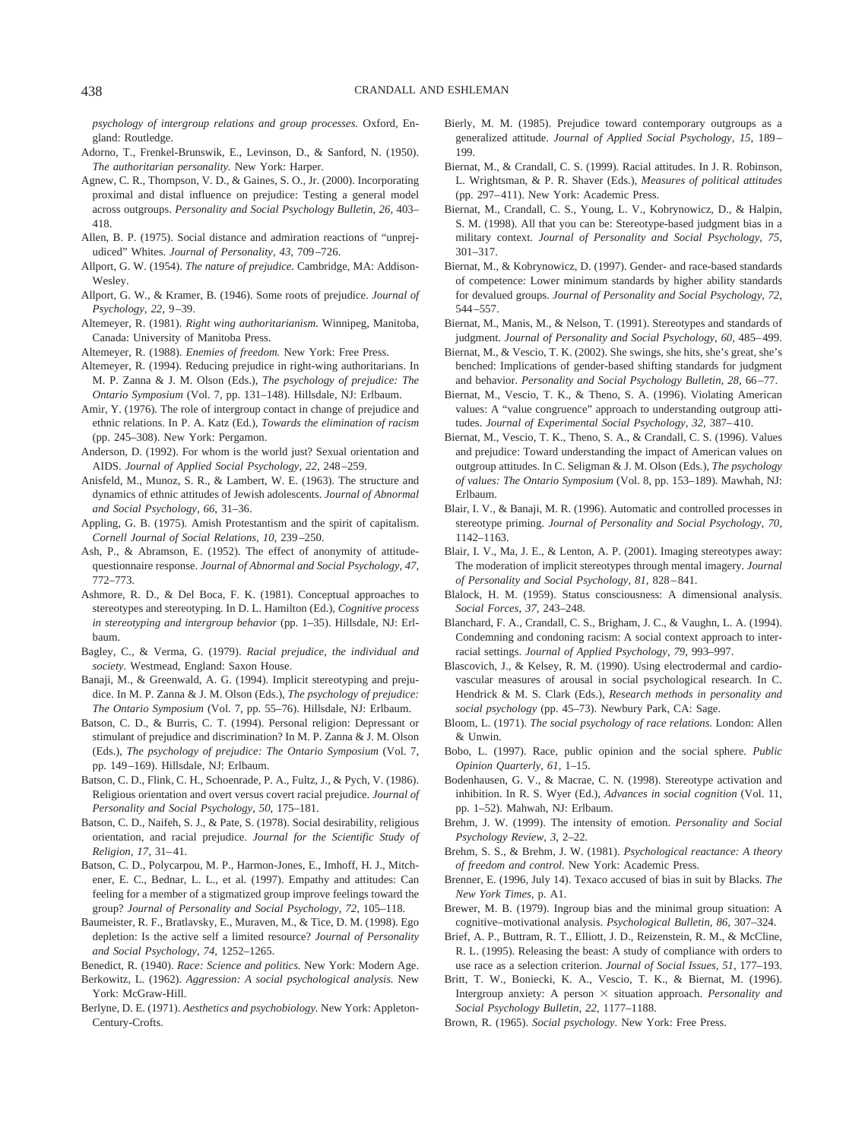*psychology of intergroup relations and group processes.* Oxford, England: Routledge.

- Adorno, T., Frenkel-Brunswik, E., Levinson, D., & Sanford, N. (1950). *The authoritarian personality.* New York: Harper.
- Agnew, C. R., Thompson, V. D., & Gaines, S. O., Jr. (2000). Incorporating proximal and distal influence on prejudice: Testing a general model across outgroups. *Personality and Social Psychology Bulletin, 26,* 403– 418.
- Allen, B. P. (1975). Social distance and admiration reactions of "unprejudiced" Whites. *Journal of Personality, 43,* 709–726.
- Allport, G. W. (1954). *The nature of prejudice.* Cambridge, MA: Addison-Wesley.
- Allport, G. W., & Kramer, B. (1946). Some roots of prejudice. *Journal of Psychology, 22,* 9–39.
- Altemeyer, R. (1981). *Right wing authoritarianism.* Winnipeg, Manitoba, Canada: University of Manitoba Press.
- Altemeyer, R. (1988). *Enemies of freedom.* New York: Free Press.
- Altemeyer, R. (1994). Reducing prejudice in right-wing authoritarians. In M. P. Zanna & J. M. Olson (Eds.), *The psychology of prejudice: The Ontario Symposium* (Vol. 7, pp. 131–148). Hillsdale, NJ: Erlbaum.
- Amir, Y. (1976). The role of intergroup contact in change of prejudice and ethnic relations. In P. A. Katz (Ed.), *Towards the elimination of racism* (pp. 245–308). New York: Pergamon.
- Anderson, D. (1992). For whom is the world just? Sexual orientation and AIDS. *Journal of Applied Social Psychology, 22,* 248–259.
- Anisfeld, M., Munoz, S. R., & Lambert, W. E. (1963). The structure and dynamics of ethnic attitudes of Jewish adolescents. *Journal of Abnormal and Social Psychology, 66,* 31–36.
- Appling, G. B. (1975). Amish Protestantism and the spirit of capitalism. *Cornell Journal of Social Relations, 10,* 239–250.
- Ash, P., & Abramson, E. (1952). The effect of anonymity of attitudequestionnaire response. *Journal of Abnormal and Social Psychology, 47,* 772–773.
- Ashmore, R. D., & Del Boca, F. K. (1981). Conceptual approaches to stereotypes and stereotyping. In D. L. Hamilton (Ed.), *Cognitive process in stereotyping and intergroup behavior* (pp. 1–35). Hillsdale, NJ: Erlbaum.
- Bagley, C., & Verma, G. (1979). *Racial prejudice, the individual and society.* Westmead, England: Saxon House.
- Banaji, M., & Greenwald, A. G. (1994). Implicit stereotyping and prejudice. In M. P. Zanna & J. M. Olson (Eds.), *The psychology of prejudice: The Ontario Symposium* (Vol. 7, pp. 55–76). Hillsdale, NJ: Erlbaum.
- Batson, C. D., & Burris, C. T. (1994). Personal religion: Depressant or stimulant of prejudice and discrimination? In M. P. Zanna & J. M. Olson (Eds.), *The psychology of prejudice: The Ontario Symposium* (Vol. 7, pp. 149–169). Hillsdale, NJ: Erlbaum.
- Batson, C. D., Flink, C. H., Schoenrade, P. A., Fultz, J., & Pych, V. (1986). Religious orientation and overt versus covert racial prejudice. *Journal of Personality and Social Psychology, 50,* 175–181.
- Batson, C. D., Naifeh, S. J., & Pate, S. (1978). Social desirability, religious orientation, and racial prejudice. *Journal for the Scientific Study of Religion, 17,* 31–41.
- Batson, C. D., Polycarpou, M. P., Harmon-Jones, E., Imhoff, H. J., Mitchener, E. C., Bednar, L. L., et al. (1997). Empathy and attitudes: Can feeling for a member of a stigmatized group improve feelings toward the group? *Journal of Personality and Social Psychology, 72,* 105–118.
- Baumeister, R. F., Bratlavsky, E., Muraven, M., & Tice, D. M. (1998). Ego depletion: Is the active self a limited resource? *Journal of Personality and Social Psychology, 74,* 1252–1265.
- Benedict, R. (1940). *Race: Science and politics.* New York: Modern Age.
- Berkowitz, L. (1962). *Aggression: A social psychological analysis.* New York: McGraw-Hill.
- Berlyne, D. E. (1971). *Aesthetics and psychobiology.* New York: Appleton-Century-Crofts.
- Bierly, M. M. (1985). Prejudice toward contemporary outgroups as a generalized attitude. *Journal of Applied Social Psychology, 15,* 189– 199.
- Biernat, M., & Crandall, C. S. (1999). Racial attitudes. In J. R. Robinson, L. Wrightsman, & P. R. Shaver (Eds.), *Measures of political attitudes* (pp. 297–411). New York: Academic Press.
- Biernat, M., Crandall, C. S., Young, L. V., Kobrynowicz, D., & Halpin, S. M. (1998). All that you can be: Stereotype-based judgment bias in a military context. *Journal of Personality and Social Psychology, 75,* 301–317.
- Biernat, M., & Kobrynowicz, D. (1997). Gender- and race-based standards of competence: Lower minimum standards by higher ability standards for devalued groups. *Journal of Personality and Social Psychology, 72,* 544–557.
- Biernat, M., Manis, M., & Nelson, T. (1991). Stereotypes and standards of judgment. *Journal of Personality and Social Psychology, 60,* 485–499.
- Biernat, M., & Vescio, T. K. (2002). She swings, she hits, she's great, she's benched: Implications of gender-based shifting standards for judgment and behavior. *Personality and Social Psychology Bulletin, 28,* 66–77.
- Biernat, M., Vescio, T. K., & Theno, S. A. (1996). Violating American values: A "value congruence" approach to understanding outgroup attitudes. *Journal of Experimental Social Psychology, 32,* 387–410.
- Biernat, M., Vescio, T. K., Theno, S. A., & Crandall, C. S. (1996). Values and prejudice: Toward understanding the impact of American values on outgroup attitudes. In C. Seligman & J. M. Olson (Eds.), *The psychology of values: The Ontario Symposium* (Vol. 8, pp. 153–189). Mawhah, NJ: Erlbaum.
- Blair, I. V., & Banaji, M. R. (1996). Automatic and controlled processes in stereotype priming. *Journal of Personality and Social Psychology, 70,* 1142–1163.
- Blair, I. V., Ma, J. E., & Lenton, A. P. (2001). Imaging stereotypes away: The moderation of implicit stereotypes through mental imagery. *Journal of Personality and Social Psychology, 81,* 828–841.
- Blalock, H. M. (1959). Status consciousness: A dimensional analysis. *Social Forces, 37,* 243–248.
- Blanchard, F. A., Crandall, C. S., Brigham, J. C., & Vaughn, L. A. (1994). Condemning and condoning racism: A social context approach to interracial settings. *Journal of Applied Psychology, 79,* 993–997.
- Blascovich, J., & Kelsey, R. M. (1990). Using electrodermal and cardiovascular measures of arousal in social psychological research. In C. Hendrick & M. S. Clark (Eds.), *Research methods in personality and social psychology* (pp. 45–73). Newbury Park, CA: Sage.
- Bloom, L. (1971). *The social psychology of race relations.* London: Allen & Unwin.
- Bobo, L. (1997). Race, public opinion and the social sphere. *Public Opinion Quarterly, 61,* 1–15.
- Bodenhausen, G. V., & Macrae, C. N. (1998). Stereotype activation and inhibition. In R. S. Wyer (Ed.), *Advances in social cognition* (Vol. 11, pp. 1–52). Mahwah, NJ: Erlbaum.
- Brehm, J. W. (1999). The intensity of emotion. *Personality and Social Psychology Review, 3,* 2–22.
- Brehm, S. S., & Brehm, J. W. (1981). *Psychological reactance: A theory of freedom and control.* New York: Academic Press.
- Brenner, E. (1996, July 14). Texaco accused of bias in suit by Blacks. *The New York Times,* p. A1.
- Brewer, M. B. (1979). Ingroup bias and the minimal group situation: A cognitive–motivational analysis. *Psychological Bulletin, 86,* 307–324.
- Brief, A. P., Buttram, R. T., Elliott, J. D., Reizenstein, R. M., & McCline, R. L. (1995). Releasing the beast: A study of compliance with orders to use race as a selection criterion. *Journal of Social Issues, 51,* 177–193.
- Britt, T. W., Boniecki, K. A., Vescio, T. K., & Biernat, M. (1996). Intergroup anxiety: A person  $\times$  situation approach. *Personality and Social Psychology Bulletin, 22,* 1177–1188.
- Brown, R. (1965). *Social psychology.* New York: Free Press.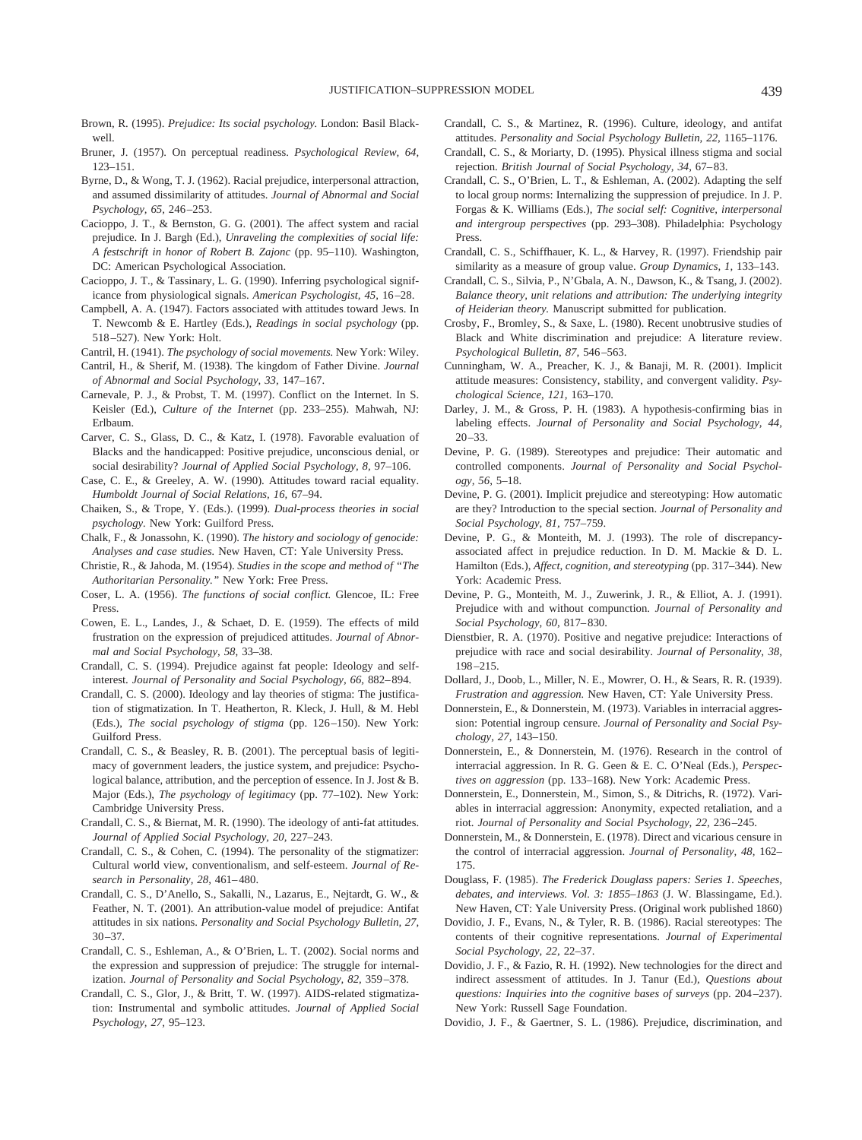- Brown, R. (1995). *Prejudice: Its social psychology.* London: Basil Blackwell.
- Bruner, J. (1957). On perceptual readiness. *Psychological Review, 64,* 123–151.
- Byrne, D., & Wong, T. J. (1962). Racial prejudice, interpersonal attraction, and assumed dissimilarity of attitudes. *Journal of Abnormal and Social Psychology, 65,* 246–253.
- Cacioppo, J. T., & Bernston, G. G. (2001). The affect system and racial prejudice. In J. Bargh (Ed.), *Unraveling the complexities of social life: A festschrift in honor of Robert B. Zajonc* (pp. 95–110). Washington, DC: American Psychological Association.
- Cacioppo, J. T., & Tassinary, L. G. (1990). Inferring psychological significance from physiological signals. *American Psychologist, 45,* 16–28.
- Campbell, A. A. (1947). Factors associated with attitudes toward Jews. In T. Newcomb & E. Hartley (Eds.), *Readings in social psychology* (pp. 518–527). New York: Holt.
- Cantril, H. (1941). *The psychology of social movements.* New York: Wiley.
- Cantril, H., & Sherif, M. (1938). The kingdom of Father Divine. *Journal of Abnormal and Social Psychology, 33,* 147–167.
- Carnevale, P. J., & Probst, T. M. (1997). Conflict on the Internet. In S. Keisler (Ed.), *Culture of the Internet* (pp. 233–255). Mahwah, NJ: Erlbaum.
- Carver, C. S., Glass, D. C., & Katz, I. (1978). Favorable evaluation of Blacks and the handicapped: Positive prejudice, unconscious denial, or social desirability? *Journal of Applied Social Psychology, 8,* 97–106.
- Case, C. E., & Greeley, A. W. (1990). Attitudes toward racial equality. *Humboldt Journal of Social Relations, 16,* 67–94.
- Chaiken, S., & Trope, Y. (Eds.). (1999). *Dual-process theories in social psychology.* New York: Guilford Press.
- Chalk, F., & Jonassohn, K. (1990). *The history and sociology of genocide: Analyses and case studies.* New Haven, CT: Yale University Press.
- Christie, R., & Jahoda, M. (1954). *Studies in the scope and method of "The Authoritarian Personality."* New York: Free Press.
- Coser, L. A. (1956). *The functions of social conflict.* Glencoe, IL: Free Press.
- Cowen, E. L., Landes, J., & Schaet, D. E. (1959). The effects of mild frustration on the expression of prejudiced attitudes. *Journal of Abnormal and Social Psychology, 58,* 33–38.
- Crandall, C. S. (1994). Prejudice against fat people: Ideology and selfinterest. *Journal of Personality and Social Psychology, 66,* 882–894.
- Crandall, C. S. (2000). Ideology and lay theories of stigma: The justification of stigmatization. In T. Heatherton, R. Kleck, J. Hull, & M. Hebl (Eds.), *The social psychology of stigma* (pp. 126–150). New York: Guilford Press.
- Crandall, C. S., & Beasley, R. B. (2001). The perceptual basis of legitimacy of government leaders, the justice system, and prejudice: Psychological balance, attribution, and the perception of essence. In J. Jost & B. Major (Eds.), *The psychology of legitimacy* (pp. 77–102). New York: Cambridge University Press.
- Crandall, C. S., & Biernat, M. R. (1990). The ideology of anti-fat attitudes. *Journal of Applied Social Psychology, 20,* 227–243.
- Crandall, C. S., & Cohen, C. (1994). The personality of the stigmatizer: Cultural world view, conventionalism, and self-esteem. *Journal of Research in Personality, 28,* 461–480.
- Crandall, C. S., D'Anello, S., Sakalli, N., Lazarus, E., Nejtardt, G. W., & Feather, N. T. (2001). An attribution-value model of prejudice: Antifat attitudes in six nations. *Personality and Social Psychology Bulletin, 27,* 30–37.
- Crandall, C. S., Eshleman, A., & O'Brien, L. T. (2002). Social norms and the expression and suppression of prejudice: The struggle for internalization. *Journal of Personality and Social Psychology, 82,* 359–378.
- Crandall, C. S., Glor, J., & Britt, T. W. (1997). AIDS-related stigmatization: Instrumental and symbolic attitudes. *Journal of Applied Social Psychology, 27,* 95–123.
- Crandall, C. S., & Martinez, R. (1996). Culture, ideology, and antifat attitudes. *Personality and Social Psychology Bulletin, 22,* 1165–1176.
- Crandall, C. S., & Moriarty, D. (1995). Physical illness stigma and social rejection. *British Journal of Social Psychology, 34,* 67–83.
- Crandall, C. S., O'Brien, L. T., & Eshleman, A. (2002). Adapting the self to local group norms: Internalizing the suppression of prejudice. In J. P. Forgas & K. Williams (Eds.), *The social self: Cognitive, interpersonal and intergroup perspectives* (pp. 293–308). Philadelphia: Psychology Press.
- Crandall, C. S., Schiffhauer, K. L., & Harvey, R. (1997). Friendship pair similarity as a measure of group value. *Group Dynamics, 1,* 133–143.
- Crandall, C. S., Silvia, P., N'Gbala, A. N., Dawson, K., & Tsang, J. (2002). *Balance theory, unit relations and attribution: The underlying integrity of Heiderian theory.* Manuscript submitted for publication.
- Crosby, F., Bromley, S., & Saxe, L. (1980). Recent unobtrusive studies of Black and White discrimination and prejudice: A literature review. *Psychological Bulletin, 87,* 546–563.
- Cunningham, W. A., Preacher, K. J., & Banaji, M. R. (2001). Implicit attitude measures: Consistency, stability, and convergent validity. *Psychological Science, 121,* 163–170.
- Darley, J. M., & Gross, P. H. (1983). A hypothesis-confirming bias in labeling effects. *Journal of Personality and Social Psychology, 44,* 20–33.
- Devine, P. G. (1989). Stereotypes and prejudice: Their automatic and controlled components. *Journal of Personality and Social Psychology, 56,* 5–18.
- Devine, P. G. (2001). Implicit prejudice and stereotyping: How automatic are they? Introduction to the special section. *Journal of Personality and Social Psychology, 81,* 757–759.
- Devine, P. G., & Monteith, M. J. (1993). The role of discrepancyassociated affect in prejudice reduction. In D. M. Mackie & D. L. Hamilton (Eds.), *Affect, cognition, and stereotyping* (pp. 317–344). New York: Academic Press.
- Devine, P. G., Monteith, M. J., Zuwerink, J. R., & Elliot, A. J. (1991). Prejudice with and without compunction. *Journal of Personality and Social Psychology, 60,* 817–830.
- Dienstbier, R. A. (1970). Positive and negative prejudice: Interactions of prejudice with race and social desirability. *Journal of Personality, 38,* 198–215.
- Dollard, J., Doob, L., Miller, N. E., Mowrer, O. H., & Sears, R. R. (1939). *Frustration and aggression.* New Haven, CT: Yale University Press.
- Donnerstein, E., & Donnerstein, M. (1973). Variables in interracial aggression: Potential ingroup censure. *Journal of Personality and Social Psychology, 27,* 143–150.
- Donnerstein, E., & Donnerstein, M. (1976). Research in the control of interracial aggression. In R. G. Geen & E. C. O'Neal (Eds.), *Perspectives on aggression* (pp. 133–168). New York: Academic Press.
- Donnerstein, E., Donnerstein, M., Simon, S., & Ditrichs, R. (1972). Variables in interracial aggression: Anonymity, expected retaliation, and a riot. *Journal of Personality and Social Psychology, 22,* 236–245.
- Donnerstein, M., & Donnerstein, E. (1978). Direct and vicarious censure in the control of interracial aggression. *Journal of Personality, 48,* 162– 175.
- Douglass, F. (1985). *The Frederick Douglass papers: Series 1. Speeches, debates, and interviews. Vol. 3: 1855–1863* (J. W. Blassingame, Ed.). New Haven, CT: Yale University Press. (Original work published 1860)
- Dovidio, J. F., Evans, N., & Tyler, R. B. (1986). Racial stereotypes: The contents of their cognitive representations. *Journal of Experimental Social Psychology, 22,* 22–37.
- Dovidio, J. F., & Fazio, R. H. (1992). New technologies for the direct and indirect assessment of attitudes. In J. Tanur (Ed.), *Questions about questions: Inquiries into the cognitive bases of surveys* (pp. 204–237). New York: Russell Sage Foundation.
- Dovidio, J. F., & Gaertner, S. L. (1986). Prejudice, discrimination, and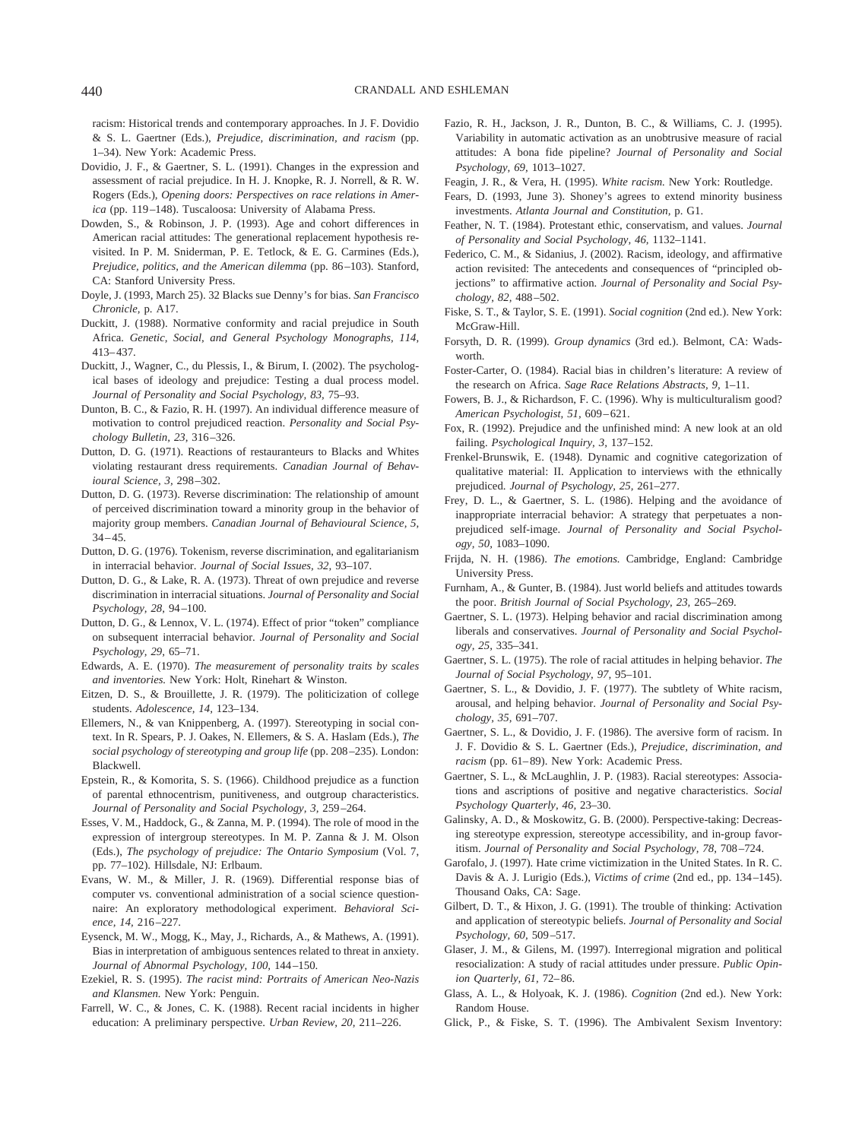racism: Historical trends and contemporary approaches. In J. F. Dovidio & S. L. Gaertner (Eds.), *Prejudice, discrimination, and racism* (pp. 1–34). New York: Academic Press.

- Dovidio, J. F., & Gaertner, S. L. (1991). Changes in the expression and assessment of racial prejudice. In H. J. Knopke, R. J. Norrell, & R. W. Rogers (Eds.), *Opening doors: Perspectives on race relations in America* (pp. 119–148). Tuscaloosa: University of Alabama Press.
- Dowden, S., & Robinson, J. P. (1993). Age and cohort differences in American racial attitudes: The generational replacement hypothesis revisited. In P. M. Sniderman, P. E. Tetlock, & E. G. Carmines (Eds.), *Prejudice, politics, and the American dilemma* (pp. 86–103). Stanford, CA: Stanford University Press.
- Doyle, J. (1993, March 25). 32 Blacks sue Denny's for bias. *San Francisco Chronicle,* p. A17.
- Duckitt, J. (1988). Normative conformity and racial prejudice in South Africa. *Genetic, Social, and General Psychology Monographs, 114,* 413–437.
- Duckitt, J., Wagner, C., du Plessis, I., & Birum, I. (2002). The psychological bases of ideology and prejudice: Testing a dual process model. *Journal of Personality and Social Psychology, 83,* 75–93.
- Dunton, B. C., & Fazio, R. H. (1997). An individual difference measure of motivation to control prejudiced reaction. *Personality and Social Psychology Bulletin, 23,* 316–326.
- Dutton, D. G. (1971). Reactions of restauranteurs to Blacks and Whites violating restaurant dress requirements. *Canadian Journal of Behavioural Science, 3,* 298–302.
- Dutton, D. G. (1973). Reverse discrimination: The relationship of amount of perceived discrimination toward a minority group in the behavior of majority group members. *Canadian Journal of Behavioural Science, 5,*  $34 - 45$ .
- Dutton, D. G. (1976). Tokenism, reverse discrimination, and egalitarianism in interracial behavior. *Journal of Social Issues, 32,* 93–107.
- Dutton, D. G., & Lake, R. A. (1973). Threat of own prejudice and reverse discrimination in interracial situations. *Journal of Personality and Social Psychology, 28,* 94–100.
- Dutton, D. G., & Lennox, V. L. (1974). Effect of prior "token" compliance on subsequent interracial behavior. *Journal of Personality and Social Psychology, 29,* 65–71.
- Edwards, A. E. (1970). *The measurement of personality traits by scales and inventories.* New York: Holt, Rinehart & Winston.
- Eitzen, D. S., & Brouillette, J. R. (1979). The politicization of college students. *Adolescence, 14,* 123–134.
- Ellemers, N., & van Knippenberg, A. (1997). Stereotyping in social context. In R. Spears, P. J. Oakes, N. Ellemers, & S. A. Haslam (Eds.), *The social psychology of stereotyping and group life* (pp. 208–235). London: Blackwell.
- Epstein, R., & Komorita, S. S. (1966). Childhood prejudice as a function of parental ethnocentrism, punitiveness, and outgroup characteristics. *Journal of Personality and Social Psychology, 3,* 259–264.
- Esses, V. M., Haddock, G., & Zanna, M. P. (1994). The role of mood in the expression of intergroup stereotypes. In M. P. Zanna & J. M. Olson (Eds.), *The psychology of prejudice: The Ontario Symposium* (Vol. 7, pp. 77–102). Hillsdale, NJ: Erlbaum.
- Evans, W. M., & Miller, J. R. (1969). Differential response bias of computer vs. conventional administration of a social science questionnaire: An exploratory methodological experiment. *Behavioral Science, 14,* 216–227.
- Eysenck, M. W., Mogg, K., May, J., Richards, A., & Mathews, A. (1991). Bias in interpretation of ambiguous sentences related to threat in anxiety. *Journal of Abnormal Psychology, 100,* 144–150.
- Ezekiel, R. S. (1995). *The racist mind: Portraits of American Neo-Nazis and Klansmen.* New York: Penguin.
- Farrell, W. C., & Jones, C. K. (1988). Recent racial incidents in higher education: A preliminary perspective. *Urban Review, 20,* 211–226.
- Fazio, R. H., Jackson, J. R., Dunton, B. C., & Williams, C. J. (1995). Variability in automatic activation as an unobtrusive measure of racial attitudes: A bona fide pipeline? *Journal of Personality and Social Psychology, 69,* 1013–1027.
- Feagin, J. R., & Vera, H. (1995). *White racism.* New York: Routledge.
- Fears, D. (1993, June 3). Shoney's agrees to extend minority business investments. *Atlanta Journal and Constitution,* p. G1.
- Feather, N. T. (1984). Protestant ethic, conservatism, and values. *Journal of Personality and Social Psychology, 46,* 1132–1141.
- Federico, C. M., & Sidanius, J. (2002). Racism, ideology, and affirmative action revisited: The antecedents and consequences of "principled objections" to affirmative action. *Journal of Personality and Social Psychology, 82,* 488–502.
- Fiske, S. T., & Taylor, S. E. (1991). *Social cognition* (2nd ed.). New York: McGraw-Hill.
- Forsyth, D. R. (1999). *Group dynamics* (3rd ed.). Belmont, CA: Wadsworth.
- Foster-Carter, O. (1984). Racial bias in children's literature: A review of the research on Africa. *Sage Race Relations Abstracts, 9,* 1–11.
- Fowers, B. J., & Richardson, F. C. (1996). Why is multiculturalism good? *American Psychologist, 51,* 609–621.
- Fox, R. (1992). Prejudice and the unfinished mind: A new look at an old failing. *Psychological Inquiry, 3,* 137–152.
- Frenkel-Brunswik, E. (1948). Dynamic and cognitive categorization of qualitative material: II. Application to interviews with the ethnically prejudiced. *Journal of Psychology, 25,* 261–277.
- Frey, D. L., & Gaertner, S. L. (1986). Helping and the avoidance of inappropriate interracial behavior: A strategy that perpetuates a nonprejudiced self-image. *Journal of Personality and Social Psychology, 50,* 1083–1090.
- Frijda, N. H. (1986). *The emotions.* Cambridge, England: Cambridge University Press.
- Furnham, A., & Gunter, B. (1984). Just world beliefs and attitudes towards the poor. *British Journal of Social Psychology, 23,* 265–269.
- Gaertner, S. L. (1973). Helping behavior and racial discrimination among liberals and conservatives. *Journal of Personality and Social Psychology, 25,* 335–341.
- Gaertner, S. L. (1975). The role of racial attitudes in helping behavior. *The Journal of Social Psychology, 97,* 95–101.
- Gaertner, S. L., & Dovidio, J. F. (1977). The subtlety of White racism, arousal, and helping behavior. *Journal of Personality and Social Psychology, 35,* 691–707.
- Gaertner, S. L., & Dovidio, J. F. (1986). The aversive form of racism. In J. F. Dovidio & S. L. Gaertner (Eds.), *Prejudice, discrimination, and racism* (pp. 61–89). New York: Academic Press.
- Gaertner, S. L., & McLaughlin, J. P. (1983). Racial stereotypes: Associations and ascriptions of positive and negative characteristics. *Social Psychology Quarterly, 46,* 23–30.
- Galinsky, A. D., & Moskowitz, G. B. (2000). Perspective-taking: Decreasing stereotype expression, stereotype accessibility, and in-group favoritism. *Journal of Personality and Social Psychology, 78,* 708–724.
- Garofalo, J. (1997). Hate crime victimization in the United States. In R. C. Davis & A. J. Lurigio (Eds.), *Victims of crime* (2nd ed., pp. 134–145). Thousand Oaks, CA: Sage.
- Gilbert, D. T., & Hixon, J. G. (1991). The trouble of thinking: Activation and application of stereotypic beliefs. *Journal of Personality and Social Psychology, 60,* 509–517.
- Glaser, J. M., & Gilens, M. (1997). Interregional migration and political resocialization: A study of racial attitudes under pressure. *Public Opinion Quarterly, 61,* 72–86.
- Glass, A. L., & Holyoak, K. J. (1986). *Cognition* (2nd ed.). New York: Random House.
- Glick, P., & Fiske, S. T. (1996). The Ambivalent Sexism Inventory: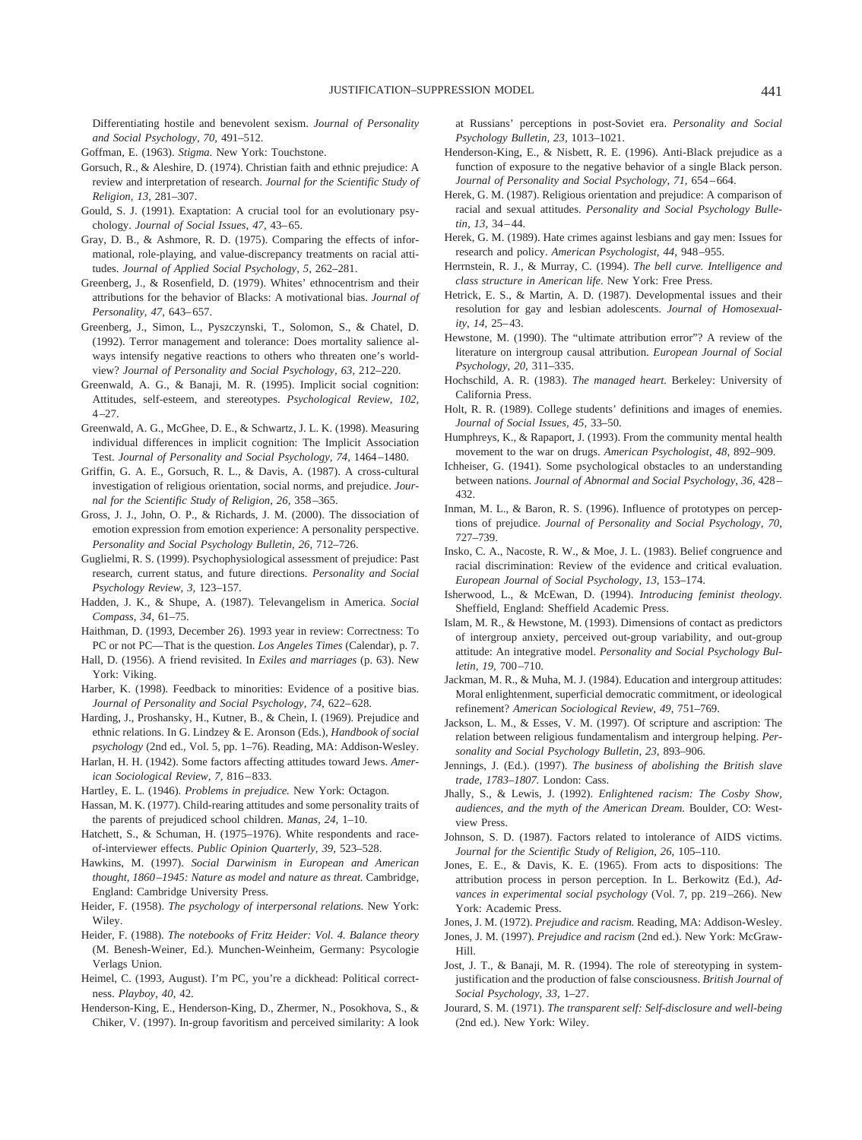Differentiating hostile and benevolent sexism. *Journal of Personality and Social Psychology, 70,* 491–512.

Goffman, E. (1963). *Stigma.* New York: Touchstone.

- Gorsuch, R., & Aleshire, D. (1974). Christian faith and ethnic prejudice: A review and interpretation of research. *Journal for the Scientific Study of Religion, 13,* 281–307.
- Gould, S. J. (1991). Exaptation: A crucial tool for an evolutionary psychology. *Journal of Social Issues, 47,* 43–65.
- Gray, D. B., & Ashmore, R. D. (1975). Comparing the effects of informational, role-playing, and value-discrepancy treatments on racial attitudes. *Journal of Applied Social Psychology, 5,* 262–281.
- Greenberg, J., & Rosenfield, D. (1979). Whites' ethnocentrism and their attributions for the behavior of Blacks: A motivational bias. *Journal of Personality, 47,* 643–657.
- Greenberg, J., Simon, L., Pyszczynski, T., Solomon, S., & Chatel, D. (1992). Terror management and tolerance: Does mortality salience always intensify negative reactions to others who threaten one's worldview? *Journal of Personality and Social Psychology, 63,* 212–220.
- Greenwald, A. G., & Banaji, M. R. (1995). Implicit social cognition: Attitudes, self-esteem, and stereotypes. *Psychological Review, 102,* 4–27.
- Greenwald, A. G., McGhee, D. E., & Schwartz, J. L. K. (1998). Measuring individual differences in implicit cognition: The Implicit Association Test. *Journal of Personality and Social Psychology, 74,* 1464–1480.
- Griffin, G. A. E., Gorsuch, R. L., & Davis, A. (1987). A cross-cultural investigation of religious orientation, social norms, and prejudice. *Journal for the Scientific Study of Religion, 26,* 358–365.
- Gross, J. J., John, O. P., & Richards, J. M. (2000). The dissociation of emotion expression from emotion experience: A personality perspective. *Personality and Social Psychology Bulletin, 26,* 712–726.
- Guglielmi, R. S. (1999). Psychophysiological assessment of prejudice: Past research, current status, and future directions. *Personality and Social Psychology Review, 3,* 123–157.
- Hadden, J. K., & Shupe, A. (1987). Televangelism in America. *Social Compass, 34,* 61–75.
- Haithman, D. (1993, December 26). 1993 year in review: Correctness: To PC or not PC—That is the question. *Los Angeles Times* (Calendar), p. 7.
- Hall, D. (1956). A friend revisited. In *Exiles and marriages* (p. 63). New York: Viking.
- Harber, K. (1998). Feedback to minorities: Evidence of a positive bias. *Journal of Personality and Social Psychology, 74,* 622–628.
- Harding, J., Proshansky, H., Kutner, B., & Chein, I. (1969). Prejudice and ethnic relations. In G. Lindzey & E. Aronson (Eds.), *Handbook of social psychology* (2nd ed., Vol. 5, pp. 1–76). Reading, MA: Addison-Wesley.
- Harlan, H. H. (1942). Some factors affecting attitudes toward Jews. *American Sociological Review, 7,* 816–833.
- Hartley, E. L. (1946). *Problems in prejudice.* New York: Octagon.
- Hassan, M. K. (1977). Child-rearing attitudes and some personality traits of the parents of prejudiced school children. *Manas, 24,* 1–10.
- Hatchett, S., & Schuman, H. (1975–1976). White respondents and raceof-interviewer effects. *Public Opinion Quarterly, 39,* 523–528.
- Hawkins, M. (1997). *Social Darwinism in European and American thought, 1860–1945: Nature as model and nature as threat.* Cambridge, England: Cambridge University Press.
- Heider, F. (1958). *The psychology of interpersonal relations.* New York: Wiley.
- Heider, F. (1988). *The notebooks of Fritz Heider: Vol. 4. Balance theory* (M. Benesh-Weiner, Ed.). Munchen-Weinheim, Germany: Psycologie Verlags Union.
- Heimel, C. (1993, August). I'm PC, you're a dickhead: Political correctness. *Playboy, 40,* 42.
- Henderson-King, E., Henderson-King, D., Zhermer, N., Posokhova, S., & Chiker, V. (1997). In-group favoritism and perceived similarity: A look

at Russians' perceptions in post-Soviet era. *Personality and Social Psychology Bulletin, 23,* 1013–1021.

- Henderson-King, E., & Nisbett, R. E. (1996). Anti-Black prejudice as a function of exposure to the negative behavior of a single Black person. *Journal of Personality and Social Psychology, 71,* 654–664.
- Herek, G. M. (1987). Religious orientation and prejudice: A comparison of racial and sexual attitudes. *Personality and Social Psychology Bulletin, 13,* 34–44.
- Herek, G. M. (1989). Hate crimes against lesbians and gay men: Issues for research and policy. *American Psychologist, 44,* 948–955.
- Herrnstein, R. J., & Murray, C. (1994). *The bell curve. Intelligence and class structure in American life.* New York: Free Press.
- Hetrick, E. S., & Martin, A. D. (1987). Developmental issues and their resolution for gay and lesbian adolescents. *Journal of Homosexuality, 14,* 25–43.
- Hewstone, M. (1990). The "ultimate attribution error"? A review of the literature on intergroup causal attribution. *European Journal of Social Psychology, 20,* 311–335.
- Hochschild, A. R. (1983). *The managed heart.* Berkeley: University of California Press.
- Holt, R. R. (1989). College students' definitions and images of enemies. *Journal of Social Issues, 45,* 33–50.
- Humphreys, K., & Rapaport, J. (1993). From the community mental health movement to the war on drugs. *American Psychologist, 48,* 892–909.
- Ichheiser, G. (1941). Some psychological obstacles to an understanding between nations. *Journal of Abnormal and Social Psychology, 36,* 428– 432.
- Inman, M. L., & Baron, R. S. (1996). Influence of prototypes on perceptions of prejudice. *Journal of Personality and Social Psychology, 70,* 727–739.
- Insko, C. A., Nacoste, R. W., & Moe, J. L. (1983). Belief congruence and racial discrimination: Review of the evidence and critical evaluation. *European Journal of Social Psychology, 13,* 153–174.
- Isherwood, L., & McEwan, D. (1994). *Introducing feminist theology.* Sheffield, England: Sheffield Academic Press.
- Islam, M. R., & Hewstone, M. (1993). Dimensions of contact as predictors of intergroup anxiety, perceived out-group variability, and out-group attitude: An integrative model. *Personality and Social Psychology Bulletin, 19,* 700–710.
- Jackman, M. R., & Muha, M. J. (1984). Education and intergroup attitudes: Moral enlightenment, superficial democratic commitment, or ideological refinement? *American Sociological Review, 49,* 751–769.
- Jackson, L. M., & Esses, V. M. (1997). Of scripture and ascription: The relation between religious fundamentalism and intergroup helping. *Personality and Social Psychology Bulletin, 23,* 893–906.
- Jennings, J. (Ed.). (1997). *The business of abolishing the British slave trade, 1783–1807.* London: Cass.
- Jhally, S., & Lewis, J. (1992). *Enlightened racism: The Cosby Show, audiences, and the myth of the American Dream.* Boulder, CO: Westview Press.
- Johnson, S. D. (1987). Factors related to intolerance of AIDS victims. *Journal for the Scientific Study of Religion, 26,* 105–110.
- Jones, E. E., & Davis, K. E. (1965). From acts to dispositions: The attribution process in person perception. In L. Berkowitz (Ed.), *Advances in experimental social psychology* (Vol. 7, pp. 219–266). New York: Academic Press.
- Jones, J. M. (1972). *Prejudice and racism.* Reading, MA: Addison-Wesley.
- Jones, J. M. (1997). *Prejudice and racism* (2nd ed.). New York: McGraw-Hill.
- Jost, J. T., & Banaji, M. R. (1994). The role of stereotyping in systemjustification and the production of false consciousness. *British Journal of Social Psychology, 33,* 1–27.
- Jourard, S. M. (1971). *The transparent self: Self-disclosure and well-being* (2nd ed.). New York: Wiley.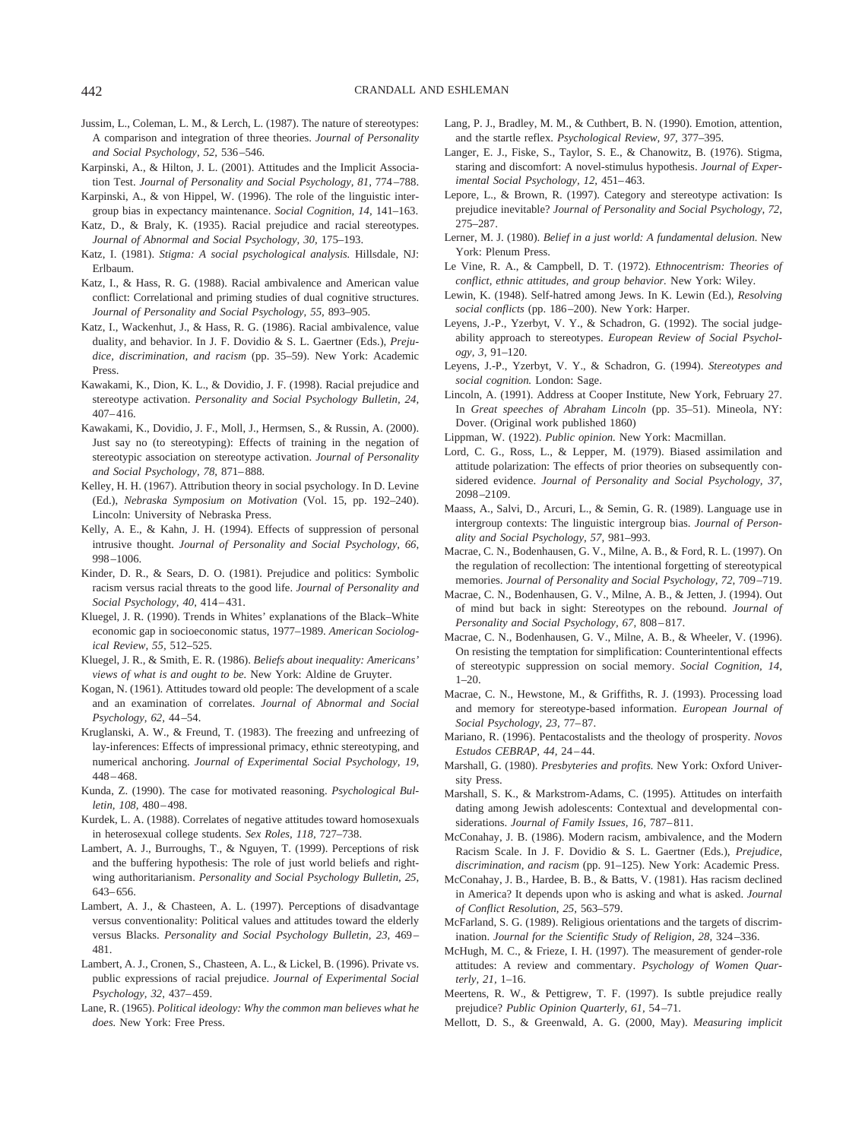- Jussim, L., Coleman, L. M., & Lerch, L. (1987). The nature of stereotypes: A comparison and integration of three theories. *Journal of Personality and Social Psychology, 52,* 536–546.
- Karpinski, A., & Hilton, J. L. (2001). Attitudes and the Implicit Association Test. *Journal of Personality and Social Psychology, 81,* 774–788.
- Karpinski, A., & von Hippel, W. (1996). The role of the linguistic intergroup bias in expectancy maintenance. *Social Cognition, 14,* 141–163.
- Katz, D., & Braly, K. (1935). Racial prejudice and racial stereotypes. *Journal of Abnormal and Social Psychology, 30,* 175–193.
- Katz, I. (1981). *Stigma: A social psychological analysis.* Hillsdale, NJ: Erlbaum.
- Katz, I., & Hass, R. G. (1988). Racial ambivalence and American value conflict: Correlational and priming studies of dual cognitive structures. *Journal of Personality and Social Psychology, 55,* 893–905.
- Katz, I., Wackenhut, J., & Hass, R. G. (1986). Racial ambivalence, value duality, and behavior. In J. F. Dovidio & S. L. Gaertner (Eds.), *Prejudice, discrimination, and racism* (pp. 35–59). New York: Academic Press.
- Kawakami, K., Dion, K. L., & Dovidio, J. F. (1998). Racial prejudice and stereotype activation. *Personality and Social Psychology Bulletin, 24,* 407–416.
- Kawakami, K., Dovidio, J. F., Moll, J., Hermsen, S., & Russin, A. (2000). Just say no (to stereotyping): Effects of training in the negation of stereotypic association on stereotype activation. *Journal of Personality and Social Psychology, 78,* 871–888.
- Kelley, H. H. (1967). Attribution theory in social psychology. In D. Levine (Ed.), *Nebraska Symposium on Motivation* (Vol. 15, pp. 192–240). Lincoln: University of Nebraska Press.
- Kelly, A. E., & Kahn, J. H. (1994). Effects of suppression of personal intrusive thought. *Journal of Personality and Social Psychology, 66,* 998–1006.
- Kinder, D. R., & Sears, D. O. (1981). Prejudice and politics: Symbolic racism versus racial threats to the good life. *Journal of Personality and Social Psychology, 40,* 414–431.
- Kluegel, J. R. (1990). Trends in Whites' explanations of the Black–White economic gap in socioeconomic status, 1977–1989. *American Sociological Review, 55,* 512–525.
- Kluegel, J. R., & Smith, E. R. (1986). *Beliefs about inequality: Americans' views of what is and ought to be.* New York: Aldine de Gruyter.
- Kogan, N. (1961). Attitudes toward old people: The development of a scale and an examination of correlates. *Journal of Abnormal and Social Psychology, 62,* 44–54.
- Kruglanski, A. W., & Freund, T. (1983). The freezing and unfreezing of lay-inferences: Effects of impressional primacy, ethnic stereotyping, and numerical anchoring. *Journal of Experimental Social Psychology, 19,* 448–468.
- Kunda, Z. (1990). The case for motivated reasoning. *Psychological Bulletin, 108,* 480–498.
- Kurdek, L. A. (1988). Correlates of negative attitudes toward homosexuals in heterosexual college students. *Sex Roles, 118,* 727–738.
- Lambert, A. J., Burroughs, T., & Nguyen, T. (1999). Perceptions of risk and the buffering hypothesis: The role of just world beliefs and rightwing authoritarianism. *Personality and Social Psychology Bulletin, 25,* 643–656.
- Lambert, A. J., & Chasteen, A. L. (1997). Perceptions of disadvantage versus conventionality: Political values and attitudes toward the elderly versus Blacks. *Personality and Social Psychology Bulletin, 23,* 469– 481.
- Lambert, A. J., Cronen, S., Chasteen, A. L., & Lickel, B. (1996). Private vs. public expressions of racial prejudice. *Journal of Experimental Social Psychology, 32,* 437–459.
- Lane, R. (1965). *Political ideology: Why the common man believes what he does.* New York: Free Press.
- Lang, P. J., Bradley, M. M., & Cuthbert, B. N. (1990). Emotion, attention, and the startle reflex. *Psychological Review, 97,* 377–395.
- Langer, E. J., Fiske, S., Taylor, S. E., & Chanowitz, B. (1976). Stigma, staring and discomfort: A novel-stimulus hypothesis. *Journal of Experimental Social Psychology, 12,* 451–463.
- Lepore, L., & Brown, R. (1997). Category and stereotype activation: Is prejudice inevitable? *Journal of Personality and Social Psychology, 72,* 275–287.
- Lerner, M. J. (1980). *Belief in a just world: A fundamental delusion.* New York: Plenum Press.
- Le Vine, R. A., & Campbell, D. T. (1972). *Ethnocentrism: Theories of conflict, ethnic attitudes, and group behavior.* New York: Wiley.
- Lewin, K. (1948). Self-hatred among Jews. In K. Lewin (Ed.), *Resolving social conflicts* (pp. 186–200). New York: Harper.
- Leyens, J.-P., Yzerbyt, V. Y., & Schadron, G. (1992). The social judgeability approach to stereotypes. *European Review of Social Psychology, 3,* 91–120.
- Leyens, J.-P., Yzerbyt, V. Y., & Schadron, G. (1994). *Stereotypes and social cognition.* London: Sage.
- Lincoln, A. (1991). Address at Cooper Institute, New York, February 27. In *Great speeches of Abraham Lincoln* (pp. 35–51). Mineola, NY: Dover. (Original work published 1860)
- Lippman, W. (1922). *Public opinion.* New York: Macmillan.
- Lord, C. G., Ross, L., & Lepper, M. (1979). Biased assimilation and attitude polarization: The effects of prior theories on subsequently considered evidence. *Journal of Personality and Social Psychology, 37,* 2098–2109.
- Maass, A., Salvi, D., Arcuri, L., & Semin, G. R. (1989). Language use in intergroup contexts: The linguistic intergroup bias. *Journal of Personality and Social Psychology, 57,* 981–993.
- Macrae, C. N., Bodenhausen, G. V., Milne, A. B., & Ford, R. L. (1997). On the regulation of recollection: The intentional forgetting of stereotypical memories. *Journal of Personality and Social Psychology, 72,* 709–719.
- Macrae, C. N., Bodenhausen, G. V., Milne, A. B., & Jetten, J. (1994). Out of mind but back in sight: Stereotypes on the rebound. *Journal of Personality and Social Psychology, 67,* 808–817.
- Macrae, C. N., Bodenhausen, G. V., Milne, A. B., & Wheeler, V. (1996). On resisting the temptation for simplification: Counterintentional effects of stereotypic suppression on social memory. *Social Cognition, 14,* 1–20.
- Macrae, C. N., Hewstone, M., & Griffiths, R. J. (1993). Processing load and memory for stereotype-based information. *European Journal of Social Psychology, 23,* 77–87.
- Mariano, R. (1996). Pentacostalists and the theology of prosperity. *Novos Estudos CEBRAP, 44,* 24–44.
- Marshall, G. (1980). *Presbyteries and profits.* New York: Oxford University Press.
- Marshall, S. K., & Markstrom-Adams, C. (1995). Attitudes on interfaith dating among Jewish adolescents: Contextual and developmental considerations. *Journal of Family Issues, 16,* 787–811.
- McConahay, J. B. (1986). Modern racism, ambivalence, and the Modern Racism Scale. In J. F. Dovidio & S. L. Gaertner (Eds.), *Prejudice, discrimination, and racism* (pp. 91–125). New York: Academic Press.
- McConahay, J. B., Hardee, B. B., & Batts, V. (1981). Has racism declined in America? It depends upon who is asking and what is asked. *Journal of Conflict Resolution, 25,* 563–579.
- McFarland, S. G. (1989). Religious orientations and the targets of discrimination. *Journal for the Scientific Study of Religion, 28,* 324–336.
- McHugh, M. C., & Frieze, I. H. (1997). The measurement of gender-role attitudes: A review and commentary. *Psychology of Women Quarterly, 21,* 1–16.
- Meertens, R. W., & Pettigrew, T. F. (1997). Is subtle prejudice really prejudice? *Public Opinion Quarterly, 61,* 54–71.
- Mellott, D. S., & Greenwald, A. G. (2000, May). *Measuring implicit*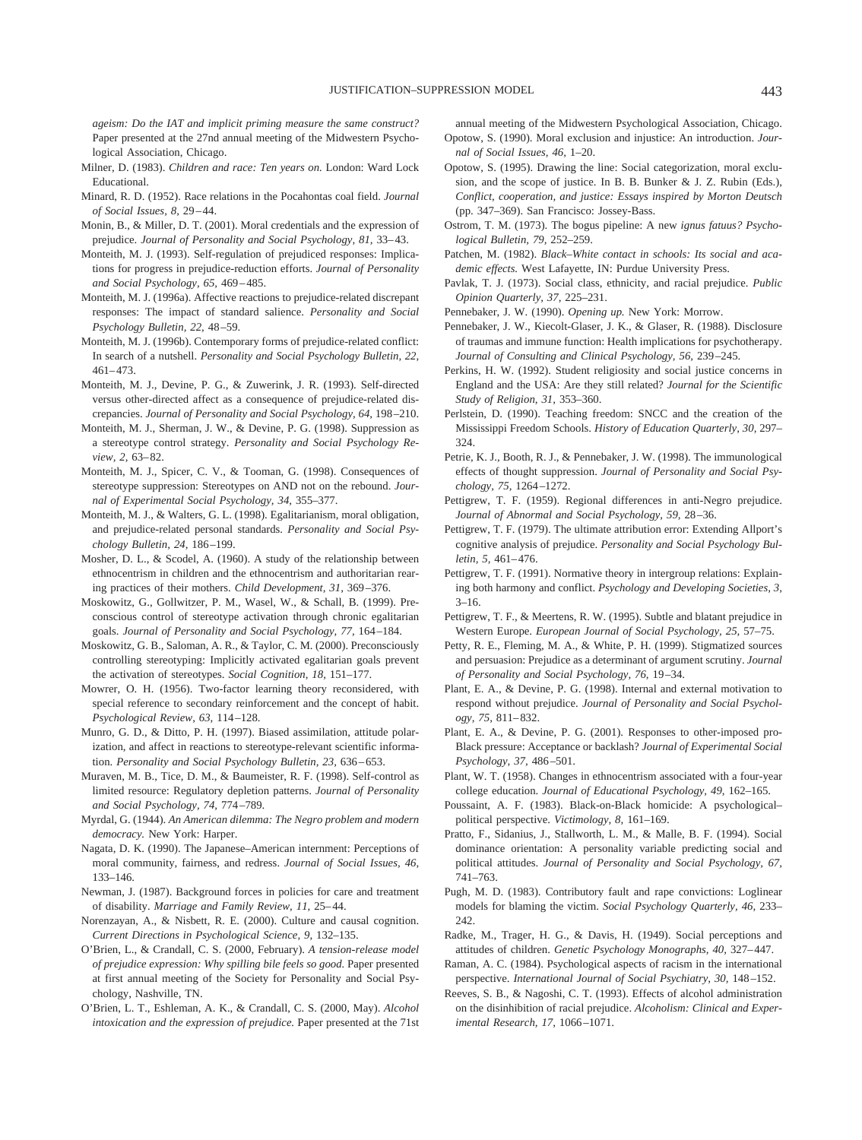*ageism: Do the IAT and implicit priming measure the same construct?* Paper presented at the 27nd annual meeting of the Midwestern Psychological Association, Chicago.

- Milner, D. (1983). *Children and race: Ten years on.* London: Ward Lock Educational.
- Minard, R. D. (1952). Race relations in the Pocahontas coal field. *Journal of Social Issues, 8,* 29–44.
- Monin, B., & Miller, D. T. (2001). Moral credentials and the expression of prejudice. *Journal of Personality and Social Psychology, 81,* 33–43.
- Monteith, M. J. (1993). Self-regulation of prejudiced responses: Implications for progress in prejudice-reduction efforts. *Journal of Personality and Social Psychology, 65,* 469–485.
- Monteith, M. J. (1996a). Affective reactions to prejudice-related discrepant responses: The impact of standard salience. *Personality and Social Psychology Bulletin, 22,* 48–59.
- Monteith, M. J. (1996b). Contemporary forms of prejudice-related conflict: In search of a nutshell. *Personality and Social Psychology Bulletin, 22,* 461–473.
- Monteith, M. J., Devine, P. G., & Zuwerink, J. R. (1993). Self-directed versus other-directed affect as a consequence of prejudice-related discrepancies. *Journal of Personality and Social Psychology, 64,* 198–210.
- Monteith, M. J., Sherman, J. W., & Devine, P. G. (1998). Suppression as a stereotype control strategy. *Personality and Social Psychology Review, 2,* 63–82.
- Monteith, M. J., Spicer, C. V., & Tooman, G. (1998). Consequences of stereotype suppression: Stereotypes on AND not on the rebound. *Journal of Experimental Social Psychology, 34,* 355–377.
- Monteith, M. J., & Walters, G. L. (1998). Egalitarianism, moral obligation, and prejudice-related personal standards. *Personality and Social Psychology Bulletin, 24,* 186–199.
- Mosher, D. L., & Scodel, A. (1960). A study of the relationship between ethnocentrism in children and the ethnocentrism and authoritarian rearing practices of their mothers. *Child Development, 31,* 369–376.
- Moskowitz, G., Gollwitzer, P. M., Wasel, W., & Schall, B. (1999). Preconscious control of stereotype activation through chronic egalitarian goals. *Journal of Personality and Social Psychology, 77,* 164–184.
- Moskowitz, G. B., Saloman, A. R., & Taylor, C. M. (2000). Preconsciously controlling stereotyping: Implicitly activated egalitarian goals prevent the activation of stereotypes. *Social Cognition, 18,* 151–177.
- Mowrer, O. H. (1956). Two-factor learning theory reconsidered, with special reference to secondary reinforcement and the concept of habit. *Psychological Review, 63,* 114–128.
- Munro, G. D., & Ditto, P. H. (1997). Biased assimilation, attitude polarization, and affect in reactions to stereotype-relevant scientific information. *Personality and Social Psychology Bulletin, 23,* 636–653.
- Muraven, M. B., Tice, D. M., & Baumeister, R. F. (1998). Self-control as limited resource: Regulatory depletion patterns. *Journal of Personality and Social Psychology, 74,* 774–789.
- Myrdal, G. (1944). *An American dilemma: The Negro problem and modern democracy.* New York: Harper.
- Nagata, D. K. (1990). The Japanese–American internment: Perceptions of moral community, fairness, and redress. *Journal of Social Issues, 46,* 133–146.
- Newman, J. (1987). Background forces in policies for care and treatment of disability. *Marriage and Family Review, 11,* 25–44.
- Norenzayan, A., & Nisbett, R. E. (2000). Culture and causal cognition. *Current Directions in Psychological Science, 9,* 132–135.
- O'Brien, L., & Crandall, C. S. (2000, February). *A tension-release model of prejudice expression: Why spilling bile feels so good.* Paper presented at first annual meeting of the Society for Personality and Social Psychology, Nashville, TN.
- O'Brien, L. T., Eshleman, A. K., & Crandall, C. S. (2000, May). *Alcohol intoxication and the expression of prejudice.* Paper presented at the 71st

annual meeting of the Midwestern Psychological Association, Chicago. Opotow, S. (1990). Moral exclusion and injustice: An introduction. *Journal of Social Issues, 46,* 1–20.

- Opotow, S. (1995). Drawing the line: Social categorization, moral exclusion, and the scope of justice. In B. B. Bunker & J. Z. Rubin (Eds.), *Conflict, cooperation, and justice: Essays inspired by Morton Deutsch* (pp. 347–369). San Francisco: Jossey-Bass.
- Ostrom, T. M. (1973). The bogus pipeline: A new *ignus fatuus? Psychological Bulletin, 79,* 252–259.
- Patchen, M. (1982). *Black–White contact in schools: Its social and academic effects.* West Lafayette, IN: Purdue University Press.
- Pavlak, T. J. (1973). Social class, ethnicity, and racial prejudice. *Public Opinion Quarterly, 37,* 225–231.
- Pennebaker, J. W. (1990). *Opening up.* New York: Morrow.
- Pennebaker, J. W., Kiecolt-Glaser, J. K., & Glaser, R. (1988). Disclosure of traumas and immune function: Health implications for psychotherapy. *Journal of Consulting and Clinical Psychology, 56,* 239–245.
- Perkins, H. W. (1992). Student religiosity and social justice concerns in England and the USA: Are they still related? *Journal for the Scientific Study of Religion, 31,* 353–360.
- Perlstein, D. (1990). Teaching freedom: SNCC and the creation of the Mississippi Freedom Schools. *History of Education Quarterly, 30,* 297– 324.
- Petrie, K. J., Booth, R. J., & Pennebaker, J. W. (1998). The immunological effects of thought suppression. *Journal of Personality and Social Psychology, 75,* 1264–1272.
- Pettigrew, T. F. (1959). Regional differences in anti-Negro prejudice. *Journal of Abnormal and Social Psychology, 59,* 28–36.
- Pettigrew, T. F. (1979). The ultimate attribution error: Extending Allport's cognitive analysis of prejudice. *Personality and Social Psychology Bulletin, 5,* 461–476.
- Pettigrew, T. F. (1991). Normative theory in intergroup relations: Explaining both harmony and conflict. *Psychology and Developing Societies, 3,*  $3 - 16$ .
- Pettigrew, T. F., & Meertens, R. W. (1995). Subtle and blatant prejudice in Western Europe. *European Journal of Social Psychology, 25,* 57–75.
- Petty, R. E., Fleming, M. A., & White, P. H. (1999). Stigmatized sources and persuasion: Prejudice as a determinant of argument scrutiny. *Journal of Personality and Social Psychology, 76,* 19–34.
- Plant, E. A., & Devine, P. G. (1998). Internal and external motivation to respond without prejudice. *Journal of Personality and Social Psychology, 75,* 811–832.
- Plant, E. A., & Devine, P. G. (2001). Responses to other-imposed pro-Black pressure: Acceptance or backlash? *Journal of Experimental Social Psychology, 37,* 486–501.
- Plant, W. T. (1958). Changes in ethnocentrism associated with a four-year college education. *Journal of Educational Psychology, 49,* 162–165.
- Poussaint, A. F. (1983). Black-on-Black homicide: A psychological– political perspective. *Victimology, 8,* 161–169.
- Pratto, F., Sidanius, J., Stallworth, L. M., & Malle, B. F. (1994). Social dominance orientation: A personality variable predicting social and political attitudes. *Journal of Personality and Social Psychology, 67,* 741–763.
- Pugh, M. D. (1983). Contributory fault and rape convictions: Loglinear models for blaming the victim. *Social Psychology Quarterly, 46,* 233– 242.
- Radke, M., Trager, H. G., & Davis, H. (1949). Social perceptions and attitudes of children. *Genetic Psychology Monographs, 40,* 327–447.
- Raman, A. C. (1984). Psychological aspects of racism in the international perspective. *International Journal of Social Psychiatry, 30,* 148–152.
- Reeves, S. B., & Nagoshi, C. T. (1993). Effects of alcohol administration on the disinhibition of racial prejudice. *Alcoholism: Clinical and Experimental Research, 17,* 1066–1071.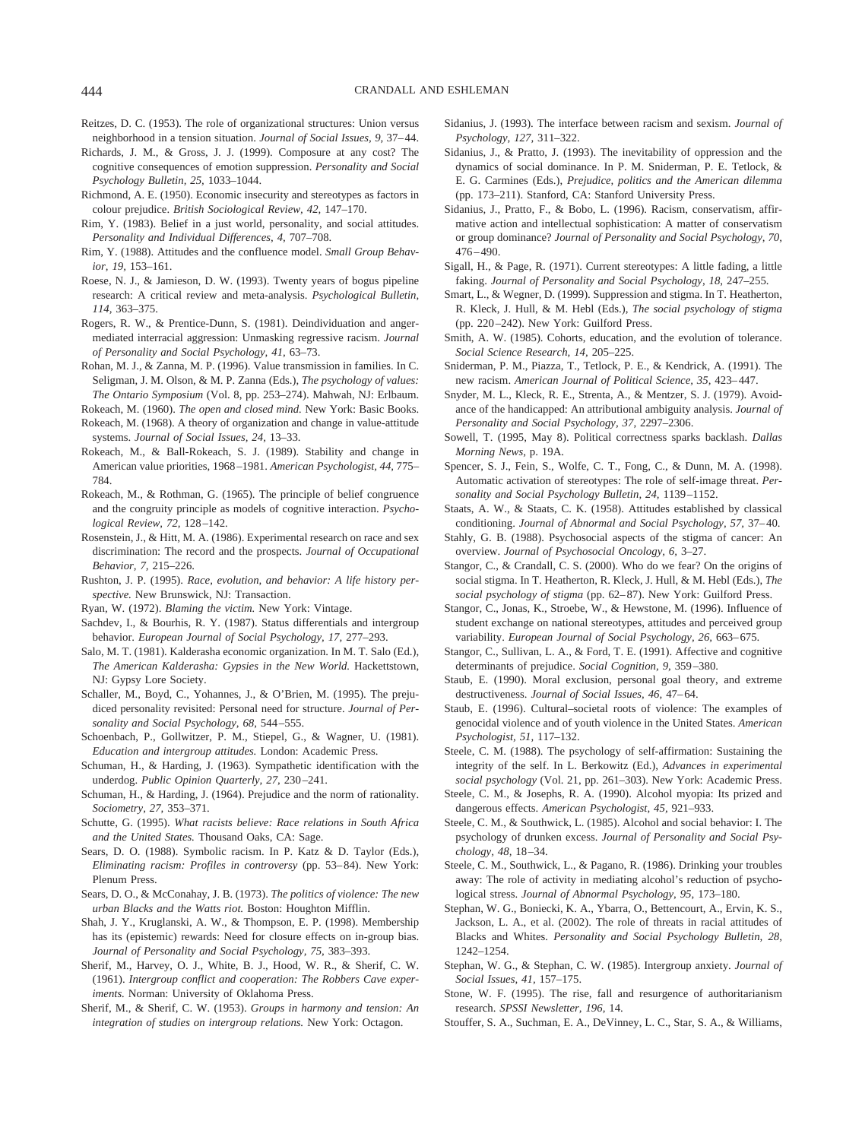- Reitzes, D. C. (1953). The role of organizational structures: Union versus neighborhood in a tension situation. *Journal of Social Issues, 9,* 37–44.
- Richards, J. M., & Gross, J. J. (1999). Composure at any cost? The cognitive consequences of emotion suppression. *Personality and Social Psychology Bulletin, 25,* 1033–1044.
- Richmond, A. E. (1950). Economic insecurity and stereotypes as factors in colour prejudice. *British Sociological Review, 42,* 147–170.
- Rim, Y. (1983). Belief in a just world, personality, and social attitudes. *Personality and Individual Differences, 4,* 707–708.
- Rim, Y. (1988). Attitudes and the confluence model. *Small Group Behavior, 19,* 153–161.
- Roese, N. J., & Jamieson, D. W. (1993). Twenty years of bogus pipeline research: A critical review and meta-analysis. *Psychological Bulletin, 114,* 363–375.
- Rogers, R. W., & Prentice-Dunn, S. (1981). Deindividuation and angermediated interracial aggression: Unmasking regressive racism. *Journal of Personality and Social Psychology, 41,* 63–73.
- Rohan, M. J., & Zanna, M. P. (1996). Value transmission in families. In C. Seligman, J. M. Olson, & M. P. Zanna (Eds.), *The psychology of values: The Ontario Symposium* (Vol. 8, pp. 253–274). Mahwah, NJ: Erlbaum.
- Rokeach, M. (1960). *The open and closed mind.* New York: Basic Books.
- Rokeach, M. (1968). A theory of organization and change in value-attitude systems. *Journal of Social Issues, 24,* 13–33.
- Rokeach, M., & Ball-Rokeach, S. J. (1989). Stability and change in American value priorities, 1968–1981. *American Psychologist, 44,* 775– 784.
- Rokeach, M., & Rothman, G. (1965). The principle of belief congruence and the congruity principle as models of cognitive interaction. *Psychological Review, 72,* 128–142.
- Rosenstein, J., & Hitt, M. A. (1986). Experimental research on race and sex discrimination: The record and the prospects. *Journal of Occupational Behavior, 7,* 215–226.
- Rushton, J. P. (1995). *Race, evolution, and behavior: A life history perspective.* New Brunswick, NJ: Transaction.
- Ryan, W. (1972). *Blaming the victim.* New York: Vintage.
- Sachdev, I., & Bourhis, R. Y. (1987). Status differentials and intergroup behavior. *European Journal of Social Psychology, 17,* 277–293.
- Salo, M. T. (1981). Kalderasha economic organization. In M. T. Salo (Ed.), *The American Kalderasha: Gypsies in the New World.* Hackettstown, NJ: Gypsy Lore Society.
- Schaller, M., Boyd, C., Yohannes, J., & O'Brien, M. (1995). The prejudiced personality revisited: Personal need for structure. *Journal of Personality and Social Psychology, 68,* 544–555.
- Schoenbach, P., Gollwitzer, P. M., Stiepel, G., & Wagner, U. (1981). *Education and intergroup attitudes.* London: Academic Press.
- Schuman, H., & Harding, J. (1963). Sympathetic identification with the underdog. *Public Opinion Quarterly, 27,* 230–241.
- Schuman, H., & Harding, J. (1964). Prejudice and the norm of rationality. *Sociometry, 27,* 353–371.
- Schutte, G. (1995). *What racists believe: Race relations in South Africa and the United States.* Thousand Oaks, CA: Sage.
- Sears, D. O. (1988). Symbolic racism. In P. Katz & D. Taylor (Eds.), *Eliminating racism: Profiles in controversy* (pp. 53–84). New York: Plenum Press.
- Sears, D. O., & McConahay, J. B. (1973). *The politics of violence: The new urban Blacks and the Watts riot.* Boston: Houghton Mifflin.
- Shah, J. Y., Kruglanski, A. W., & Thompson, E. P. (1998). Membership has its (epistemic) rewards: Need for closure effects on in-group bias. *Journal of Personality and Social Psychology, 75,* 383–393.
- Sherif, M., Harvey, O. J., White, B. J., Hood, W. R., & Sherif, C. W. (1961). *Intergroup conflict and cooperation: The Robbers Cave experiments.* Norman: University of Oklahoma Press.
- Sherif, M., & Sherif, C. W. (1953). *Groups in harmony and tension: An integration of studies on intergroup relations.* New York: Octagon.
- Sidanius, J. (1993). The interface between racism and sexism. *Journal of Psychology, 127,* 311–322.
- Sidanius, J., & Pratto, J. (1993). The inevitability of oppression and the dynamics of social dominance. In P. M. Sniderman, P. E. Tetlock, & E. G. Carmines (Eds.), *Prejudice, politics and the American dilemma* (pp. 173–211). Stanford, CA: Stanford University Press.
- Sidanius, J., Pratto, F., & Bobo, L. (1996). Racism, conservatism, affirmative action and intellectual sophistication: A matter of conservatism or group dominance? *Journal of Personality and Social Psychology, 70,* 476–490.
- Sigall, H., & Page, R. (1971). Current stereotypes: A little fading, a little faking. *Journal of Personality and Social Psychology, 18,* 247–255.
- Smart, L., & Wegner, D. (1999). Suppression and stigma. In T. Heatherton, R. Kleck, J. Hull, & M. Hebl (Eds.), *The social psychology of stigma* (pp. 220–242). New York: Guilford Press.
- Smith, A. W. (1985). Cohorts, education, and the evolution of tolerance. *Social Science Research, 14,* 205–225.
- Sniderman, P. M., Piazza, T., Tetlock, P. E., & Kendrick, A. (1991). The new racism. *American Journal of Political Science, 35,* 423–447.
- Snyder, M. L., Kleck, R. E., Strenta, A., & Mentzer, S. J. (1979). Avoidance of the handicapped: An attributional ambiguity analysis. *Journal of Personality and Social Psychology, 37,* 2297–2306.
- Sowell, T. (1995, May 8). Political correctness sparks backlash. *Dallas Morning News,* p. 19A.
- Spencer, S. J., Fein, S., Wolfe, C. T., Fong, C., & Dunn, M. A. (1998). Automatic activation of stereotypes: The role of self-image threat. *Personality and Social Psychology Bulletin, 24,* 1139–1152.
- Staats, A. W., & Staats, C. K. (1958). Attitudes established by classical conditioning. *Journal of Abnormal and Social Psychology, 57,* 37–40.
- Stahly, G. B. (1988). Psychosocial aspects of the stigma of cancer: An overview. *Journal of Psychosocial Oncology, 6,* 3–27.
- Stangor, C., & Crandall, C. S. (2000). Who do we fear? On the origins of social stigma. In T. Heatherton, R. Kleck, J. Hull, & M. Hebl (Eds.), *The social psychology of stigma* (pp. 62–87). New York: Guilford Press.
- Stangor, C., Jonas, K., Stroebe, W., & Hewstone, M. (1996). Influence of student exchange on national stereotypes, attitudes and perceived group variability. *European Journal of Social Psychology, 26,* 663–675.
- Stangor, C., Sullivan, L. A., & Ford, T. E. (1991). Affective and cognitive determinants of prejudice. *Social Cognition, 9,* 359–380.
- Staub, E. (1990). Moral exclusion, personal goal theory, and extreme destructiveness. *Journal of Social Issues, 46,* 47–64.
- Staub, E. (1996). Cultural–societal roots of violence: The examples of genocidal violence and of youth violence in the United States. *American Psychologist, 51,* 117–132.
- Steele, C. M. (1988). The psychology of self-affirmation: Sustaining the integrity of the self. In L. Berkowitz (Ed.), *Advances in experimental social psychology* (Vol. 21, pp. 261–303). New York: Academic Press.
- Steele, C. M., & Josephs, R. A. (1990). Alcohol myopia: Its prized and dangerous effects. *American Psychologist, 45,* 921–933.
- Steele, C. M., & Southwick, L. (1985). Alcohol and social behavior: I. The psychology of drunken excess. *Journal of Personality and Social Psychology, 48,* 18–34.
- Steele, C. M., Southwick, L., & Pagano, R. (1986). Drinking your troubles away: The role of activity in mediating alcohol's reduction of psychological stress. *Journal of Abnormal Psychology, 95,* 173–180.
- Stephan, W. G., Boniecki, K. A., Ybarra, O., Bettencourt, A., Ervin, K. S., Jackson, L. A., et al. (2002). The role of threats in racial attitudes of Blacks and Whites. *Personality and Social Psychology Bulletin, 28,* 1242–1254.
- Stephan, W. G., & Stephan, C. W. (1985). Intergroup anxiety. *Journal of Social Issues, 41,* 157–175.
- Stone, W. F. (1995). The rise, fall and resurgence of authoritarianism research. *SPSSI Newsletter, 196,* 14.
- Stouffer, S. A., Suchman, E. A., DeVinney, L. C., Star, S. A., & Williams,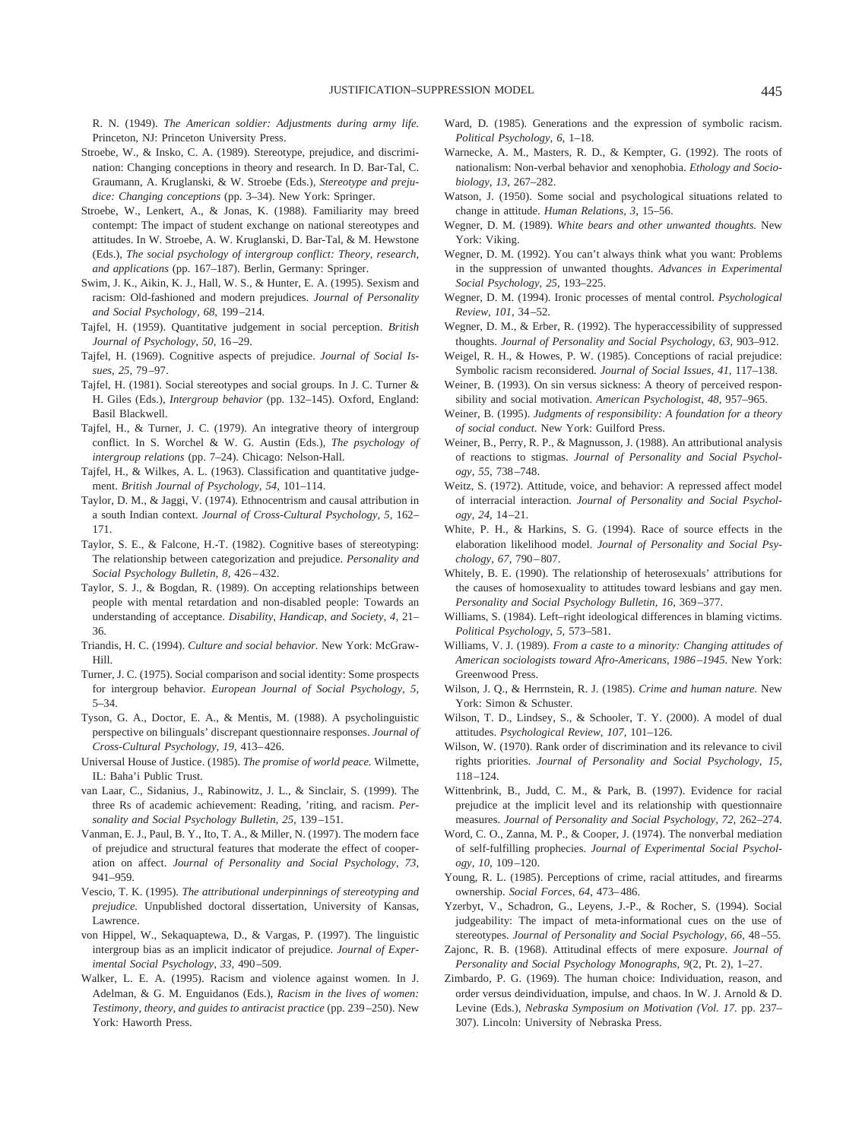R. N. (1949). *The American soldier: Adjustments during army life.* Princeton, NJ: Princeton University Press.

- Stroebe, W., & Insko, C. A. (1989). Stereotype, prejudice, and discrimination: Changing conceptions in theory and research. In D. Bar-Tal, C. Graumann, A. Kruglanski, & W. Stroebe (Eds.), *Stereotype and prejudice: Changing conceptions* (pp. 3–34). New York: Springer.
- Stroebe, W., Lenkert, A., & Jonas, K. (1988). Familiarity may breed contempt: The impact of student exchange on national stereotypes and attitudes. In W. Stroebe, A. W. Kruglanski, D. Bar-Tal, & M. Hewstone (Eds.), *The social psychology of intergroup conflict: Theory, research, and applications* (pp. 167–187). Berlin, Germany: Springer.
- Swim, J. K., Aikin, K. J., Hall, W. S., & Hunter, E. A. (1995). Sexism and racism: Old-fashioned and modern prejudices. *Journal of Personality and Social Psychology, 68,* 199–214.
- Tajfel, H. (1959). Quantitative judgement in social perception. *British Journal of Psychology, 50,* 16–29.
- Tajfel, H. (1969). Cognitive aspects of prejudice. *Journal of Social Issues, 25,* 79–97.
- Tajfel, H. (1981). Social stereotypes and social groups. In J. C. Turner & H. Giles (Eds.), *Intergroup behavior* (pp. 132–145). Oxford, England: Basil Blackwell.
- Tajfel, H., & Turner, J. C. (1979). An integrative theory of intergroup conflict. In S. Worchel & W. G. Austin (Eds.), *The psychology of intergroup relations* (pp. 7–24). Chicago: Nelson-Hall.
- Tajfel, H., & Wilkes, A. L. (1963). Classification and quantitative judgement. *British Journal of Psychology, 54,* 101–114.
- Taylor, D. M., & Jaggi, V. (1974). Ethnocentrism and causal attribution in a south Indian context. *Journal of Cross-Cultural Psychology, 5,* 162– 171.
- Taylor, S. E., & Falcone, H.-T. (1982). Cognitive bases of stereotyping: The relationship between categorization and prejudice. *Personality and Social Psychology Bulletin, 8,* 426–432.
- Taylor, S. J., & Bogdan, R. (1989). On accepting relationships between people with mental retardation and non-disabled people: Towards an understanding of acceptance. *Disability, Handicap, and Society, 4,* 21– 36.
- Triandis, H. C. (1994). *Culture and social behavior.* New York: McGraw-Hill.
- Turner, J. C. (1975). Social comparison and social identity: Some prospects for intergroup behavior. *European Journal of Social Psychology, 5,* 5–34.
- Tyson, G. A., Doctor, E. A., & Mentis, M. (1988). A psycholinguistic perspective on bilinguals' discrepant questionnaire responses. *Journal of Cross-Cultural Psychology, 19,* 413–426.
- Universal House of Justice. (1985). *The promise of world peace.* Wilmette, IL: Baha'i Public Trust.
- van Laar, C., Sidanius, J., Rabinowitz, J. L., & Sinclair, S. (1999). The three Rs of academic achievement: Reading, 'riting, and racism. *Personality and Social Psychology Bulletin, 25,* 139–151.
- Vanman, E. J., Paul, B. Y., Ito, T. A., & Miller, N. (1997). The modern face of prejudice and structural features that moderate the effect of cooperation on affect. *Journal of Personality and Social Psychology, 73,* 941–959.
- Vescio, T. K. (1995). *The attributional underpinnings of stereotyping and prejudice.* Unpublished doctoral dissertation, University of Kansas, Lawrence.
- von Hippel, W., Sekaquaptewa, D., & Vargas, P. (1997). The linguistic intergroup bias as an implicit indicator of prejudice. *Journal of Experimental Social Psychology, 33,* 490–509.
- Walker, L. E. A. (1995). Racism and violence against women. In J. Adelman, & G. M. Enguidanos (Eds.), *Racism in the lives of women: Testimony, theory, and guides to antiracist practice* (pp. 239–250). New York: Haworth Press.
- Ward, D. (1985). Generations and the expression of symbolic racism. *Political Psychology, 6,* 1–18.
- Warnecke, A. M., Masters, R. D., & Kempter, G. (1992). The roots of nationalism: Non-verbal behavior and xenophobia. *Ethology and Sociobiology, 13,* 267–282.
- Watson, J. (1950). Some social and psychological situations related to change in attitude. *Human Relations, 3,* 15–56.
- Wegner, D. M. (1989). *White bears and other unwanted thoughts.* New York: Viking.
- Wegner, D. M. (1992). You can't always think what you want: Problems in the suppression of unwanted thoughts. *Advances in Experimental Social Psychology, 25,* 193–225.
- Wegner, D. M. (1994). Ironic processes of mental control. *Psychological Review, 101,* 34–52.
- Wegner, D. M., & Erber, R. (1992). The hyperaccessibility of suppressed thoughts. *Journal of Personality and Social Psychology, 63,* 903–912.
- Weigel, R. H., & Howes, P. W. (1985). Conceptions of racial prejudice: Symbolic racism reconsidered. *Journal of Social Issues, 41,* 117–138.
- Weiner, B. (1993). On sin versus sickness: A theory of perceived responsibility and social motivation. *American Psychologist, 48,* 957–965.
- Weiner, B. (1995). *Judgments of responsibility: A foundation for a theory of social conduct.* New York: Guilford Press.
- Weiner, B., Perry, R. P., & Magnusson, J. (1988). An attributional analysis of reactions to stigmas. *Journal of Personality and Social Psychology, 55,* 738–748.
- Weitz, S. (1972). Attitude, voice, and behavior: A repressed affect model of interracial interaction. *Journal of Personality and Social Psychology, 24,* 14–21.
- White, P. H., & Harkins, S. G. (1994). Race of source effects in the elaboration likelihood model. *Journal of Personality and Social Psychology, 67,* 790–807.
- Whitely, B. E. (1990). The relationship of heterosexuals' attributions for the causes of homosexuality to attitudes toward lesbians and gay men. *Personality and Social Psychology Bulletin, 16,* 369–377.
- Williams, S. (1984). Left–right ideological differences in blaming victims. *Political Psychology, 5,* 573–581.
- Williams, V. J. (1989). *From a caste to a minority: Changing attitudes of American sociologists toward Afro-Americans, 1986–1945.* New York: Greenwood Press.
- Wilson, J. Q., & Herrnstein, R. J. (1985). *Crime and human nature.* New York: Simon & Schuster.
- Wilson, T. D., Lindsey, S., & Schooler, T. Y. (2000). A model of dual attitudes. *Psychological Review, 107,* 101–126.
- Wilson, W. (1970). Rank order of discrimination and its relevance to civil rights priorities. *Journal of Personality and Social Psychology, 15,* 118–124.
- Wittenbrink, B., Judd, C. M., & Park, B. (1997). Evidence for racial prejudice at the implicit level and its relationship with questionnaire measures. *Journal of Personality and Social Psychology, 72,* 262–274.
- Word, C. O., Zanna, M. P., & Cooper, J. (1974). The nonverbal mediation of self-fulfilling prophecies. *Journal of Experimental Social Psychology, 10,* 109–120.
- Young, R. L. (1985). Perceptions of crime, racial attitudes, and firearms ownership. *Social Forces, 64,* 473–486.
- Yzerbyt, V., Schadron, G., Leyens, J.-P., & Rocher, S. (1994). Social judgeability: The impact of meta-informational cues on the use of stereotypes. *Journal of Personality and Social Psychology, 66,* 48–55.
- Zajonc, R. B. (1968). Attitudinal effects of mere exposure. *Journal of Personality and Social Psychology Monographs, 9*(2, Pt. 2), 1–27.
- Zimbardo, P. G. (1969). The human choice: Individuation, reason, and order versus deindividuation, impulse, and chaos. In W. J. Arnold & D. Levine (Eds.), *Nebraska Symposium on Motivation (Vol. 17.* pp. 237– 307). Lincoln: University of Nebraska Press.